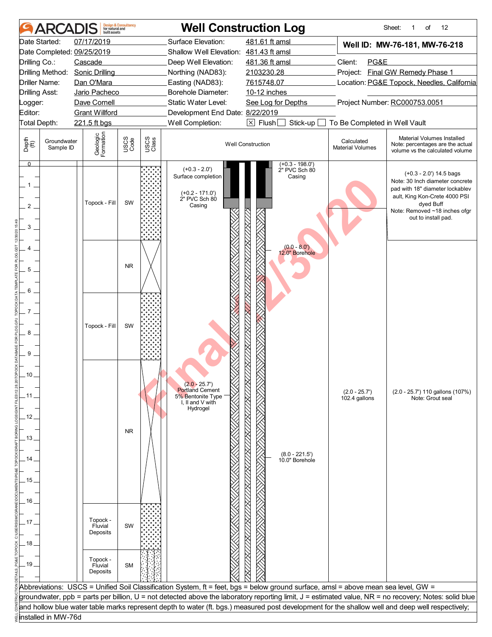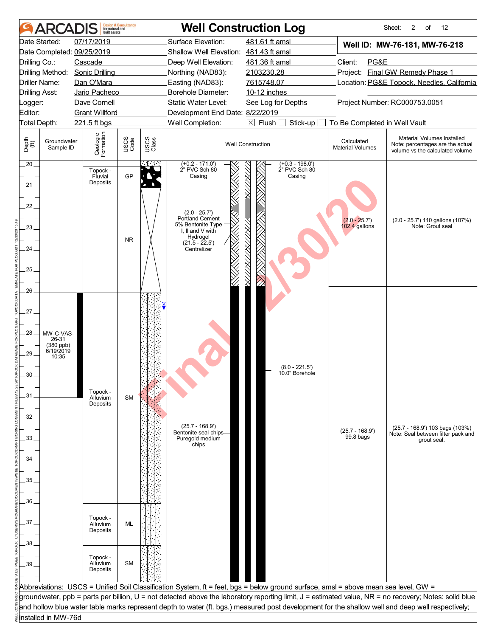|                                | <b>ARCADIS</b>         | built assets                    | <b>Design &amp; Consultancy</b><br>for natural and |               |                                          | <b>Well Construction Log</b>                                                                                                       |                                 | Sheet:<br>2<br>12<br>of                                                                                                                               |  |
|--------------------------------|------------------------|---------------------------------|----------------------------------------------------|---------------|------------------------------------------|------------------------------------------------------------------------------------------------------------------------------------|---------------------------------|-------------------------------------------------------------------------------------------------------------------------------------------------------|--|
|                                | Date Started:          | 07/17/2019                      |                                                    |               | Surface Elevation:                       | 481.61 ft amsl                                                                                                                     |                                 | Well ID: MW-76-181, MW-76-218                                                                                                                         |  |
|                                |                        | Date Completed: 09/25/2019      |                                                    |               | Shallow Well Elevation: 481.43 ft amsl   |                                                                                                                                    |                                 |                                                                                                                                                       |  |
| Drilling Co.:                  |                        | Cascade                         |                                                    |               | Deep Well Elevation:                     | 481.36 ft amsl                                                                                                                     | Client:<br>PG&E                 |                                                                                                                                                       |  |
|                                |                        | Drilling Method: Sonic Drilling |                                                    |               | Northing (NAD83):                        | 2103230.28                                                                                                                         |                                 | Project: Final GW Remedy Phase 1                                                                                                                      |  |
| Driller Name:                  |                        | Dan O'Mara                      |                                                    |               | Easting (NAD83):                         | 7615748.07                                                                                                                         |                                 | Location: PG&E Topock, Needles, California                                                                                                            |  |
| <b>Drilling Asst:</b>          |                        | Jario Pacheco                   |                                                    |               | Borehole Diameter:                       | 10-12 inches                                                                                                                       |                                 |                                                                                                                                                       |  |
| _ogger:                        |                        | Dave Cornell                    |                                                    |               | Static Water Level:                      | See Log for Depths                                                                                                                 | Project Number: RC000753.0051   |                                                                                                                                                       |  |
| Editor:                        |                        | <b>Grant Willford</b>           |                                                    |               | Development End Date: 8/22/2019          |                                                                                                                                    |                                 |                                                                                                                                                       |  |
| Total Depth:                   |                        | 221.5 ft bgs                    |                                                    |               | Well Completion:                         | $\boxed{\times}$ Flush<br>To Be Completed in Well Vault<br>Stick-up                                                                |                                 |                                                                                                                                                       |  |
|                                | Groundwater            |                                 |                                                    |               |                                          |                                                                                                                                    | Calculated                      | Material Volumes Installed                                                                                                                            |  |
| Depth<br>$\bigoplus_{i=1}^{n}$ | Sample ID              | Geologic<br>Formation           | USCS<br>Code                                       | USCS<br>Class |                                          | <b>Well Construction</b>                                                                                                           | <b>Material Volumes</b>         | Note: percentages are the actual<br>volume vs the calculated volume                                                                                   |  |
| 20.                            |                        | Topock -                        |                                                    |               | $(+0.2 - 171.0')$<br>2" PVC Sch 80       | $(+0.3 - 198.0')$<br>2" PVC Sch 80                                                                                                 |                                 |                                                                                                                                                       |  |
| .21 .                          |                        | Fluvial<br>Deposits             | GP                                                 |               | Casing                                   | Casing                                                                                                                             |                                 |                                                                                                                                                       |  |
|                                |                        |                                 |                                                    |               |                                          |                                                                                                                                    |                                 |                                                                                                                                                       |  |
| 22                             |                        |                                 |                                                    |               |                                          |                                                                                                                                    |                                 |                                                                                                                                                       |  |
|                                |                        |                                 |                                                    |               | $(2.0 - 25.7)$                           |                                                                                                                                    |                                 |                                                                                                                                                       |  |
|                                |                        |                                 |                                                    |               | Portland Cement<br>5% Bentonite Type     |                                                                                                                                    | $(2.0 - 25.7)$<br>102.4 gallons | (2.0 - 25.7') 110 gallons (107%)<br>Note: Grout seal                                                                                                  |  |
| $23 -$                         |                        |                                 |                                                    |               | I, II and V with                         |                                                                                                                                    |                                 |                                                                                                                                                       |  |
|                                |                        |                                 | <b>NR</b>                                          |               | Hydrogel<br>$(21.5 - 22.5)$              |                                                                                                                                    |                                 |                                                                                                                                                       |  |
| 24.                            |                        |                                 |                                                    |               | Centralizer                              |                                                                                                                                    |                                 |                                                                                                                                                       |  |
|                                |                        |                                 |                                                    |               |                                          |                                                                                                                                    |                                 |                                                                                                                                                       |  |
| 25                             |                        |                                 |                                                    |               |                                          |                                                                                                                                    |                                 |                                                                                                                                                       |  |
|                                |                        |                                 |                                                    |               |                                          |                                                                                                                                    |                                 |                                                                                                                                                       |  |
| 26                             |                        |                                 |                                                    |               |                                          |                                                                                                                                    |                                 |                                                                                                                                                       |  |
|                                |                        |                                 |                                                    |               |                                          |                                                                                                                                    |                                 |                                                                                                                                                       |  |
| 27.                            |                        |                                 |                                                    |               |                                          |                                                                                                                                    |                                 |                                                                                                                                                       |  |
|                                |                        |                                 |                                                    |               |                                          |                                                                                                                                    |                                 |                                                                                                                                                       |  |
|                                |                        |                                 |                                                    |               |                                          |                                                                                                                                    |                                 |                                                                                                                                                       |  |
| .28 .                          | MW-C-VAS-<br>26-31     |                                 |                                                    |               |                                          |                                                                                                                                    |                                 |                                                                                                                                                       |  |
|                                | (380 ppb)<br>6/19/2019 |                                 |                                                    |               |                                          |                                                                                                                                    |                                 |                                                                                                                                                       |  |
| 29                             | 10:35                  |                                 |                                                    |               |                                          |                                                                                                                                    |                                 |                                                                                                                                                       |  |
|                                |                        |                                 |                                                    |               |                                          | $(8.0 - 221.5')$                                                                                                                   |                                 |                                                                                                                                                       |  |
| 30                             |                        |                                 |                                                    |               |                                          | 10.0" Borehole                                                                                                                     |                                 |                                                                                                                                                       |  |
|                                |                        | Topock -                        |                                                    |               |                                          |                                                                                                                                    |                                 |                                                                                                                                                       |  |
| .31                            |                        | Alluvium                        | <b>SM</b>                                          |               |                                          |                                                                                                                                    |                                 |                                                                                                                                                       |  |
|                                |                        | Deposits                        |                                                    |               |                                          |                                                                                                                                    |                                 |                                                                                                                                                       |  |
| 32                             |                        |                                 |                                                    |               |                                          |                                                                                                                                    |                                 |                                                                                                                                                       |  |
|                                |                        |                                 |                                                    |               | $(25.7 - 168.9')$                        |                                                                                                                                    | $(25.7 - 168.9')$               | $(25.7 - 168.9')$ 103 bags $(103%)$                                                                                                                   |  |
| 33                             |                        |                                 |                                                    |               | Bentonite seal chips.<br>Puregold medium |                                                                                                                                    | 99.8 bags                       | Note: Seal between filter pack and<br>grout seal.                                                                                                     |  |
|                                |                        |                                 |                                                    |               | chips                                    |                                                                                                                                    |                                 |                                                                                                                                                       |  |
| 34                             |                        |                                 |                                                    |               |                                          |                                                                                                                                    |                                 |                                                                                                                                                       |  |
|                                |                        |                                 |                                                    |               |                                          |                                                                                                                                    |                                 |                                                                                                                                                       |  |
| 35                             |                        |                                 |                                                    |               |                                          |                                                                                                                                    |                                 |                                                                                                                                                       |  |
|                                |                        |                                 |                                                    |               |                                          |                                                                                                                                    |                                 |                                                                                                                                                       |  |
|                                |                        |                                 |                                                    |               |                                          |                                                                                                                                    |                                 |                                                                                                                                                       |  |
| 36                             |                        |                                 |                                                    |               |                                          |                                                                                                                                    |                                 |                                                                                                                                                       |  |
|                                |                        | Topock -                        |                                                    |               |                                          |                                                                                                                                    |                                 |                                                                                                                                                       |  |
| 37.                            |                        | Alluvium                        | ML                                                 |               |                                          |                                                                                                                                    |                                 |                                                                                                                                                       |  |
|                                |                        | Deposits                        |                                                    |               |                                          |                                                                                                                                    |                                 |                                                                                                                                                       |  |
| 38                             |                        |                                 |                                                    |               |                                          |                                                                                                                                    |                                 |                                                                                                                                                       |  |
|                                |                        |                                 |                                                    |               |                                          |                                                                                                                                    |                                 |                                                                                                                                                       |  |
| 39                             |                        | Topock -<br>Alluvium            | <b>SM</b>                                          |               |                                          |                                                                                                                                    |                                 |                                                                                                                                                       |  |
|                                |                        | Deposits                        |                                                    |               |                                          |                                                                                                                                    |                                 |                                                                                                                                                       |  |
|                                |                        |                                 |                                                    |               |                                          |                                                                                                                                    |                                 |                                                                                                                                                       |  |
|                                |                        |                                 |                                                    |               |                                          | Abbreviations: USCS = Unified Soil Classification System, ft = feet, bgs = below ground surface, amsl = above mean sea level, GW = |                                 |                                                                                                                                                       |  |
|                                |                        |                                 |                                                    |               |                                          |                                                                                                                                    |                                 | groundwater, ppb = parts per billion, U = not detected above the laboratory reporting limit, J = estimated value, NR = no recovery; Notes: solid blue |  |
|                                |                        |                                 |                                                    |               |                                          |                                                                                                                                    |                                 | and hollow blue water table marks represent depth to water (ft. bgs.) measured post development for the shallow well and deep well respectively;      |  |
|                                | installed in MW-76d    |                                 |                                                    |               |                                          |                                                                                                                                    |                                 |                                                                                                                                                       |  |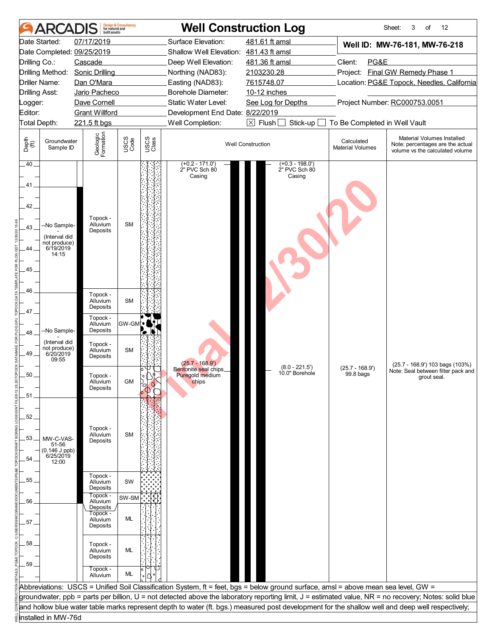|                                           | ARCADIS                                                            | built assets                                 | <b>Design &amp; Consultancy</b><br>for natural and |               |                                                              | <b>Well Construction Log</b>                                                                                                       |                                       | Sheet:<br>12<br>3<br>of                                                                                                                               |  |
|-------------------------------------------|--------------------------------------------------------------------|----------------------------------------------|----------------------------------------------------|---------------|--------------------------------------------------------------|------------------------------------------------------------------------------------------------------------------------------------|---------------------------------------|-------------------------------------------------------------------------------------------------------------------------------------------------------|--|
|                                           | Date Started:                                                      | 07/17/2019<br>Date Completed: 09/25/2019     |                                                    |               | Surface Elevation:<br>Shallow Well Elevation: 481.43 ft amsl | 481.61 ft amsl                                                                                                                     |                                       | Well ID: MW-76-181, MW-76-218                                                                                                                         |  |
| Drilling Co.:                             |                                                                    | Cascade                                      |                                                    |               | Deep Well Elevation:                                         | 481.36 ft amsl                                                                                                                     | Client:<br>PG&E                       |                                                                                                                                                       |  |
|                                           | Drilling Method:                                                   | <b>Sonic Drilling</b>                        |                                                    |               | Northing (NAD83):                                            | 2103230.28                                                                                                                         |                                       | Project: Final GW Remedy Phase 1                                                                                                                      |  |
|                                           | Driller Name:                                                      | Dan O'Mara                                   |                                                    |               | Easting (NAD83):                                             | 7615748.07                                                                                                                         |                                       | Location: PG&E Topock, Needles, California                                                                                                            |  |
| <b>Drilling Asst:</b>                     |                                                                    | Jario Pacheco                                |                                                    |               | Borehole Diameter:                                           | 10-12 inches                                                                                                                       |                                       |                                                                                                                                                       |  |
| Logger:                                   |                                                                    | Dave Cornell                                 |                                                    |               | Static Water Level:                                          | See Log for Depths                                                                                                                 |                                       | Project Number: RC000753.0051                                                                                                                         |  |
| Editor:                                   |                                                                    | <b>Grant Willford</b>                        |                                                    |               | Development End Date: 8/22/2019                              |                                                                                                                                    |                                       |                                                                                                                                                       |  |
| Total Depth:                              |                                                                    | 221.5 ft bgs                                 |                                                    |               | Well Completion:                                             | $\boxtimes$ Flush [<br>Stick-up                                                                                                    | To Be Completed in Well Vault         |                                                                                                                                                       |  |
| Depth<br>$\bigoplus_{i=1}^{n}$            | Groundwater<br>Sample ID                                           | Geologic<br>Formation                        | USCS<br>Code                                       | USCS<br>Class |                                                              | <b>Well Construction</b>                                                                                                           | Calculated<br><b>Material Volumes</b> | Material Volumes Installed<br>Note: percentages are the actual<br>volume vs the calculated volume                                                     |  |
| .40.<br>41<br>42<br>43.<br>44<br>45<br>46 | -No Sample-<br>(Interval did<br>not produce)<br>6/19/2019<br>14:15 | Topock -<br>Alluvium<br>Deposits             | <b>SM</b>                                          |               | (+0.2 - 171.0')<br>2" PVC Sch 80<br>Casing                   | $(+0.3 - 198.0')$<br>2" PVC Sch 80<br>Casing                                                                                       |                                       |                                                                                                                                                       |  |
| .47.                                      |                                                                    | Topock -<br>Alluvium<br>Deposits             | <b>SM</b>                                          |               |                                                              |                                                                                                                                    |                                       |                                                                                                                                                       |  |
| .48                                       | -No Sample-                                                        | Topock -<br>Alluvium<br>Deposits             | GW-GML•ิ                                           | Z N           |                                                              |                                                                                                                                    |                                       |                                                                                                                                                       |  |
| 49.                                       | (Interval did<br>not produce)<br>6/20/2019<br>09:55                | Topock -<br>Alluvium<br>Deposits             | <b>SM</b>                                          |               | $(25.7 - 168.9')$                                            | $(8.0 - 221.5')$                                                                                                                   | $(25.7 - 168.9')$                     | (25.7 - 168.9') 103 bags (103%)                                                                                                                       |  |
| 50                                        |                                                                    | Topock -<br>Alluvium<br>Deposits             | GM                                                 |               | Bentonite seal chips.<br>Puregold medium<br>chips            | 10.0" Borehole                                                                                                                     | 99.8 bags                             | Note: Seal between filter pack and<br>grout seal.                                                                                                     |  |
| .51<br>52.<br>.53<br>54                   | MW-C-VAS-<br>51-56<br>$(0.146$ J ppb)<br>6/25/2019<br>12:00        | Topock -<br>Alluvium<br>Deposits             | <b>SM</b>                                          |               |                                                              |                                                                                                                                    |                                       |                                                                                                                                                       |  |
| 55.                                       |                                                                    | Topock -<br>Alluvium<br>Deposits             | SW                                                 |               |                                                              |                                                                                                                                    |                                       |                                                                                                                                                       |  |
| 56                                        |                                                                    | Topock -<br>Alluvium                         | SW-SM                                              |               |                                                              |                                                                                                                                    |                                       |                                                                                                                                                       |  |
| 57.                                       |                                                                    | Deposits<br>Topock -<br>Alluvium<br>Deposits | <b>ML</b>                                          |               |                                                              |                                                                                                                                    |                                       |                                                                                                                                                       |  |
| 58.<br>59                                 |                                                                    | Topock -<br>Alluvium<br>Deposits             | ML                                                 |               |                                                              |                                                                                                                                    |                                       |                                                                                                                                                       |  |
|                                           |                                                                    | Topock -<br>Alluvium                         | ML                                                 |               |                                                              |                                                                                                                                    |                                       |                                                                                                                                                       |  |
|                                           |                                                                    |                                              |                                                    |               |                                                              | Abbreviations: USCS = Unified Soil Classification System, ft = feet, bgs = below ground surface, amsl = above mean sea level, GW = |                                       |                                                                                                                                                       |  |
|                                           |                                                                    |                                              |                                                    |               |                                                              |                                                                                                                                    |                                       | groundwater, ppb = parts per billion, U = not detected above the laboratory reporting limit, J = estimated value, NR = no recovery; Notes: solid blue |  |
|                                           |                                                                    |                                              |                                                    |               |                                                              |                                                                                                                                    |                                       | and hollow blue water table marks represent depth to water (ft. bgs.) measured post development for the shallow well and deep well respectively;      |  |
|                                           | installed in MW-76d                                                |                                              |                                                    |               |                                                              |                                                                                                                                    |                                       |                                                                                                                                                       |  |
|                                           |                                                                    |                                              |                                                    |               |                                                              |                                                                                                                                    |                                       |                                                                                                                                                       |  |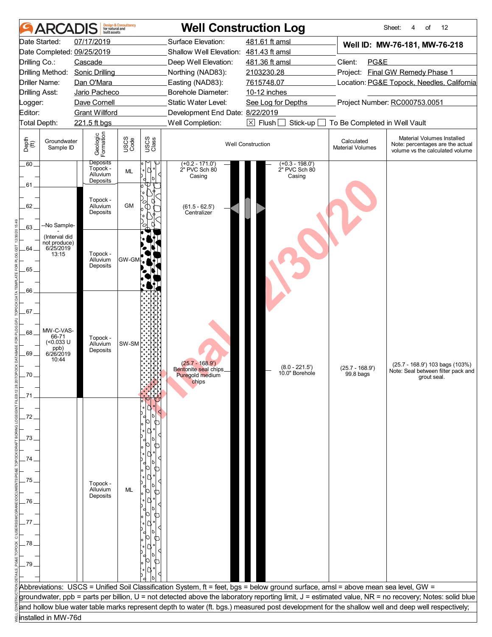|                                                | <b>ARCADIS</b>                                                         | built assets                                        | <b>Design &amp; Consultancy</b><br>for natural and |               |                                                                        | <b>Well Construction Log</b>                                                                                                       |                                       | Sheet:<br>12<br>4<br>of                                                                                                                               |  |
|------------------------------------------------|------------------------------------------------------------------------|-----------------------------------------------------|----------------------------------------------------|---------------|------------------------------------------------------------------------|------------------------------------------------------------------------------------------------------------------------------------|---------------------------------------|-------------------------------------------------------------------------------------------------------------------------------------------------------|--|
|                                                | Date Started:                                                          | 07/17/2019<br>Date Completed: 09/25/2019            |                                                    |               | Surface Elevation:<br>Shallow Well Elevation: 481.43 ft amsl           | 481.61 ft amsl                                                                                                                     |                                       | Well ID: MW-76-181, MW-76-218                                                                                                                         |  |
| Drilling Co.:                                  |                                                                        | Cascade                                             |                                                    |               | Deep Well Elevation:                                                   | 481.36 ft amsl                                                                                                                     | Client:<br>PG&E                       |                                                                                                                                                       |  |
|                                                | Drilling Method:                                                       | <b>Sonic Drilling</b>                               |                                                    |               | Northing (NAD83):                                                      | 2103230.28                                                                                                                         |                                       | Project: Final GW Remedy Phase 1                                                                                                                      |  |
|                                                | Driller Name:                                                          | Dan O'Mara                                          |                                                    |               | Easting (NAD83):                                                       | 7615748.07                                                                                                                         |                                       | Location: PG&E Topock, Needles, California                                                                                                            |  |
|                                                | <b>Drilling Asst:</b>                                                  | Jario Pacheco                                       |                                                    |               | Borehole Diameter:                                                     | 10-12 inches                                                                                                                       |                                       |                                                                                                                                                       |  |
| Logger:                                        |                                                                        | Dave Cornell                                        |                                                    |               | Static Water Level:                                                    | Project Number: RC000753.0051<br>See Log for Depths                                                                                |                                       |                                                                                                                                                       |  |
| Editor:                                        |                                                                        | <b>Grant Willford</b>                               |                                                    |               | Development End Date: 8/22/2019                                        |                                                                                                                                    |                                       |                                                                                                                                                       |  |
|                                                | Total Depth:                                                           | 221.5 ft bgs                                        |                                                    |               | Well Completion:                                                       | $\boxtimes$ Flush [<br>Stick-up                                                                                                    | To Be Completed in Well Vault         |                                                                                                                                                       |  |
| Depth<br>$\bigoplus_{i=1}^{n}$                 | Groundwater<br>Sample ID                                               | Geologic<br>Formation                               | USCS<br>Code                                       | USCS<br>Class |                                                                        | <b>Well Construction</b>                                                                                                           | Calculated<br><b>Material Volumes</b> | Material Volumes Installed<br>Note: percentages are the actual<br>volume vs the calculated volume                                                     |  |
| .60.                                           |                                                                        | <b>Deposits</b><br>Topock -<br>Alluvium<br>Deposits | <b>ML</b>                                          |               | $(+0.2 - 171.0')$<br>2" PVC Sch 80<br>Casing                           | $(+0.3 - 198.0')$<br>2" PVC Sch 80<br>Casing                                                                                       |                                       |                                                                                                                                                       |  |
| 61<br>62.<br>63.                               | --No Sample-                                                           | Topock -<br>Alluvium<br>Deposits                    | <b>GM</b>                                          |               | $(61.5 - 62.5')$<br>Centralizer                                        |                                                                                                                                    |                                       |                                                                                                                                                       |  |
| $64 -$<br>65                                   | (Interval did<br>not produce)<br>6/25/2019<br>13:15                    | Topock -<br>Alluvium<br>Deposits                    | GW-GM                                              |               |                                                                        |                                                                                                                                    |                                       |                                                                                                                                                       |  |
| 66<br>.67.<br>.68<br>69.<br>70                 | MW-C-VAS-<br>66-71<br>$(0.033 \text{ U}$<br>ppb)<br>6/26/2019<br>10:44 | Topock -<br>Alluvium<br>Deposits                    | SW-SM                                              |               | $(25.7 - 168.9')$<br>Bentonite seal chips.<br>Puregold medium<br>chips | $(8.0 - 221.5')$<br>10.0" Borehole                                                                                                 | $(25.7 - 168.9')$<br>99.8 bags        | (25.7 - 168.9') 103 bags (103%)<br>Note: Seal between filter pack and<br>grout seal.                                                                  |  |
| 72<br>73<br>74<br>.75<br>76<br>77<br>.78<br>79 |                                                                        | Topock -<br>Alluvium<br>Deposits                    | ML                                                 |               |                                                                        |                                                                                                                                    |                                       |                                                                                                                                                       |  |
|                                                |                                                                        |                                                     |                                                    |               |                                                                        | Abbreviations: USCS = Unified Soil Classification System, ft = feet, bgs = below ground surface, amsl = above mean sea level, GW = |                                       |                                                                                                                                                       |  |
|                                                |                                                                        |                                                     |                                                    |               |                                                                        |                                                                                                                                    |                                       | groundwater, ppb = parts per billion, U = not detected above the laboratory reporting limit, J = estimated value, NR = no recovery; Notes: solid blue |  |
|                                                |                                                                        |                                                     |                                                    |               |                                                                        |                                                                                                                                    |                                       | and hollow blue water table marks represent depth to water (ft. bgs.) measured post development for the shallow well and deep well respectively;      |  |
|                                                | installed in MW-76d                                                    |                                                     |                                                    |               |                                                                        |                                                                                                                                    |                                       |                                                                                                                                                       |  |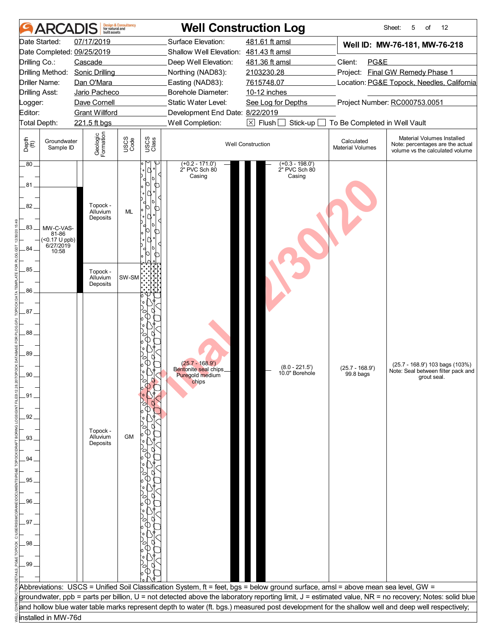|                                                                                    | ARCADIS                                                       | built assets                                          | <b>Design &amp; Consultancy</b><br>for natural and |                  |                                                                                      | <b>Well Construction Log</b>                                                                                                       |                                                                                | Sheet:<br>5<br>12<br>of                                                                                                                               |  |
|------------------------------------------------------------------------------------|---------------------------------------------------------------|-------------------------------------------------------|----------------------------------------------------|------------------|--------------------------------------------------------------------------------------|------------------------------------------------------------------------------------------------------------------------------------|--------------------------------------------------------------------------------|-------------------------------------------------------------------------------------------------------------------------------------------------------|--|
| Drilling Co.:                                                                      | Date Started:                                                 | 07/17/2019<br>Date Completed: 09/25/2019<br>Cascade   |                                                    |                  | Surface Elevation:<br>Shallow Well Elevation: 481.43 ft amsl<br>Deep Well Elevation: | 481.61 ft amsl<br>481.36 ft amsl                                                                                                   | Client:<br>PG&E                                                                | Well ID: MW-76-181, MW-76-218                                                                                                                         |  |
|                                                                                    | Drilling Method:<br>Driller Name:<br><b>Drilling Asst:</b>    | <b>Sonic Drilling</b><br>Dan O'Mara<br>Jario Pacheco  |                                                    |                  | Northing (NAD83):<br>Easting (NAD83):<br>Borehole Diameter:                          | 2103230.28<br>7615748.07<br>10-12 inches                                                                                           | Project: Final GW Remedy Phase 1<br>Location: PG&E Topock, Needles, California |                                                                                                                                                       |  |
| Logger:<br>Editor:                                                                 | Total Depth:                                                  | Dave Cornell<br><b>Grant Willford</b><br>221.5 ft bgs |                                                    |                  | Static Water Level:<br>Development End Date: 8/22/2019<br>Well Completion:           | Project Number: RC000753.0051<br>See Log for Depths<br>$\boxtimes$ Flush [<br>Stick-up<br>To Be Completed in Well Vault            |                                                                                |                                                                                                                                                       |  |
| Depth<br>$\bigoplus_{i=1}^{n}$                                                     | Groundwater<br>Sample ID                                      | Geologic<br>Formation                                 | USCS<br>Code                                       | USCS<br>Class    |                                                                                      | <b>Well Construction</b>                                                                                                           | Calculated<br><b>Material Volumes</b>                                          | Material Volumes Installed<br>Note: percentages are the actual<br>volume vs the calculated volume                                                     |  |
| .80.<br>81<br>82<br>83<br>84.                                                      | MW-C-VAS-<br>81-86<br>$($ < 0.17 U ppb)<br>6/27/2019<br>10:58 | Topock -<br>Alluvium<br>Deposits                      | ML                                                 | Œ<br>⋂<br>╓<br>切 | $(+0.2 - 171.0')$<br>2" PVC Sch 80<br>Casing                                         | $(+0.3 - 198.0')$<br>2" PVC Sch 80<br>Casing                                                                                       |                                                                                |                                                                                                                                                       |  |
| 85<br>86                                                                           |                                                               | Topock -<br>Alluvium<br>Deposits                      | SW-SM                                              |                  |                                                                                      |                                                                                                                                    |                                                                                |                                                                                                                                                       |  |
| 87.<br>88<br>89.<br>90<br>.91.<br>92<br>.93<br>94<br>.95<br>96<br>97<br>.98<br>.99 |                                                               | Topock -<br>Alluvium<br>Deposits                      | <b>GM</b>                                          |                  | $(25.7 - 168.9')$<br>Bentonite seal chips.<br>Puregold medium<br>chips               | $(8.0 - 221.5')$<br>10.0" Borehole                                                                                                 | $(25.7 - 168.9')$<br>99.8 bags                                                 | (25.7 - 168.9') 103 bags (103%)<br>Note: Seal between filter pack and<br>grout seal.                                                                  |  |
|                                                                                    |                                                               |                                                       |                                                    |                  |                                                                                      | Abbreviations: USCS = Unified Soil Classification System, ft = feet, bgs = below ground surface, amsl = above mean sea level, GW = |                                                                                | groundwater, ppb = parts per billion, U = not detected above the laboratory reporting limit, J = estimated value, NR = no recovery; Notes: solid blue |  |
|                                                                                    |                                                               |                                                       |                                                    |                  |                                                                                      |                                                                                                                                    |                                                                                | and hollow blue water table marks represent depth to water (ft. bgs.) measured post development for the shallow well and deep well respectively;      |  |
|                                                                                    | installed in MW-76d                                           |                                                       |                                                    |                  |                                                                                      |                                                                                                                                    |                                                                                |                                                                                                                                                       |  |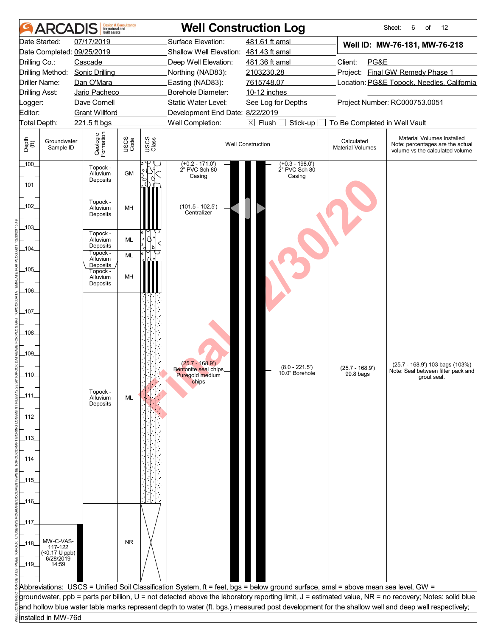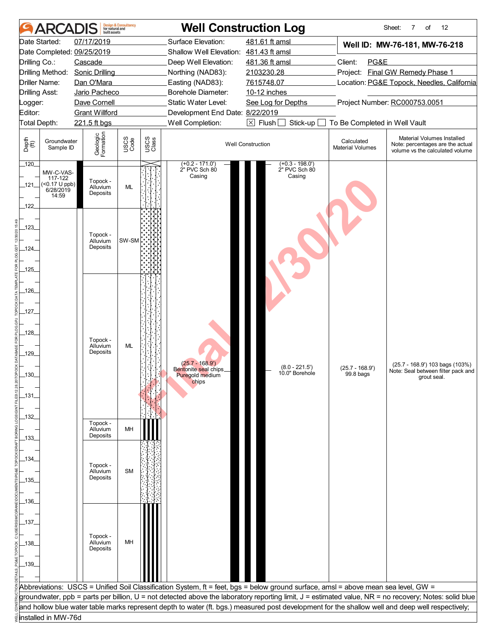|                                | ARCADIS                     | built assets                          | <b>Design &amp; Consultancy</b><br>for natural and |               |                                                     | <b>Well Construction Log</b>                                                                                                       |                                            | 12<br>Sheet:<br>7<br>of                                                                                                                               |  |  |
|--------------------------------|-----------------------------|---------------------------------------|----------------------------------------------------|---------------|-----------------------------------------------------|------------------------------------------------------------------------------------------------------------------------------------|--------------------------------------------|-------------------------------------------------------------------------------------------------------------------------------------------------------|--|--|
|                                | Date Started:               | 07/17/2019                            |                                                    |               | Surface Elevation:                                  | 481.61 ft amsl                                                                                                                     |                                            | Well ID: MW-76-181, MW-76-218                                                                                                                         |  |  |
|                                |                             | Date Completed: 09/25/2019            |                                                    |               | Shallow Well Elevation: 481.43 ft amsl              |                                                                                                                                    |                                            |                                                                                                                                                       |  |  |
| Drilling Co.:                  |                             | Cascade                               |                                                    |               | Deep Well Elevation:                                | 481.36 ft amsl                                                                                                                     | Client:<br>PG&E                            |                                                                                                                                                       |  |  |
|                                | Drilling Method:            | <b>Sonic Drilling</b>                 |                                                    |               | Northing (NAD83):                                   | 2103230.28                                                                                                                         |                                            | Project: Final GW Remedy Phase 1                                                                                                                      |  |  |
|                                | Driller Name:               | Dan O'Mara                            |                                                    |               | Easting (NAD83):                                    | 7615748.07                                                                                                                         | Location: PG&E Topock, Needles, California |                                                                                                                                                       |  |  |
| <b>Drilling Asst:</b>          |                             | Jario Pacheco                         |                                                    |               | Borehole Diameter:                                  | 10-12 inches                                                                                                                       |                                            |                                                                                                                                                       |  |  |
| Logger:                        |                             | Dave Cornell                          |                                                    |               | Static Water Level:                                 | See Log for Depths                                                                                                                 |                                            | Project Number: RC000753.0051                                                                                                                         |  |  |
| Editor:                        | Total Depth:                | <b>Grant Willford</b><br>221.5 ft bgs |                                                    |               | Development End Date: 8/22/2019<br>Well Completion: | $\boxtimes$ Flush<br>Stick-up                                                                                                      | To Be Completed in Well Vault              |                                                                                                                                                       |  |  |
|                                |                             |                                       |                                                    |               |                                                     |                                                                                                                                    |                                            |                                                                                                                                                       |  |  |
| Depth<br>$\bigoplus_{i=1}^{n}$ | Groundwater<br>Sample ID    | Geologic<br>Formation                 | USCS<br>Code                                       | USCS<br>Class |                                                     | <b>Well Construction</b>                                                                                                           | Calculated<br><b>Material Volumes</b>      | Material Volumes Installed<br>Note: percentages are the actual<br>volume vs the calculated volume                                                     |  |  |
| 120                            | MW-C-VAS-                   |                                       |                                                    |               | (+0.2 - 171.0')<br>2" PVC Sch 80                    | $(+0.3 - 198.0')$<br>2" PVC Sch 80                                                                                                 |                                            |                                                                                                                                                       |  |  |
| _121_                          | 117-122<br>$($ <0.17 U ppb) | Topock -<br>Alluvium                  | <b>ML</b>                                          |               | Casing                                              | Casing                                                                                                                             |                                            |                                                                                                                                                       |  |  |
|                                | 6/28/2019<br>14:59          | Deposits                              |                                                    |               |                                                     |                                                                                                                                    |                                            |                                                                                                                                                       |  |  |
| $-122$                         |                             |                                       |                                                    |               |                                                     |                                                                                                                                    |                                            |                                                                                                                                                       |  |  |
|                                |                             |                                       |                                                    |               |                                                     |                                                                                                                                    |                                            |                                                                                                                                                       |  |  |
| 123                            |                             |                                       |                                                    |               |                                                     |                                                                                                                                    |                                            |                                                                                                                                                       |  |  |
|                                |                             | Topock -<br>Alluvium                  | SW-SM                                              |               |                                                     |                                                                                                                                    |                                            |                                                                                                                                                       |  |  |
| _124_                          |                             | Deposits                              |                                                    |               |                                                     |                                                                                                                                    |                                            |                                                                                                                                                       |  |  |
|                                |                             |                                       |                                                    |               |                                                     |                                                                                                                                    |                                            |                                                                                                                                                       |  |  |
| 125                            |                             |                                       |                                                    |               |                                                     |                                                                                                                                    |                                            |                                                                                                                                                       |  |  |
|                                |                             |                                       |                                                    |               |                                                     |                                                                                                                                    |                                            |                                                                                                                                                       |  |  |
| $-126$                         |                             |                                       |                                                    |               |                                                     |                                                                                                                                    |                                            |                                                                                                                                                       |  |  |
|                                |                             |                                       |                                                    |               |                                                     |                                                                                                                                    |                                            |                                                                                                                                                       |  |  |
| $\_127\_$                      |                             |                                       |                                                    |               |                                                     |                                                                                                                                    |                                            |                                                                                                                                                       |  |  |
|                                |                             |                                       |                                                    |               |                                                     |                                                                                                                                    |                                            |                                                                                                                                                       |  |  |
| $-128$                         |                             | Topock -                              |                                                    |               |                                                     |                                                                                                                                    |                                            |                                                                                                                                                       |  |  |
|                                |                             | Alluvium                              | ML                                                 |               |                                                     |                                                                                                                                    |                                            |                                                                                                                                                       |  |  |
| $-129$                         |                             | Deposits                              |                                                    |               |                                                     |                                                                                                                                    |                                            |                                                                                                                                                       |  |  |
|                                |                             |                                       |                                                    |               | $(25.7 - 168.9')$<br>Bentonite seal chips.          | $(8.0 - 221.5')$<br>10.0" Borehole                                                                                                 | $(25.7 - 168.9')$                          | (25.7 - 168.9') 103 bags (103%)<br>Note: Seal between filter pack and                                                                                 |  |  |
| 130                            |                             |                                       |                                                    |               | Puregold medium<br>chips                            |                                                                                                                                    | 99.8 bags                                  | grout seal.                                                                                                                                           |  |  |
|                                |                             |                                       |                                                    |               |                                                     |                                                                                                                                    |                                            |                                                                                                                                                       |  |  |
| _131_                          |                             |                                       |                                                    |               |                                                     |                                                                                                                                    |                                            |                                                                                                                                                       |  |  |
| $-132$                         |                             |                                       |                                                    |               |                                                     |                                                                                                                                    |                                            |                                                                                                                                                       |  |  |
|                                |                             | Topock -                              |                                                    |               |                                                     |                                                                                                                                    |                                            |                                                                                                                                                       |  |  |
| _133_                          |                             | Alluvium<br>Deposits                  | MH                                                 |               |                                                     |                                                                                                                                    |                                            |                                                                                                                                                       |  |  |
|                                |                             |                                       |                                                    |               |                                                     |                                                                                                                                    |                                            |                                                                                                                                                       |  |  |
| _134_                          |                             |                                       |                                                    |               |                                                     |                                                                                                                                    |                                            |                                                                                                                                                       |  |  |
|                                |                             | Topock -<br>Alluvium                  | <b>SM</b>                                          |               |                                                     |                                                                                                                                    |                                            |                                                                                                                                                       |  |  |
| _135_                          |                             | Deposits                              |                                                    |               |                                                     |                                                                                                                                    |                                            |                                                                                                                                                       |  |  |
|                                |                             |                                       |                                                    |               |                                                     |                                                                                                                                    |                                            |                                                                                                                                                       |  |  |
| _136_                          |                             |                                       |                                                    |               |                                                     |                                                                                                                                    |                                            |                                                                                                                                                       |  |  |
|                                |                             |                                       |                                                    |               |                                                     |                                                                                                                                    |                                            |                                                                                                                                                       |  |  |
| _137_                          |                             |                                       |                                                    |               |                                                     |                                                                                                                                    |                                            |                                                                                                                                                       |  |  |
|                                |                             |                                       |                                                    |               |                                                     |                                                                                                                                    |                                            |                                                                                                                                                       |  |  |
| _138_                          |                             | Topock -<br>Alluvium                  | MH                                                 |               |                                                     |                                                                                                                                    |                                            |                                                                                                                                                       |  |  |
|                                |                             | Deposits                              |                                                    |               |                                                     |                                                                                                                                    |                                            |                                                                                                                                                       |  |  |
| $-139$                         |                             |                                       |                                                    |               |                                                     |                                                                                                                                    |                                            |                                                                                                                                                       |  |  |
|                                |                             |                                       |                                                    |               |                                                     |                                                                                                                                    |                                            |                                                                                                                                                       |  |  |
|                                |                             |                                       |                                                    |               |                                                     | Abbreviations: USCS = Unified Soil Classification System, ft = feet, bgs = below ground surface, amsl = above mean sea level, GW = |                                            |                                                                                                                                                       |  |  |
|                                |                             |                                       |                                                    |               |                                                     |                                                                                                                                    |                                            | groundwater, ppb = parts per billion, U = not detected above the laboratory reporting limit, J = estimated value, NR = no recovery; Notes: solid blue |  |  |
|                                |                             |                                       |                                                    |               |                                                     |                                                                                                                                    |                                            | and hollow blue water table marks represent depth to water (ft. bgs.) measured post development for the shallow well and deep well respectively;      |  |  |
|                                | installed in MW-76d         |                                       |                                                    |               |                                                     |                                                                                                                                    |                                            |                                                                                                                                                       |  |  |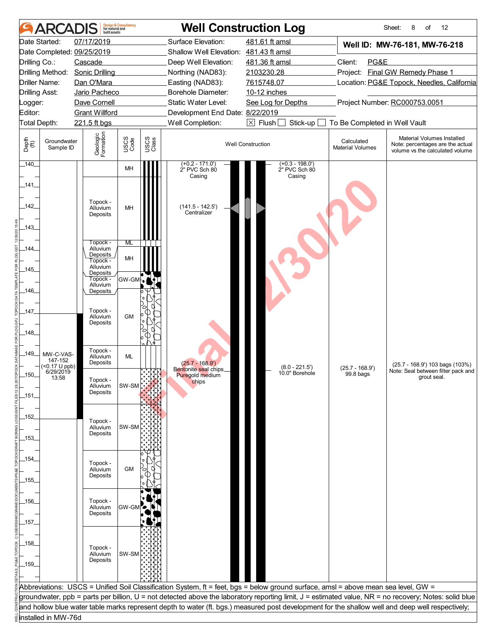|                                | ARCADIS                      | built assets                     | <b>Design &amp; Consultancy</b><br>for natural and |               |                                          | <b>Well Construction Log</b>                                                                                                       |                                       | Sheet:<br>12<br>8<br>of                                                                                                                               |  |  |
|--------------------------------|------------------------------|----------------------------------|----------------------------------------------------|---------------|------------------------------------------|------------------------------------------------------------------------------------------------------------------------------------|---------------------------------------|-------------------------------------------------------------------------------------------------------------------------------------------------------|--|--|
|                                | Date Started:                | 07/17/2019                       |                                                    |               | Surface Elevation:                       | 481.61 ft amsl                                                                                                                     |                                       | Well ID: MW-76-181, MW-76-218                                                                                                                         |  |  |
|                                |                              | Date Completed: 09/25/2019       |                                                    |               | Shallow Well Elevation: 481.43 ft amsl   |                                                                                                                                    |                                       |                                                                                                                                                       |  |  |
| Drilling Co.:                  |                              | Cascade                          |                                                    |               | Deep Well Elevation:                     | 481.36 ft amsl                                                                                                                     | Client:<br>PG&E                       |                                                                                                                                                       |  |  |
|                                | Drilling Method:             | <b>Sonic Drilling</b>            |                                                    |               | Northing (NAD83):                        | 2103230.28                                                                                                                         |                                       | Project: Final GW Remedy Phase 1                                                                                                                      |  |  |
|                                | <b>Driller Name:</b>         | Dan O'Mara                       |                                                    |               | Easting (NAD83):                         | 7615748.07                                                                                                                         |                                       | Location: PG&E Topock, Needles, California                                                                                                            |  |  |
| <b>Drilling Asst:</b>          |                              | Jario Pacheco                    |                                                    |               | Borehole Diameter:                       | 10-12 inches                                                                                                                       |                                       |                                                                                                                                                       |  |  |
| Logger:                        |                              | Dave Cornell                     |                                                    |               | Static Water Level:                      | Project Number: RC000753.0051<br>See Log for Depths                                                                                |                                       |                                                                                                                                                       |  |  |
| Editor:                        |                              | <b>Grant Willford</b>            |                                                    |               | Development End Date: 8/22/2019          |                                                                                                                                    |                                       |                                                                                                                                                       |  |  |
|                                | Total Depth:                 | 221.5 ft bgs                     |                                                    |               | Well Completion:                         | $\boxtimes$ Flush [<br>Stick-up                                                                                                    | To Be Completed in Well Vault         |                                                                                                                                                       |  |  |
| Depth<br>$\bigoplus_{i=1}^{n}$ | Groundwater<br>Sample ID     | Geologic<br>Formation            | USCS<br>Code                                       | USCS<br>Class |                                          | <b>Well Construction</b>                                                                                                           | Calculated<br><b>Material Volumes</b> | Material Volumes Installed<br>Note: percentages are the actual<br>volume vs the calculated volume                                                     |  |  |
| 140                            |                              |                                  | MH                                                 |               | (+0.2 - 171.0')<br>2" PVC Sch 80         | $(+0.3 - 198.0')$<br>2" PVC Sch 80                                                                                                 |                                       |                                                                                                                                                       |  |  |
| _141_                          |                              |                                  |                                                    |               | Casing                                   | Casing                                                                                                                             |                                       |                                                                                                                                                       |  |  |
| $-142$                         |                              | Topock -<br>Alluvium<br>Deposits | MH                                                 |               | $(141.5 - 142.5')$<br>Centralizer        |                                                                                                                                    |                                       |                                                                                                                                                       |  |  |
| $-143$                         |                              |                                  |                                                    |               |                                          |                                                                                                                                    |                                       |                                                                                                                                                       |  |  |
| _144_                          |                              | Topock -<br>Alluvium             | ML                                                 |               |                                          |                                                                                                                                    |                                       |                                                                                                                                                       |  |  |
|                                |                              | Deposits<br>Topock -             | MH                                                 |               |                                          |                                                                                                                                    |                                       |                                                                                                                                                       |  |  |
| _145_                          |                              | Alluvium                         |                                                    |               |                                          |                                                                                                                                    |                                       |                                                                                                                                                       |  |  |
|                                |                              | Deposits<br>Topock -             | GW-GM                                              |               |                                          |                                                                                                                                    |                                       |                                                                                                                                                       |  |  |
| $-146$                         |                              | Alluvium<br>Deposits             |                                                    |               |                                          |                                                                                                                                    |                                       |                                                                                                                                                       |  |  |
|                                |                              |                                  |                                                    |               |                                          |                                                                                                                                    |                                       |                                                                                                                                                       |  |  |
| $-147$                         |                              | Topock -                         |                                                    |               |                                          |                                                                                                                                    |                                       |                                                                                                                                                       |  |  |
|                                |                              | Alluvium<br>Deposits             | <b>GM</b>                                          |               |                                          |                                                                                                                                    |                                       |                                                                                                                                                       |  |  |
| $-148$                         |                              |                                  |                                                    |               |                                          |                                                                                                                                    |                                       |                                                                                                                                                       |  |  |
|                                |                              |                                  |                                                    |               |                                          |                                                                                                                                    |                                       |                                                                                                                                                       |  |  |
| $-149$                         | MW-C-VAS-                    | Topock -                         |                                                    |               |                                          |                                                                                                                                    |                                       |                                                                                                                                                       |  |  |
|                                | 147-152<br>$($ < 0.17 U ppb) | Alluvium<br>Deposits             | ML                                                 |               | $(25.7 - 168.9')$                        |                                                                                                                                    |                                       | (25.7 - 168.9') 103 bags (103%)                                                                                                                       |  |  |
| 150                            | 6/29/2019                    |                                  |                                                    | <b>TAR</b>    | Bentonite seal chips.<br>Puregold medium | $(8.0 - 221.5')$<br>10.0" Borehole                                                                                                 | $(25.7 - 168.9')$<br>99.8 bags        | Note: Seal between filter pack and                                                                                                                    |  |  |
|                                | 13:58                        | Topock -<br>Alluvium             | SW-SM                                              |               | chips                                    |                                                                                                                                    |                                       | grout seal.                                                                                                                                           |  |  |
| _151_                          |                              | Deposits                         |                                                    |               |                                          |                                                                                                                                    |                                       |                                                                                                                                                       |  |  |
|                                |                              |                                  |                                                    |               |                                          |                                                                                                                                    |                                       |                                                                                                                                                       |  |  |
| $-152$                         |                              |                                  |                                                    |               |                                          |                                                                                                                                    |                                       |                                                                                                                                                       |  |  |
|                                |                              | Topock -<br>Alluvium             | SW-SM                                              |               |                                          |                                                                                                                                    |                                       |                                                                                                                                                       |  |  |
| _153_                          |                              | Deposits                         |                                                    |               |                                          |                                                                                                                                    |                                       |                                                                                                                                                       |  |  |
|                                |                              |                                  |                                                    |               |                                          |                                                                                                                                    |                                       |                                                                                                                                                       |  |  |
| _154_                          |                              |                                  |                                                    |               |                                          |                                                                                                                                    |                                       |                                                                                                                                                       |  |  |
|                                |                              | Topock -<br>Alluvium             | <b>GM</b>                                          |               |                                          |                                                                                                                                    |                                       |                                                                                                                                                       |  |  |
| _155_                          |                              | Deposits                         |                                                    |               |                                          |                                                                                                                                    |                                       |                                                                                                                                                       |  |  |
|                                |                              |                                  |                                                    |               |                                          |                                                                                                                                    |                                       |                                                                                                                                                       |  |  |
| _156_                          |                              | Topock -                         |                                                    |               |                                          |                                                                                                                                    |                                       |                                                                                                                                                       |  |  |
|                                |                              | Alluvium                         | GW-GM <sup>7</sup>                                 |               |                                          |                                                                                                                                    |                                       |                                                                                                                                                       |  |  |
|                                |                              | Deposits                         |                                                    |               |                                          |                                                                                                                                    |                                       |                                                                                                                                                       |  |  |
| _157_                          |                              |                                  |                                                    |               |                                          |                                                                                                                                    |                                       |                                                                                                                                                       |  |  |
|                                |                              |                                  |                                                    |               |                                          |                                                                                                                                    |                                       |                                                                                                                                                       |  |  |
| _158_                          |                              | Topock -                         |                                                    |               |                                          |                                                                                                                                    |                                       |                                                                                                                                                       |  |  |
|                                |                              | Alluvium<br>Deposits             | SW-SM                                              |               |                                          |                                                                                                                                    |                                       |                                                                                                                                                       |  |  |
| _159_                          |                              |                                  |                                                    |               |                                          |                                                                                                                                    |                                       |                                                                                                                                                       |  |  |
|                                |                              |                                  |                                                    |               |                                          |                                                                                                                                    |                                       |                                                                                                                                                       |  |  |
|                                |                              |                                  |                                                    |               |                                          | Abbreviations: USCS = Unified Soil Classification System, ft = feet, bgs = below ground surface, amsl = above mean sea level, GW = |                                       |                                                                                                                                                       |  |  |
|                                |                              |                                  |                                                    |               |                                          |                                                                                                                                    |                                       | groundwater, ppb = parts per billion, U = not detected above the laboratory reporting limit, J = estimated value, NR = no recovery; Notes: solid blue |  |  |
|                                |                              |                                  |                                                    |               |                                          |                                                                                                                                    |                                       | and hollow blue water table marks represent depth to water (ft. bgs.) measured post development for the shallow well and deep well respectively;      |  |  |
|                                | installed in MW-76d          |                                  |                                                    |               |                                          |                                                                                                                                    |                                       |                                                                                                                                                       |  |  |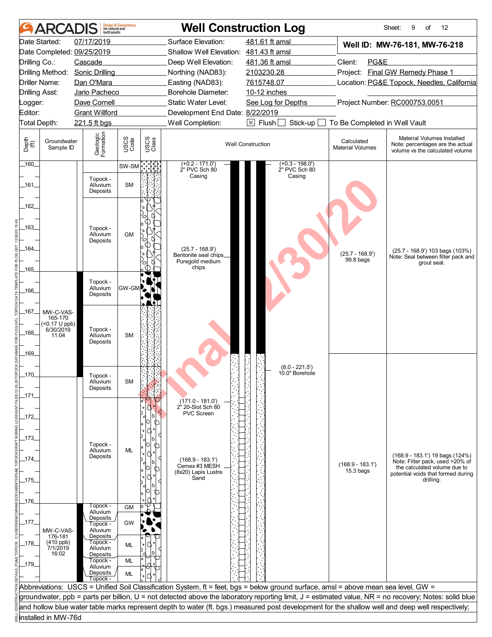|                                | ARCADIS                  | built assets               | <b>Design &amp; Consultancy</b><br>for natural and |               |                                            | <b>Well Construction Log</b>                                                                                                       |                                       | Sheet:<br>12<br>9<br>of                                                                                                                               |  |
|--------------------------------|--------------------------|----------------------------|----------------------------------------------------|---------------|--------------------------------------------|------------------------------------------------------------------------------------------------------------------------------------|---------------------------------------|-------------------------------------------------------------------------------------------------------------------------------------------------------|--|
|                                | Date Started:            | 07/17/2019                 |                                                    |               | Surface Elevation:                         | 481.61 ft amsl                                                                                                                     |                                       | Well ID: MW-76-181, MW-76-218                                                                                                                         |  |
|                                |                          | Date Completed: 09/25/2019 |                                                    |               | Shallow Well Elevation: 481.43 ft amsl     |                                                                                                                                    |                                       |                                                                                                                                                       |  |
| Drilling Co.:                  |                          | Cascade                    |                                                    |               | Deep Well Elevation:                       | 481.36 ft amsl                                                                                                                     | Client:<br>PG&E                       |                                                                                                                                                       |  |
|                                | Drilling Method:         | <b>Sonic Drilling</b>      |                                                    |               | Northing (NAD83):                          | Project: Final GW Remedy Phase 1<br>2103230.28                                                                                     |                                       |                                                                                                                                                       |  |
|                                | Driller Name:            | Dan O'Mara                 |                                                    |               | Easting (NAD83):                           | 7615748.07                                                                                                                         |                                       | Location: PG&E Topock, Needles, California                                                                                                            |  |
| <b>Drilling Asst:</b>          |                          | Jario Pacheco              |                                                    |               | Borehole Diameter:                         | 10-12 inches                                                                                                                       |                                       |                                                                                                                                                       |  |
| _ogger:                        |                          | Dave Cornell               |                                                    |               | Static Water Level:                        | See Log for Depths                                                                                                                 |                                       | Project Number: RC000753.0051                                                                                                                         |  |
| Editor:                        |                          | <b>Grant Willford</b>      |                                                    |               | Development End Date: 8/22/2019            |                                                                                                                                    |                                       |                                                                                                                                                       |  |
| Total Depth:                   |                          | 221.5 ft bgs               |                                                    |               | Well Completion:                           | $\boxed{\times}$ Flush<br>Stick-up                                                                                                 | To Be Completed in Well Vault         |                                                                                                                                                       |  |
| Depth<br>$\bigoplus_{i=1}^{n}$ | Groundwater<br>Sample ID | Geologic<br>Formation      | USCS<br>Code                                       | USCS<br>Class |                                            | <b>Well Construction</b>                                                                                                           | Calculated<br><b>Material Volumes</b> | Material Volumes Installed<br>Note: percentages are the actual<br>volume vs the calculated volume                                                     |  |
| $160$ <sub>-</sub>             |                          |                            | SW-SM                                              |               | $(+0.2 - 171.0')$<br>2" PVC Sch 80         | $(+0.3 - 198.0')$<br>2" PVC Sch 80                                                                                                 |                                       |                                                                                                                                                       |  |
|                                |                          | Topock -                   |                                                    |               | Casing                                     | Casing                                                                                                                             |                                       |                                                                                                                                                       |  |
| _161_                          |                          | Alluvium<br>Deposits       | <b>SM</b>                                          |               |                                            |                                                                                                                                    |                                       |                                                                                                                                                       |  |
| $-162$                         |                          |                            |                                                    |               |                                            |                                                                                                                                    |                                       |                                                                                                                                                       |  |
| _163_                          |                          | Topock -<br>Alluvium       | <b>GM</b>                                          |               |                                            |                                                                                                                                    |                                       |                                                                                                                                                       |  |
|                                |                          | Deposits                   |                                                    |               |                                            |                                                                                                                                    |                                       |                                                                                                                                                       |  |
| -164                           |                          |                            |                                                    |               | $(25.7 - 168.9')$<br>Bentonite seal chips_ |                                                                                                                                    | $(25.7 - 168.9')$                     | $(25.7 - 168.9)$ 103 bags $(103%)$                                                                                                                    |  |
|                                |                          |                            |                                                    |               | Puregold medium                            |                                                                                                                                    | 99.8 bags                             | Note: Seal between filter pack and<br>grout seal.                                                                                                     |  |
| $-165$                         |                          |                            |                                                    |               | chips                                      |                                                                                                                                    |                                       |                                                                                                                                                       |  |
|                                |                          | Topock -                   |                                                    |               |                                            |                                                                                                                                    |                                       |                                                                                                                                                       |  |
| _166_                          |                          | Alluvium<br>Deposits       | GW-GM                                              |               |                                            |                                                                                                                                    |                                       |                                                                                                                                                       |  |
|                                |                          |                            |                                                    |               |                                            |                                                                                                                                    |                                       |                                                                                                                                                       |  |
| _167_                          | MW-C-VAS-                |                            |                                                    |               |                                            |                                                                                                                                    |                                       |                                                                                                                                                       |  |
|                                | 165-170<br>(<0.17 U ppb) |                            |                                                    |               |                                            |                                                                                                                                    |                                       |                                                                                                                                                       |  |
| $-168$                         | 6/30/2019<br>11:04       | Topock -<br>Alluvium       | <b>SM</b>                                          |               |                                            |                                                                                                                                    |                                       |                                                                                                                                                       |  |
|                                |                          | Deposits                   |                                                    |               |                                            |                                                                                                                                    |                                       |                                                                                                                                                       |  |
| _169_                          |                          |                            |                                                    |               |                                            |                                                                                                                                    |                                       |                                                                                                                                                       |  |
|                                |                          |                            |                                                    |               |                                            |                                                                                                                                    |                                       |                                                                                                                                                       |  |
| 170                            |                          | Topock -                   |                                                    |               |                                            | $(8.0 - 221.5')$<br>10.0" Borehole                                                                                                 |                                       |                                                                                                                                                       |  |
|                                |                          | Alluvium                   | <b>SM</b>                                          |               |                                            |                                                                                                                                    |                                       |                                                                                                                                                       |  |
| $-171$                         |                          | Deposits                   |                                                    |               |                                            |                                                                                                                                    |                                       |                                                                                                                                                       |  |
|                                |                          |                            |                                                    |               | $(171.0 - 181.0)$<br>2" 20-Slot Sch 80     |                                                                                                                                    |                                       |                                                                                                                                                       |  |
| _172_                          |                          |                            |                                                    |               | PVC Screen                                 |                                                                                                                                    |                                       |                                                                                                                                                       |  |
|                                |                          |                            |                                                    |               |                                            |                                                                                                                                    |                                       |                                                                                                                                                       |  |
|                                |                          |                            |                                                    |               |                                            |                                                                                                                                    |                                       |                                                                                                                                                       |  |
| _173_                          |                          | Topock -                   |                                                    |               |                                            |                                                                                                                                    |                                       |                                                                                                                                                       |  |
|                                |                          | Alluvium<br>Deposits       | ML                                                 |               |                                            |                                                                                                                                    |                                       | (168.9 - 183.1') 19 bags (124%)                                                                                                                       |  |
| _174_                          |                          |                            |                                                    |               | $(168.9 - 183.1')$<br>Cemex #3 MESH        |                                                                                                                                    | $(168.9 - 183.1')$                    | Note: Filter pack, used >20% of<br>the calculated volume due to                                                                                       |  |
|                                |                          |                            |                                                    | ⋂             | (8x20) Lapis Lustre<br>Sand                |                                                                                                                                    | $15.3$ bags                           | potential voids that formed during                                                                                                                    |  |
| $-175$                         |                          |                            |                                                    |               |                                            |                                                                                                                                    |                                       | drilling.                                                                                                                                             |  |
|                                |                          |                            |                                                    |               |                                            |                                                                                                                                    |                                       |                                                                                                                                                       |  |
| 176                            |                          | Topock -                   | <b>GM</b>                                          |               |                                            |                                                                                                                                    |                                       |                                                                                                                                                       |  |
|                                |                          | Alluvium<br>Deposits       |                                                    |               |                                            |                                                                                                                                    |                                       |                                                                                                                                                       |  |
| $-177$                         |                          | Topock -                   | GW                                                 |               |                                            |                                                                                                                                    |                                       |                                                                                                                                                       |  |
|                                | MW-C-VAS-<br>176-181     | Alluvium<br>Deposits       |                                                    |               |                                            |                                                                                                                                    |                                       |                                                                                                                                                       |  |
| _178_                          | $(410$ ppb)<br>7/1/2019  | Topock -<br>Alluvium       | ML                                                 |               |                                            |                                                                                                                                    |                                       |                                                                                                                                                       |  |
|                                | 16:02                    | Deposits                   |                                                    |               |                                            |                                                                                                                                    |                                       |                                                                                                                                                       |  |
| $-179$                         |                          | Topock -<br>Alluvium       | <b>ML</b>                                          |               |                                            |                                                                                                                                    |                                       |                                                                                                                                                       |  |
|                                |                          | Deposits                   | <b>ML</b>                                          |               |                                            |                                                                                                                                    |                                       |                                                                                                                                                       |  |
|                                |                          | Topock -                   |                                                    |               |                                            | Abbreviations: USCS = Unified Soil Classification System, ft = feet, bgs = below ground surface, amsl = above mean sea level, GW = |                                       |                                                                                                                                                       |  |
|                                |                          |                            |                                                    |               |                                            |                                                                                                                                    |                                       | groundwater, ppb = parts per billion, U = not detected above the laboratory reporting limit, J = estimated value, NR = no recovery; Notes: solid blue |  |
|                                |                          |                            |                                                    |               |                                            |                                                                                                                                    |                                       | and hollow blue water table marks represent depth to water (ft. bgs.) measured post development for the shallow well and deep well respectively;      |  |
|                                | installed in MW-76d      |                            |                                                    |               |                                            |                                                                                                                                    |                                       |                                                                                                                                                       |  |
|                                |                          |                            |                                                    |               |                                            |                                                                                                                                    |                                       |                                                                                                                                                       |  |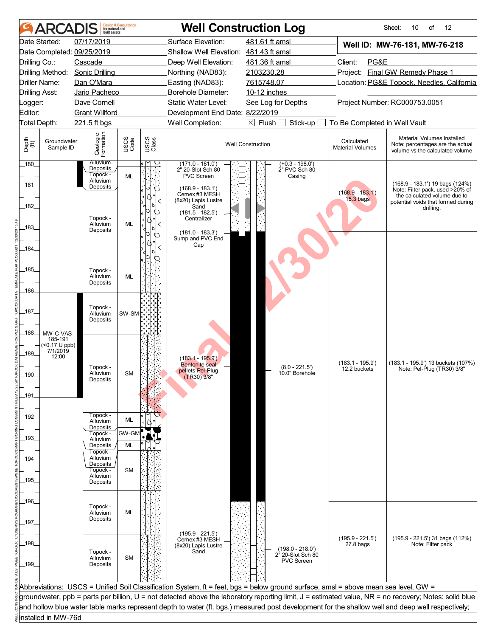|                       | ARCADIS                  | built assets                | <b>Design &amp; Consultancy</b><br>for natural and |                      |                                                                                 | <b>Well Construction Log</b>                                                                                                       |                                                     | Sheet:<br>of<br>12<br>10                                                                                                                              |  |  |
|-----------------------|--------------------------|-----------------------------|----------------------------------------------------|----------------------|---------------------------------------------------------------------------------|------------------------------------------------------------------------------------------------------------------------------------|-----------------------------------------------------|-------------------------------------------------------------------------------------------------------------------------------------------------------|--|--|
|                       | Date Started:            | 07/17/2019                  |                                                    |                      | Surface Elevation:                                                              | 481.61 ft amsl                                                                                                                     |                                                     | Well ID: MW-76-181, MW-76-218                                                                                                                         |  |  |
|                       |                          | Date Completed: 09/25/2019  |                                                    |                      | Shallow Well Elevation: 481.43 ft amsl                                          |                                                                                                                                    |                                                     |                                                                                                                                                       |  |  |
| Drilling Co.:         |                          | Cascade                     |                                                    | Deep Well Elevation: |                                                                                 | 481.36 ft amsl                                                                                                                     | Client:<br>PG&E                                     |                                                                                                                                                       |  |  |
|                       | Drilling Method:         | <b>Sonic Drilling</b>       |                                                    |                      | Northing (NAD83):                                                               | 2103230.28                                                                                                                         |                                                     | Project: Final GW Remedy Phase 1                                                                                                                      |  |  |
|                       | <b>Driller Name:</b>     | Dan O'Mara                  |                                                    | Easting (NAD83):     |                                                                                 | 7615748.07                                                                                                                         | Location: PG&E Topock, Needles, California          |                                                                                                                                                       |  |  |
| <b>Drilling Asst:</b> |                          | Jario Pacheco               |                                                    |                      | <b>Borehole Diameter:</b>                                                       | 10-12 inches                                                                                                                       |                                                     |                                                                                                                                                       |  |  |
| Logger:               |                          | Dave Cornell                |                                                    |                      | Static Water Level:                                                             |                                                                                                                                    | Project Number: RC000753.0051<br>See Log for Depths |                                                                                                                                                       |  |  |
| Editor:               |                          | <b>Grant Willford</b>       |                                                    |                      | Development End Date: 8/22/2019                                                 | $\overline{X}$ Flush                                                                                                               |                                                     |                                                                                                                                                       |  |  |
| Total Depth:          |                          | 221.5 ft bgs                |                                                    |                      | Well Completion:                                                                | Stick-up                                                                                                                           | To Be Completed in Well Vault                       |                                                                                                                                                       |  |  |
| Depth<br>(ff)         | Groundwater<br>Sample ID | Geologic<br>Formation       | USCS<br>Code                                       | USCS<br>Class        |                                                                                 | <b>Well Construction</b>                                                                                                           | Calculated<br><b>Material Volumes</b>               | Material Volumes Installed<br>Note: percentages are the actual<br>volume vs the calculated volume                                                     |  |  |
| $180$ <sub>-</sub>    |                          | <b>Alluvium</b><br>Deposits |                                                    |                      | $(171.0 - 181.0)$<br>2" 20-Slot Sch 80                                          | $(+0.3 - 198.0')$<br>2" PVC Sch 80                                                                                                 |                                                     |                                                                                                                                                       |  |  |
|                       |                          | Topock -<br>Alluvium        | ML                                                 |                      | <b>PVC Screen</b>                                                               | Casing                                                                                                                             |                                                     |                                                                                                                                                       |  |  |
| _181_                 |                          | Deposits                    |                                                    |                      | $(168.9 - 183.1')$                                                              |                                                                                                                                    |                                                     | (168.9 - 183.1') 19 bags (124%)<br>Note: Filter pack, used >20% of                                                                                    |  |  |
| .182<br>$-183$        |                          | Topock -<br>Alluvium        | ML                                                 | ൱                    | Cemex #3 MESH<br>(8x20) Lapis Lustre<br>Sand<br>(181.5 - 182.5')<br>Centralizer |                                                                                                                                    | $(168.9 - 183.1')$<br>$15.3$ bags                   | the calculated volume due to<br>potential voids that formed during<br>drilling.                                                                       |  |  |
|                       |                          | Deposits                    |                                                    | ⋂                    | $(181.0 - 183.3')$<br>Sump and PVC End                                          |                                                                                                                                    |                                                     |                                                                                                                                                       |  |  |
| -184-                 |                          |                             |                                                    |                      | Cap                                                                             |                                                                                                                                    |                                                     |                                                                                                                                                       |  |  |
|                       |                          |                             |                                                    |                      |                                                                                 |                                                                                                                                    |                                                     |                                                                                                                                                       |  |  |
| _185_                 |                          | Topock -                    |                                                    |                      |                                                                                 |                                                                                                                                    |                                                     |                                                                                                                                                       |  |  |
|                       |                          | Alluvium<br>Deposits        | <b>ML</b>                                          |                      |                                                                                 |                                                                                                                                    |                                                     |                                                                                                                                                       |  |  |
| 186                   |                          |                             |                                                    |                      |                                                                                 |                                                                                                                                    |                                                     |                                                                                                                                                       |  |  |
|                       |                          |                             |                                                    |                      |                                                                                 |                                                                                                                                    |                                                     |                                                                                                                                                       |  |  |
| $\_187\_$             |                          | Topock -<br>Alluvium        | SW-SM                                              |                      |                                                                                 |                                                                                                                                    |                                                     |                                                                                                                                                       |  |  |
|                       |                          | Deposits                    |                                                    |                      |                                                                                 |                                                                                                                                    |                                                     |                                                                                                                                                       |  |  |
| _188_                 | MW-C-VAS-                |                             |                                                    |                      |                                                                                 |                                                                                                                                    |                                                     |                                                                                                                                                       |  |  |
|                       | 185-191<br>(<0.17 U ppb) |                             |                                                    |                      |                                                                                 |                                                                                                                                    |                                                     |                                                                                                                                                       |  |  |
| $-189$                | 7/1/2019                 |                             |                                                    |                      |                                                                                 |                                                                                                                                    |                                                     |                                                                                                                                                       |  |  |
|                       | 12:00                    |                             |                                                    |                      | $(183.1 - 195.9)$<br><b>Bentonite</b> seal                                      |                                                                                                                                    | $(183.1 - 195.9')$                                  | (183.1 - 195.9') 13 buckets (107%)                                                                                                                    |  |  |
| 190                   |                          | Topock -<br>Alluvium        | <b>SM</b>                                          |                      | pellets Pel-Plug<br>(TR30) 3/8"                                                 | $(8.0 - 221.5')$<br>10.0" Borehole                                                                                                 | 12.2 buckets                                        | Note: Pel-Plug (TR30) 3/8"                                                                                                                            |  |  |
|                       |                          | Deposits                    |                                                    |                      |                                                                                 |                                                                                                                                    |                                                     |                                                                                                                                                       |  |  |
| _191_                 |                          |                             |                                                    |                      |                                                                                 |                                                                                                                                    |                                                     |                                                                                                                                                       |  |  |
|                       |                          |                             |                                                    |                      |                                                                                 |                                                                                                                                    |                                                     |                                                                                                                                                       |  |  |
| $-192$                |                          | Topock -                    |                                                    |                      |                                                                                 |                                                                                                                                    |                                                     |                                                                                                                                                       |  |  |
|                       |                          | Alluvium<br>Deposits        | ML                                                 |                      |                                                                                 |                                                                                                                                    |                                                     |                                                                                                                                                       |  |  |
| _193_                 |                          | Topock -<br>Alluvium        | GW-GM                                              |                      |                                                                                 |                                                                                                                                    |                                                     |                                                                                                                                                       |  |  |
|                       |                          | Deposits                    | ML                                                 |                      |                                                                                 |                                                                                                                                    |                                                     |                                                                                                                                                       |  |  |
| $-194$                |                          | Topock -<br>Alluvium        |                                                    |                      |                                                                                 |                                                                                                                                    |                                                     |                                                                                                                                                       |  |  |
|                       |                          | Deposits<br>Topock -        | <b>SM</b>                                          |                      |                                                                                 |                                                                                                                                    |                                                     |                                                                                                                                                       |  |  |
| _195_                 |                          | Alluvium                    |                                                    |                      |                                                                                 |                                                                                                                                    |                                                     |                                                                                                                                                       |  |  |
|                       |                          | Deposits                    |                                                    |                      |                                                                                 |                                                                                                                                    |                                                     |                                                                                                                                                       |  |  |
| _196_                 |                          |                             |                                                    |                      |                                                                                 |                                                                                                                                    |                                                     |                                                                                                                                                       |  |  |
|                       |                          | Topock -<br>Alluvium        | ML                                                 |                      |                                                                                 |                                                                                                                                    |                                                     |                                                                                                                                                       |  |  |
| _197_                 |                          | Deposits                    |                                                    |                      |                                                                                 |                                                                                                                                    |                                                     |                                                                                                                                                       |  |  |
|                       |                          |                             |                                                    |                      |                                                                                 |                                                                                                                                    |                                                     |                                                                                                                                                       |  |  |
| _198_                 |                          |                             |                                                    |                      | $(195.9 - 221.5)$<br>Cemex #3 MESH                                              |                                                                                                                                    | $(195.9 - 221.5')$                                  | $(195.9 - 221.5)$ 31 bags $(112%)$                                                                                                                    |  |  |
|                       |                          | Topock -                    |                                                    |                      | (8x20) Lapis Lustre<br>Sand                                                     | $(198.0 - 218.0')$                                                                                                                 | $27.8$ bags                                         | Note: Filter pack                                                                                                                                     |  |  |
|                       |                          | Alluvium                    | <b>SM</b>                                          |                      |                                                                                 | 2 <sup>h</sup> 20-Slot Sch 80<br><b>PVC Screen</b>                                                                                 |                                                     |                                                                                                                                                       |  |  |
| _199_                 |                          | Deposits                    |                                                    |                      |                                                                                 |                                                                                                                                    |                                                     |                                                                                                                                                       |  |  |
|                       |                          |                             |                                                    |                      |                                                                                 |                                                                                                                                    |                                                     |                                                                                                                                                       |  |  |
|                       |                          |                             |                                                    |                      |                                                                                 | Abbreviations: USCS = Unified Soil Classification System, ft = feet, bgs = below ground surface, amsl = above mean sea level, GW = |                                                     |                                                                                                                                                       |  |  |
|                       |                          |                             |                                                    |                      |                                                                                 |                                                                                                                                    |                                                     | groundwater, ppb = parts per billion, U = not detected above the laboratory reporting limit, J = estimated value, NR = no recovery; Notes: solid blue |  |  |
|                       |                          |                             |                                                    |                      |                                                                                 |                                                                                                                                    |                                                     | and hollow blue water table marks represent depth to water (ft. bgs.) measured post development for the shallow well and deep well respectively;      |  |  |
|                       | installed in MW-76d      |                             |                                                    |                      |                                                                                 |                                                                                                                                    |                                                     |                                                                                                                                                       |  |  |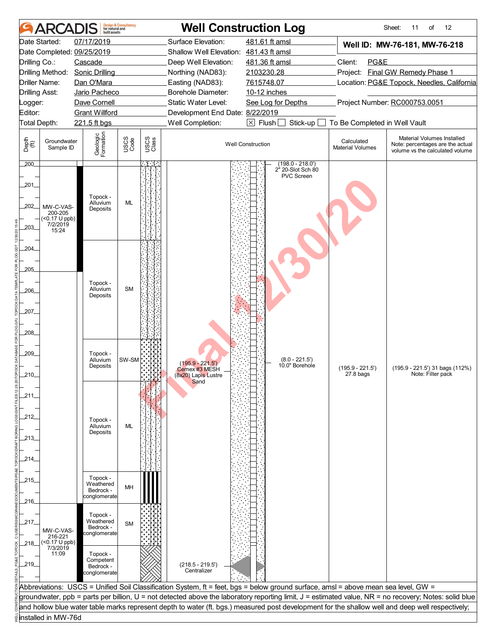|               | <b>ARCAI</b>                              | huilt assets                     | <b>Design &amp; Consultancy</b><br>for natural and |               |                                        | <b>Well Construction Log</b>                                                                                                                     |                                            | 12<br>Sheet:<br>of<br>11                                                                                                                              |  |
|---------------|-------------------------------------------|----------------------------------|----------------------------------------------------|---------------|----------------------------------------|--------------------------------------------------------------------------------------------------------------------------------------------------|--------------------------------------------|-------------------------------------------------------------------------------------------------------------------------------------------------------|--|
|               | Date Started:                             | 07/17/2019                       |                                                    |               | Surface Elevation:                     | 481.61 ft amsl                                                                                                                                   |                                            | Well ID: MW-76-181, MW-76-218                                                                                                                         |  |
|               |                                           | Date Completed: 09/25/2019       |                                                    |               | Shallow Well Elevation: 481.43 ft amsl |                                                                                                                                                  |                                            |                                                                                                                                                       |  |
| Drilling Co.: |                                           | Cascade                          |                                                    |               | Deep Well Elevation:                   | 481.36 ft amsl                                                                                                                                   | Client:<br>PG&E                            |                                                                                                                                                       |  |
|               | Drilling Method:                          | <b>Sonic Drilling</b>            |                                                    |               | Northing (NAD83):                      | 2103230.28                                                                                                                                       | Project: Final GW Remedy Phase 1           |                                                                                                                                                       |  |
|               | Driller Name:                             | Dan O'Mara                       |                                                    |               | Easting (NAD83):                       | 7615748.07                                                                                                                                       | Location: PG&E Topock, Needles, California |                                                                                                                                                       |  |
|               | <b>Drilling Asst:</b>                     | Jario Pacheco                    |                                                    |               | <b>Borehole Diameter:</b>              | 10-12 inches                                                                                                                                     |                                            |                                                                                                                                                       |  |
| _ogger:       |                                           | Dave Cornell                     |                                                    |               | Static Water Level:                    | See Log for Depths                                                                                                                               |                                            | Project Number: RC000753.0051                                                                                                                         |  |
| Editor:       |                                           | <b>Grant Willford</b>            |                                                    |               | Development End Date: 8/22/2019        |                                                                                                                                                  |                                            |                                                                                                                                                       |  |
|               | Total Depth:                              | 221.5 ft bgs                     |                                                    |               | Well Completion:                       | $\boxtimes$ Flush<br>Stick-up                                                                                                                    | To Be Completed in Well Vault              |                                                                                                                                                       |  |
| Depth<br>(ff) | Groundwater<br>Sample ID                  | Geologic<br>Formation            | USCS<br>Code                                       | USCS<br>Class |                                        | <b>Well Construction</b>                                                                                                                         | Calculated<br><b>Material Volumes</b>      | Material Volumes Installed<br>Note: percentages are the actual<br>volume vs the calculated volume                                                     |  |
| 200           |                                           |                                  |                                                    | - 14          |                                        | $(198.0 - 218.0')$<br>2" 20-Slot Sch 80                                                                                                          |                                            |                                                                                                                                                       |  |
|               |                                           |                                  |                                                    |               |                                        | PVC Screen                                                                                                                                       |                                            |                                                                                                                                                       |  |
| .201<br>202   | MW-C-VAS-<br>200-205<br>$($ < 0.17 U ppb) | Topock -<br>Alluvium<br>Deposits | <b>ML</b>                                          |               |                                        |                                                                                                                                                  |                                            |                                                                                                                                                       |  |
| 203_          | 7/2/2019<br>15:24                         |                                  |                                                    |               |                                        |                                                                                                                                                  |                                            |                                                                                                                                                       |  |
|               |                                           |                                  |                                                    |               |                                        |                                                                                                                                                  |                                            |                                                                                                                                                       |  |
| 204.          |                                           |                                  |                                                    |               |                                        |                                                                                                                                                  |                                            |                                                                                                                                                       |  |
|               |                                           |                                  |                                                    |               |                                        |                                                                                                                                                  |                                            |                                                                                                                                                       |  |
| 205           |                                           |                                  |                                                    |               |                                        |                                                                                                                                                  |                                            |                                                                                                                                                       |  |
|               |                                           |                                  |                                                    |               |                                        |                                                                                                                                                  |                                            |                                                                                                                                                       |  |
| 206           |                                           | Topock -<br>Alluvium             | <b>SM</b>                                          |               |                                        |                                                                                                                                                  |                                            |                                                                                                                                                       |  |
|               |                                           | Deposits                         |                                                    |               |                                        |                                                                                                                                                  |                                            |                                                                                                                                                       |  |
| 207_          |                                           |                                  |                                                    |               |                                        |                                                                                                                                                  |                                            |                                                                                                                                                       |  |
|               |                                           |                                  |                                                    |               |                                        |                                                                                                                                                  |                                            |                                                                                                                                                       |  |
| .208.         |                                           |                                  |                                                    |               |                                        |                                                                                                                                                  |                                            |                                                                                                                                                       |  |
|               |                                           |                                  |                                                    |               |                                        |                                                                                                                                                  |                                            |                                                                                                                                                       |  |
|               |                                           |                                  |                                                    |               |                                        |                                                                                                                                                  |                                            |                                                                                                                                                       |  |
| 209_          |                                           | Topock -<br>Alluvium             | SW-SM                                              |               | $(195.9 - 221.5')$                     | $(8.0 - 221.5')$                                                                                                                                 |                                            |                                                                                                                                                       |  |
|               |                                           | Deposits                         |                                                    |               | Cemex #3 MESH                          | 10.0" Borehole                                                                                                                                   | $(195.9 - 221.5')$                         | (195.9 - 221.5') 31 bags (112%)                                                                                                                       |  |
| 210           |                                           |                                  |                                                    |               | (8x20) Lapis Lustre<br>Sand            |                                                                                                                                                  | $27.8$ bags                                | Note: Filter pack                                                                                                                                     |  |
|               |                                           |                                  |                                                    |               |                                        |                                                                                                                                                  |                                            |                                                                                                                                                       |  |
| _211_         |                                           |                                  |                                                    |               |                                        |                                                                                                                                                  |                                            |                                                                                                                                                       |  |
|               |                                           |                                  |                                                    |               |                                        |                                                                                                                                                  |                                            |                                                                                                                                                       |  |
| 212           |                                           | Topock -                         |                                                    |               |                                        |                                                                                                                                                  |                                            |                                                                                                                                                       |  |
|               |                                           | Alluvium<br>Deposits             | ML                                                 |               |                                        |                                                                                                                                                  |                                            |                                                                                                                                                       |  |
| _213_         |                                           |                                  |                                                    |               |                                        |                                                                                                                                                  |                                            |                                                                                                                                                       |  |
|               |                                           |                                  |                                                    |               |                                        |                                                                                                                                                  |                                            |                                                                                                                                                       |  |
| 214_          |                                           |                                  |                                                    |               |                                        |                                                                                                                                                  |                                            |                                                                                                                                                       |  |
|               |                                           |                                  |                                                    |               |                                        |                                                                                                                                                  |                                            |                                                                                                                                                       |  |
| _215_         |                                           | Topock -<br>Weathered            |                                                    |               |                                        |                                                                                                                                                  |                                            |                                                                                                                                                       |  |
|               |                                           | Bedrock -                        | MH                                                 |               |                                        |                                                                                                                                                  |                                            |                                                                                                                                                       |  |
| _216_         |                                           | conglomerate                     |                                                    |               |                                        |                                                                                                                                                  |                                            |                                                                                                                                                       |  |
|               |                                           | Topock -                         |                                                    |               |                                        |                                                                                                                                                  |                                            |                                                                                                                                                       |  |
| 217           |                                           | Weathered                        | <b>SM</b>                                          |               |                                        |                                                                                                                                                  |                                            |                                                                                                                                                       |  |
|               | MW-C-VAS-                                 | Bedrock -<br>conglomerate        |                                                    |               |                                        |                                                                                                                                                  |                                            |                                                                                                                                                       |  |
| _218_         | 216-221<br>(<0.17 U ppb)                  |                                  |                                                    |               |                                        |                                                                                                                                                  |                                            |                                                                                                                                                       |  |
|               | 7/3/2019<br>11:09                         | Topock -                         |                                                    |               |                                        |                                                                                                                                                  |                                            |                                                                                                                                                       |  |
| 219_          |                                           | Competent                        |                                                    |               |                                        |                                                                                                                                                  |                                            |                                                                                                                                                       |  |
|               |                                           | Bedrock -<br>conglomerate        |                                                    |               | $(218.5 - 219.5')$<br>Centralizer      |                                                                                                                                                  |                                            |                                                                                                                                                       |  |
|               |                                           |                                  |                                                    |               |                                        |                                                                                                                                                  |                                            |                                                                                                                                                       |  |
|               |                                           |                                  |                                                    |               |                                        | Abbreviations: USCS = Unified Soil Classification System, ft = feet, bgs = below ground surface, amsl = above mean sea level, GW =               |                                            |                                                                                                                                                       |  |
|               |                                           |                                  |                                                    |               |                                        |                                                                                                                                                  |                                            | groundwater, ppb = parts per billion, U = not detected above the laboratory reporting limit, J = estimated value, NR = no recovery; Notes: solid blue |  |
|               |                                           |                                  |                                                    |               |                                        | and hollow blue water table marks represent depth to water (ft. bgs.) measured post development for the shallow well and deep well respectively; |                                            |                                                                                                                                                       |  |
|               | installed in MW-76d                       |                                  |                                                    |               |                                        |                                                                                                                                                  |                                            |                                                                                                                                                       |  |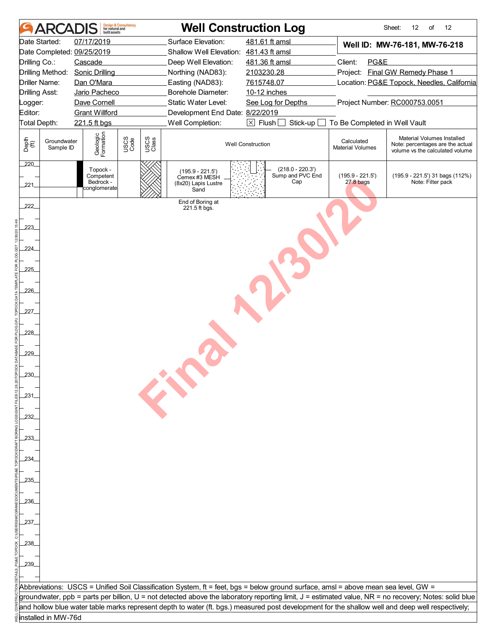| <b>ARCADIS</b>                                                | <b>Design &amp; Consultancy</b><br>for natural and<br><b>built</b> assets |                               |                                                                   | <b>Well Construction Log</b>                                                                                                       |                                       | Sheet:<br>12<br>of<br>12                                                                                                                                                       |
|---------------------------------------------------------------|---------------------------------------------------------------------------|-------------------------------|-------------------------------------------------------------------|------------------------------------------------------------------------------------------------------------------------------------|---------------------------------------|--------------------------------------------------------------------------------------------------------------------------------------------------------------------------------|
| Date Started:                                                 | 07/17/2019                                                                |                               | Surface Elevation:                                                | 481.61 ft amsl                                                                                                                     |                                       | Well ID: MW-76-181, MW-76-218                                                                                                                                                  |
| Date Completed: 09/25/2019                                    |                                                                           |                               | Shallow Well Elevation:                                           | 481.43 ft amsl                                                                                                                     |                                       |                                                                                                                                                                                |
| Drilling Co.:                                                 | Cascade                                                                   |                               | Deep Well Elevation:                                              | 481.36 ft amsl                                                                                                                     | Client:<br>PG&E                       |                                                                                                                                                                                |
| Drilling Method:                                              | <b>Sonic Drilling</b>                                                     |                               | Northing (NAD83):                                                 | 2103230.28                                                                                                                         |                                       | Project: Final GW Remedy Phase 1                                                                                                                                               |
| Driller Name:                                                 | Dan O'Mara                                                                |                               | Easting (NAD83):                                                  | 7615748.07                                                                                                                         |                                       | Location: PG&E Topock, Needles, California                                                                                                                                     |
| <b>Drilling Asst:</b>                                         | Jario Pacheco                                                             |                               | Borehole Diameter:                                                | 10-12 inches                                                                                                                       |                                       |                                                                                                                                                                                |
| .ogger:                                                       | Dave Cornell                                                              |                               | Static Water Level:                                               | See Log for Depths                                                                                                                 |                                       | Project Number: RC000753.0051                                                                                                                                                  |
| Editor:                                                       | <b>Grant Willford</b>                                                     |                               | Development End Date: 8/22/2019                                   |                                                                                                                                    |                                       |                                                                                                                                                                                |
| Total Depth:                                                  | 221.5 ft bgs                                                              |                               | Well Completion:                                                  | $\boxtimes$ Flush<br>Stick-up                                                                                                      | To Be Completed in Well Vault         |                                                                                                                                                                                |
| Depth<br>$\bigoplus_{i=1}^{n}$<br>Groundwater<br>Sample ID    | Geologic<br>Formation                                                     | USCS<br>Code<br>USCS<br>Class |                                                                   | <b>Well Construction</b>                                                                                                           | Calculated<br><b>Material Volumes</b> | Material Volumes Installed<br>Note: percentages are the actual<br>volume vs the calculated volume                                                                              |
| 220<br>221                                                    | Topock -<br>Competent<br>Bedrock -<br>conglomerate                        |                               | $(195.9 - 221.5)$<br>Cemex #3 MESH<br>(8x20) Lapis Lustre<br>Sand | $(218.0 - 220.3')$<br>Sump and PVC End<br>Cap                                                                                      | $(195.9 - 221.5')$<br>$27.8$ bags     | (195.9 - 221.5') 31 bags (112%)<br>Note: Filter pack                                                                                                                           |
| 222<br>223<br>224.<br>225<br>226.<br>227<br>228<br>229<br>230 |                                                                           |                               | End of Boring at<br>221.5 ft bgs.<br>EN                           |                                                                                                                                    |                                       |                                                                                                                                                                                |
|                                                               |                                                                           |                               |                                                                   |                                                                                                                                    |                                       |                                                                                                                                                                                |
|                                                               |                                                                           |                               |                                                                   |                                                                                                                                    |                                       |                                                                                                                                                                                |
|                                                               |                                                                           |                               |                                                                   |                                                                                                                                    |                                       |                                                                                                                                                                                |
|                                                               |                                                                           |                               |                                                                   |                                                                                                                                    |                                       |                                                                                                                                                                                |
|                                                               |                                                                           |                               |                                                                   |                                                                                                                                    |                                       |                                                                                                                                                                                |
|                                                               |                                                                           |                               |                                                                   |                                                                                                                                    |                                       |                                                                                                                                                                                |
| 239.                                                          |                                                                           |                               |                                                                   |                                                                                                                                    |                                       |                                                                                                                                                                                |
|                                                               |                                                                           |                               |                                                                   |                                                                                                                                    |                                       |                                                                                                                                                                                |
|                                                               |                                                                           |                               |                                                                   | Abbreviations: USCS = Unified Soil Classification System, ft = feet, bgs = below ground surface, amsl = above mean sea level, GW = |                                       |                                                                                                                                                                                |
|                                                               |                                                                           |                               |                                                                   |                                                                                                                                    |                                       |                                                                                                                                                                                |
|                                                               |                                                                           |                               |                                                                   |                                                                                                                                    |                                       | groundwater, ppb = parts per billion, U = not detected above the laboratory reporting limit, J = estimated value, NR = no recovery; Notes: solid blue                          |
|                                                               |                                                                           |                               |                                                                   |                                                                                                                                    |                                       | $\tilde{\tilde{\mathrm{g}}}$ land hollow blue water table marks represent depth to water (ft. bgs.) measured post development for the shallow well and deep well respectively; |
| ⊌ installed in MW-76d                                         |                                                                           |                               |                                                                   |                                                                                                                                    |                                       |                                                                                                                                                                                |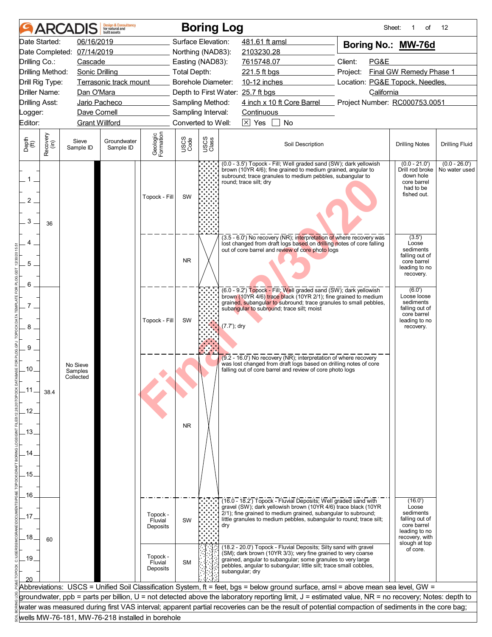|                          |                  | <b>ARCADIS</b>                                   | <b>Design &amp; Consultancy</b><br>for natural and<br><b>built</b> assets |                                                                                                                                                                                                                |                     |               | <b>Boring Log</b>                                                                                                                                                                                                                                                                        | Sheet:                              | of                                                                                                                 | 12                               |
|--------------------------|------------------|--------------------------------------------------|---------------------------------------------------------------------------|----------------------------------------------------------------------------------------------------------------------------------------------------------------------------------------------------------------|---------------------|---------------|------------------------------------------------------------------------------------------------------------------------------------------------------------------------------------------------------------------------------------------------------------------------------------------|-------------------------------------|--------------------------------------------------------------------------------------------------------------------|----------------------------------|
|                          | Date Started:    | 06/16/2019                                       |                                                                           |                                                                                                                                                                                                                | Surface Elevation:  |               | 481.61 ft amsl                                                                                                                                                                                                                                                                           | Boring No.: MW-76d                  |                                                                                                                    |                                  |
|                          |                  | Date Completed: 07/14/2019                       |                                                                           |                                                                                                                                                                                                                | Northing (NAD83):   |               | 2103230.28                                                                                                                                                                                                                                                                               |                                     |                                                                                                                    |                                  |
| Drilling Co.:            |                  | Cascade                                          |                                                                           |                                                                                                                                                                                                                | Easting (NAD83):    |               | 7615748.07                                                                                                                                                                                                                                                                               | Client:<br>PG&E                     |                                                                                                                    |                                  |
|                          | Drilling Method: | <b>Sonic Drilling</b>                            |                                                                           | $\label{eq:2.1} \mathcal{L}(\mathcal{L}^{\mathcal{L}}_{\mathcal{L}}(\mathcal{L}^{\mathcal{L}}_{\mathcal{L}})) = \mathcal{L}(\mathcal{L}^{\mathcal{L}}_{\mathcal{L}}(\mathcal{L}^{\mathcal{L}}_{\mathcal{L}}))$ | <b>Total Depth:</b> |               | 221.5 ft bgs                                                                                                                                                                                                                                                                             | Final GW Remedy Phase 1<br>Project: |                                                                                                                    |                                  |
|                          | Drill Rig Type:  |                                                  | Terrasonic track mount                                                    |                                                                                                                                                                                                                | Borehole Diameter:  |               | 10-12 inches                                                                                                                                                                                                                                                                             | Location: PG&E Topock, Needles,     |                                                                                                                    |                                  |
| <b>Driller Name:</b>     |                  | Dan O'Mara                                       |                                                                           |                                                                                                                                                                                                                |                     |               | Depth to First Water: 25.7 ft bgs                                                                                                                                                                                                                                                        | California                          |                                                                                                                    |                                  |
| <b>Drilling Asst:</b>    |                  | Jario Pacheco                                    |                                                                           |                                                                                                                                                                                                                | Sampling Method:    |               | 4 inch x 10 ft Core Barrel Project Number: RC000753.0051                                                                                                                                                                                                                                 |                                     |                                                                                                                    |                                  |
| Logger:                  |                  | Dave Cornell                                     |                                                                           |                                                                                                                                                                                                                | Sampling Interval:  |               | Continuous                                                                                                                                                                                                                                                                               |                                     |                                                                                                                    |                                  |
| Editor:                  |                  | <b>Grant Willford</b>                            |                                                                           |                                                                                                                                                                                                                | Converted to Well:  |               | $\overline{\times}$ Yes<br>No                                                                                                                                                                                                                                                            |                                     |                                                                                                                    |                                  |
| Depth<br>(ft)            | Recovery<br>(in) | Sieve<br>Sample ID                               | Groundwater<br>Sample ID                                                  | Geologic<br>Formation                                                                                                                                                                                          | USCS<br>Code        | USCS<br>Class | Soil Description                                                                                                                                                                                                                                                                         |                                     | <b>Drilling Notes</b>                                                                                              | <b>Drilling Fluid</b>            |
| 1<br>$\overline{2}$<br>3 | 36               |                                                  |                                                                           | Topock - Fill                                                                                                                                                                                                  | SW                  |               | (0.0 - 3.5') Topock - Fill; Well graded sand (SW); dark yellowish<br>brown (10YR 4/6); fine grained to medium grained, angular to<br>subround; trace granules to medium pebbles, subangular to<br>round; trace silt; dry                                                                 |                                     | $(0.0 - 21.0)$<br>Drill rod broke<br>down hole<br>core barrel<br>had to be<br>fished out.                          | $(0.0 - 26.0')$<br>No water used |
| 5<br>6                   |                  |                                                  |                                                                           |                                                                                                                                                                                                                | <b>NR</b>           |               | (3.5 - 6.0') No recovery (NR); interpretation of where recovery was<br>lost changed from draft logs based on drilling notes of core falling<br>out of core barrel and review of core photo logs                                                                                          |                                     | (3.5')<br>Loose<br>sediments<br>falling out of<br>core barrel<br>leading to no<br>recovery.                        |                                  |
| $7$ .<br>8<br>9          |                  |                                                  |                                                                           | Topock - Fill                                                                                                                                                                                                  | SW                  |               | (6.0 - 9.2') Topock - Fill; Well graded sand (SW); dark yellowish<br>brown (10YR 4/6) trace black (10YR 2/1); fine grained to medium<br>grained, subangular to subround; trace granules to small pebbles,<br>subangular to subround; trace silt; moist<br>(7.7'); dry                    |                                     | (6.0')<br>Loose loose<br>sediments<br>falling out of<br>core barrel<br>leading to no<br>recovery.                  |                                  |
| .10.<br>.11.<br>.12.     | 38.4             | No Sieve<br>Samples<br>Collected                 |                                                                           |                                                                                                                                                                                                                |                     |               | (9.2 - 16.0') No recovery (NR); interpretation of where recovery<br>was lost changed from draft logs based on drilling notes of core<br>falling out of core barrel and review of core photo logs                                                                                         |                                     |                                                                                                                    |                                  |
| .13.<br>14<br>.15.       |                  |                                                  |                                                                           |                                                                                                                                                                                                                | <b>NR</b>           |               |                                                                                                                                                                                                                                                                                          |                                     |                                                                                                                    |                                  |
| .16.<br>.17<br>.18.      | 60               |                                                  |                                                                           | Topock -<br>Fluvial<br>Deposits                                                                                                                                                                                | SW                  |               | (16.0 - 18.2') Topock - Fluvial Deposits; Well graded sand with<br>gravel (SW); dark yellowish brown (10YR 4/6) trace black (10YR<br>2/1); fine grained to medium grained, subangular to subround;<br>little granules to medium pebbles, subangular to round; trace silt;<br>dry         |                                     | (16.0')<br>Loose<br>sediments<br>falling out of<br>core barrel<br>leading to no<br>recovery, with<br>slough at top |                                  |
| .19.                     |                  |                                                  |                                                                           | Topock -<br>Fluvial<br>Deposits                                                                                                                                                                                | <b>SM</b>           |               | (18.2 - 20.0') Topock - Fluvial Deposits; Silty sand with gravel<br>(SM); dark brown (10YR 3/3); very fine grained to very coarse<br>grained, angular to subangular; some granules to very large<br>pebbles, angular to subangular; little silt; trace small cobbles,<br>subangular; dry |                                     | of core.                                                                                                           |                                  |
|                          |                  |                                                  |                                                                           |                                                                                                                                                                                                                |                     |               | Abbreviations:  USCS = Unified Soil Classification System, ft = feet, bgs = below ground surface, amsl = above mean sea level, GW =                                                                                                                                                      |                                     |                                                                                                                    |                                  |
|                          |                  |                                                  |                                                                           |                                                                                                                                                                                                                |                     |               | groundwater, ppb = parts per billion, U = not detected above the laboratory reporting limit, J = estimated value, NR = no recovery; Notes: depth to                                                                                                                                      |                                     |                                                                                                                    |                                  |
|                          |                  |                                                  |                                                                           |                                                                                                                                                                                                                |                     |               | water was measured during first VAS interval; apparent partial recoveries can be the result of potential compaction of sediments in the core bag;                                                                                                                                        |                                     |                                                                                                                    |                                  |
|                          |                  | wells MW-76-181, MW-76-218 installed in borehole |                                                                           |                                                                                                                                                                                                                |                     |               |                                                                                                                                                                                                                                                                                          |                                     |                                                                                                                    |                                  |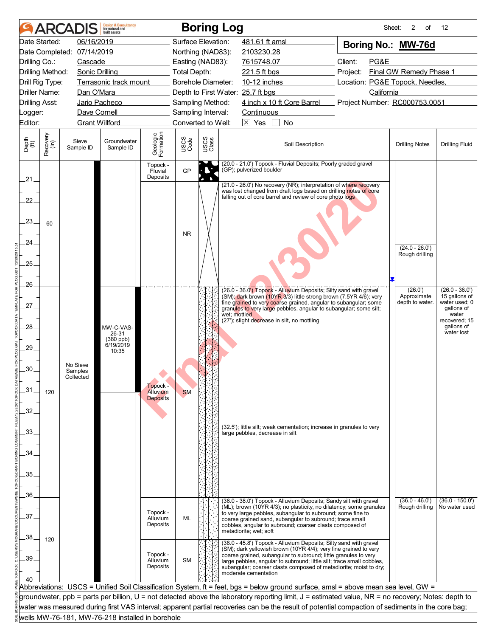|                             |                  | <b>ARCADIS</b>             | <b>Design &amp; Consultancy</b><br>for natural and<br>huilt assets |                                  |                           |               | <b>Boring Log</b>                                                                                                                                                                                                                                                                                                                                                              | Sheet:                          | 2<br>of                            | 12                                                    |
|-----------------------------|------------------|----------------------------|--------------------------------------------------------------------|----------------------------------|---------------------------|---------------|--------------------------------------------------------------------------------------------------------------------------------------------------------------------------------------------------------------------------------------------------------------------------------------------------------------------------------------------------------------------------------|---------------------------------|------------------------------------|-------------------------------------------------------|
|                             | Date Started:    | 06/16/2019                 |                                                                    |                                  | Surface Elevation:        |               | 481.61 ft amsl                                                                                                                                                                                                                                                                                                                                                                 | Boring No.: MW-76d              |                                    |                                                       |
|                             |                  | Date Completed: 07/14/2019 |                                                                    |                                  | Northing (NAD83):         |               | 2103230.28                                                                                                                                                                                                                                                                                                                                                                     |                                 |                                    |                                                       |
| Drilling Co.:               |                  | Cascade                    |                                                                    |                                  | Easting (NAD83):          |               | 7615748.07                                                                                                                                                                                                                                                                                                                                                                     | Client:<br>PG&E                 |                                    |                                                       |
|                             | Drilling Method: | <b>Sonic Drilling</b>      |                                                                    |                                  | Total Depth:              |               | 221.5 ft bgs                                                                                                                                                                                                                                                                                                                                                                   | Project:                        | Final GW Remedy Phase 1            |                                                       |
|                             | Drill Rig Type:  |                            | Terrasonic track mount                                             |                                  | <b>Borehole Diameter:</b> |               | 10-12 inches                                                                                                                                                                                                                                                                                                                                                                   | Location: PG&E Topock, Needles, |                                    |                                                       |
|                             | Driller Name:    | Dan O'Mara                 |                                                                    |                                  |                           |               | Depth to First Water: 25.7 ft bgs                                                                                                                                                                                                                                                                                                                                              | California                      |                                    |                                                       |
| <b>Drilling Asst:</b>       |                  |                            | Jario Pacheco                                                      |                                  | Sampling Method:          |               | 4 inch x 10 ft Core Barrel                                                                                                                                                                                                                                                                                                                                                     | Project Number: RC000753.0051   |                                    |                                                       |
| Logger:                     |                  | Dave Cornell               |                                                                    |                                  | Sampling Interval:        |               | Continuous                                                                                                                                                                                                                                                                                                                                                                     |                                 |                                    |                                                       |
| Editor:                     |                  | <b>Grant Willford</b>      |                                                                    |                                  | Converted to Well:        |               | $\overline{\times}$ Yes<br>No                                                                                                                                                                                                                                                                                                                                                  |                                 |                                    |                                                       |
| Depth<br>$\widetilde{f(t)}$ | Recovery<br>(in) | Sieve<br>Sample ID         | Groundwater<br>Sample ID                                           | Geologic<br>Formation            | USCS<br>Code              | USCS<br>Class | Soil Description                                                                                                                                                                                                                                                                                                                                                               |                                 | <b>Drilling Notes</b>              | <b>Drilling Fluid</b>                                 |
| $21 -$                      |                  |                            |                                                                    | Topock -<br>Fluvial<br>Deposits  | GP                        |               | (20.0 - 21.0') Topock - Fluvial Deposits; Poorly graded gravel<br>(GP); pulverized boulder                                                                                                                                                                                                                                                                                     |                                 |                                    |                                                       |
| 22.<br>23.<br>24.           | 60               |                            |                                                                    |                                  | <b>NR</b>                 |               | (21.0 - 26.0') No recovery (NR); interpretation of where recovery<br>was lost changed from draft logs based on drilling notes of core<br>falling out of core barrel and review of core photo logs                                                                                                                                                                              |                                 | $(24.0 - 26.0')$<br>Rough drilling |                                                       |
| 25.                         |                  |                            |                                                                    |                                  |                           |               |                                                                                                                                                                                                                                                                                                                                                                                |                                 |                                    |                                                       |
| 26.                         |                  |                            |                                                                    |                                  |                           |               | (26.0 - 36.0') Topock - Alluvium Deposits; Silty sand with gravel<br>(SM); dark brown (10YR 3/3) little strong brown (7.5YR 4/6); very                                                                                                                                                                                                                                         |                                 | (26.0')<br>Approximate             | $(26.0 - 36.0')$<br>15 gallons of                     |
| 27.                         |                  |                            |                                                                    |                                  |                           |               | fine grained to very coarse grained, angular to subangular; some<br>granules to very large pebbles, angular to subangular; some silt;<br>wet: mottled<br>(27'); slight decrease in silt, no mottling                                                                                                                                                                           |                                 | depth to water.                    | water used; 0<br>gallons of<br>water<br>recovered; 15 |
| 28.                         |                  |                            | MW-C-VAS-<br>26-31<br>(380 ppb)<br>6/19/2019                       |                                  |                           |               |                                                                                                                                                                                                                                                                                                                                                                                |                                 |                                    | gallons of<br>water lost                              |
| 29.                         |                  | No Sieve                   | 10:35                                                              |                                  |                           |               |                                                                                                                                                                                                                                                                                                                                                                                |                                 |                                    |                                                       |
| 30.<br>$-31$                |                  | Samples<br>Collected       |                                                                    | Topock -                         |                           |               |                                                                                                                                                                                                                                                                                                                                                                                |                                 |                                    |                                                       |
| 32.                         | 120              |                            |                                                                    | Alluvium<br><b>Deposits</b>      | <b>SM</b>                 |               |                                                                                                                                                                                                                                                                                                                                                                                |                                 |                                    |                                                       |
| 33.                         |                  |                            |                                                                    |                                  |                           |               | (32.5'); little silt; weak cementation; increase in granules to very<br>large pebbles, decrease in silt                                                                                                                                                                                                                                                                        |                                 |                                    |                                                       |
| 34                          |                  |                            |                                                                    |                                  |                           |               |                                                                                                                                                                                                                                                                                                                                                                                |                                 |                                    |                                                       |
| 35.                         |                  |                            |                                                                    |                                  |                           |               |                                                                                                                                                                                                                                                                                                                                                                                |                                 |                                    |                                                       |
|                             |                  |                            |                                                                    |                                  |                           |               |                                                                                                                                                                                                                                                                                                                                                                                |                                 |                                    |                                                       |
| 36.                         |                  |                            |                                                                    |                                  |                           |               | (36.0 - 38.0') Topock - Alluvium Deposits; Sandy silt with gravel                                                                                                                                                                                                                                                                                                              |                                 | $(36.0 - 46.0')$                   | $(36.0 - 150.0')$                                     |
| 37                          |                  |                            |                                                                    | Topock -<br>Alluvium<br>Deposits | <b>ML</b>                 |               | (ML); brown (10YR 4/3); no plasticity, no dilatency; some granules<br>to very large pebbles, subangular to subround; some fine to<br>coarse grained sand, subangular to subround; trace small<br>cobbles, angular to subround; coarser clasts composed of<br>metadiorite; wet; soft                                                                                            |                                 | Rough drilling                     | No water used                                         |
| 38.<br>39                   | 120              |                            |                                                                    | Topock -<br>Alluvium<br>Deposits | SM                        |               | (38.0 - 45.8') Topock - Alluvium Deposits; Silty sand with gravel<br>(SM); dark yellowish brown (10YR 4/4); very fine grained to very<br>coarse grained, subangular to subround; little granules to very<br>large pebbles, angular to subround; little silt; trace small cobbles,<br>subangular; coarser clasts composed of metadiorite; moist to dry;<br>moderate cementation |                                 |                                    |                                                       |
|                             |                  |                            |                                                                    |                                  |                           |               | Abbreviations: USCS = Unified Soil Classification System, ft = feet, bgs = below ground surface, amsl = above mean sea level, GW =                                                                                                                                                                                                                                             |                                 |                                    |                                                       |
|                             |                  |                            |                                                                    |                                  |                           |               | groundwater, ppb = parts per billion, U = not detected above the laboratory reporting limit, J = estimated value, NR = no recovery; Notes: depth to                                                                                                                                                                                                                            |                                 |                                    |                                                       |
|                             |                  |                            |                                                                    |                                  |                           |               | water was measured during first VAS interval; apparent partial recoveries can be the result of potential compaction of sediments in the core bag;                                                                                                                                                                                                                              |                                 |                                    |                                                       |
|                             |                  |                            | wells MW-76-181, MW-76-218 installed in borehole                   |                                  |                           |               |                                                                                                                                                                                                                                                                                                                                                                                |                                 |                                    |                                                       |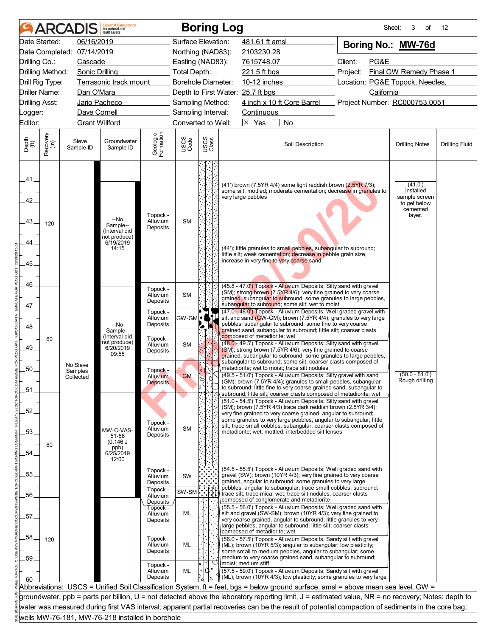|                                             |                  | <b>ARCADIS</b>       | <b>Design &amp; Consultancy</b><br>for natural and<br>huilt assets      |                                           |                     |                                   | <b>Boring Log</b>                                                                                                                                                                                                                                                                                                                                                                                     | Sheet:                          | 3<br>of                                                                     | 12                    |
|---------------------------------------------|------------------|----------------------|-------------------------------------------------------------------------|-------------------------------------------|---------------------|-----------------------------------|-------------------------------------------------------------------------------------------------------------------------------------------------------------------------------------------------------------------------------------------------------------------------------------------------------------------------------------------------------------------------------------------------------|---------------------------------|-----------------------------------------------------------------------------|-----------------------|
|                                             | Date Started:    | 06/16/2019           |                                                                         |                                           | Surface Elevation:  |                                   | 481.61 ft amsl                                                                                                                                                                                                                                                                                                                                                                                        | Boring No.: MW-76d              |                                                                             |                       |
| Date Completed:                             |                  | 07/14/2019           |                                                                         |                                           | Northing (NAD83):   |                                   | 2103230.28                                                                                                                                                                                                                                                                                                                                                                                            |                                 |                                                                             |                       |
| Drilling Co.:                               |                  | Cascade              |                                                                         |                                           | Easting (NAD83):    |                                   | 7615748.07                                                                                                                                                                                                                                                                                                                                                                                            | Client:<br>PG&E                 |                                                                             |                       |
| Drilling Method:                            |                  | Sonic Drilling       |                                                                         |                                           | <b>Total Depth:</b> |                                   | 221.5 ft bgs                                                                                                                                                                                                                                                                                                                                                                                          | Project:                        | Final GW Remedy Phase 1                                                     |                       |
| Drill Rig Type:                             |                  |                      | Terrasonic track mount                                                  |                                           | Borehole Diameter:  |                                   | 10-12 inches                                                                                                                                                                                                                                                                                                                                                                                          | Location: PG&E Topock, Needles, |                                                                             |                       |
| Driller Name:                               |                  | Dan O'Mara           |                                                                         |                                           |                     |                                   | Depth to First Water: 25.7 ft bgs                                                                                                                                                                                                                                                                                                                                                                     | California                      |                                                                             |                       |
| <b>Drilling Asst:</b>                       |                  |                      | Jario Pacheco                                                           |                                           | Sampling Method:    |                                   | 4 inch x 10 ft Core Barrel                                                                                                                                                                                                                                                                                                                                                                            | Project Number: RC000753.0051   |                                                                             |                       |
| _ogger:                                     |                  | Dave Cornell         |                                                                         |                                           | Sampling Interval:  |                                   | Continuous                                                                                                                                                                                                                                                                                                                                                                                            |                                 |                                                                             |                       |
| Editor:                                     |                  |                      | <b>Grant Willford</b>                                                   |                                           | Converted to Well:  |                                   | $\boxtimes$ Yes<br>No                                                                                                                                                                                                                                                                                                                                                                                 |                                 |                                                                             |                       |
| Depth<br>(ft)                               | Recovery<br>(in) | Sieve<br>Sample ID   | Groundwater<br>Sample ID                                                | Geologic<br>Formation                     | USCS<br>Code        | USCS<br>Class                     | Soil Description                                                                                                                                                                                                                                                                                                                                                                                      |                                 | <b>Drilling Notes</b>                                                       | <b>Drilling Fluid</b> |
| .41<br>42 <sub>1</sub><br>43.<br>44<br>.45. | 120              |                      | --No<br>Sample--<br>(Interval did<br>not produce)<br>6/19/2019<br>14:15 | Topock -<br>Alluvium<br>Deposits          | <b>SM</b>           |                                   | $(41)$ brown $(7.5YR 4/4)$ some light reddish brown $(2.5YR 7/3)$ ;<br>some silt; mottled; moderate cementation; decrease in granules to<br>very large pebbles<br>(44'); little granules to small pebbles, subangular to subround;<br>little silt; weak cementation; decrease in pebble grain size,<br>increase in very fine to very coarse sand                                                      |                                 | (41.0')<br>Installed<br>sample screen<br>to get below<br>cemented<br>layer. |                       |
| 46.<br>.47.                                 |                  |                      |                                                                         | Topock -<br>Alluvium<br>Deposits          | <b>SM</b>           |                                   | (45.8 - 47.0 <sup>'</sup> ) Topock - Alluvium Deposits; Silty sand with gravel<br>(SM); strong brown (7.5YR 4/6); very fine grained to very coarse<br>grained, subangular to subround; some granules to large pebbles,<br>subangular to subround; some silt; wet to moist                                                                                                                             |                                 |                                                                             |                       |
| 48                                          |                  |                      | --No<br>Sample--                                                        | Topock -<br>Alluvium<br>Deposits          | GW-GM               | ъ                                 | (47.0 - 48.0') Topock - Alluvium Deposits; Well graded gravel with<br>silt and sand (GW-GM); brown (7.5YR 4/4); granules to very large<br>pebbles, subangular to subround; some fine to very coarse<br>grained sand, subangular to subround; little silt; coarser clasts                                                                                                                              |                                 |                                                                             |                       |
| 49.                                         | 60               | No Sieve             | (Interval did<br>not produce)<br>6/20/2019<br>09:55                     | Topock -<br>Alluvium<br>Deposits          | <b>SM</b>           |                                   | composed of metadiorite; wet<br>(48.0 - 49.5') Topock - Alluvium Deposits; Silty sand with gravel<br>(SM); strong brown (7.5YR 4/6); very fine grained to coarse<br>grained, subangular to subround; some granules to large pebbles,<br>subangular to subround; some silt; coarser clasts composed of                                                                                                 |                                 |                                                                             |                       |
| 50.<br>.51                                  |                  | Samples<br>Collected |                                                                         | Topock -<br>Alluvium -<br><b>Deposits</b> | <b>GM</b>           | $\circ$<br>$\phi^{\circ}_{\circ}$ | metadiorite; wet to moist; trace silt nodules<br>(49.5 - 51.0') Topock - Alluvium Deposits; Silty gravel with sand<br>(GM); brown (7.5YR 4/4); granules to small pebbles, subangular<br>to subround; little fine to very coarse grained sand, subangular to<br>subround; little silt; coarser clasts composed of metadiorite; wet                                                                     |                                 | $(50.0 - 51.0')$<br>Rough drilling                                          |                       |
| .52.<br>.53.<br>54                          | 60               |                      | MW-C-VAS-<br>51-56<br>(0.146 J)<br>ppb)<br>6/25/2019                    | Topock -<br>Alluvium<br>Deposits          | <b>SM</b>           |                                   | (51.0 - 54.5') Topock - Alluvium Deposits; Silty sand with gravel<br>(SM); brown (7.5YR 4/3) trace dark reddish brown (2.5YR 3/4);<br>very fine grained to very coarse grained, angular to subround;<br>some granules to very large pebbles, angular to subangular; little<br>silt; trace small cobbles, subangular; coarser clasts composed of<br>metadiorite; wet; mottled; interbedded silt lenses |                                 |                                                                             |                       |
| 55.                                         |                  |                      | 12:00                                                                   | Topock -<br>Alluvium<br>Deposits          | SW                  |                                   | (54.5 - 55.5') Topock - Alluvium Deposits; Well graded sand with<br>gravel (SW); brown (10YR 4/3); very fine grained to very coarse<br>grained, angular to subround; some granules to very large                                                                                                                                                                                                      |                                 |                                                                             |                       |
|                                             |                  |                      |                                                                         | Topock -                                  | SW-SM               |                                   | pebbles, angular to subangular; trace small cobbles, subround;<br>trace silt; trace mica; wet; trace silt nodules, coarser clasts                                                                                                                                                                                                                                                                     |                                 |                                                                             |                       |
| 56.                                         |                  |                      |                                                                         | Alluvium<br>Deposits                      |                     |                                   | composed of conglomerate and metadiorite                                                                                                                                                                                                                                                                                                                                                              |                                 |                                                                             |                       |
| 57                                          |                  |                      |                                                                         | Topock -<br>Alluvium<br>Deposits          | ML                  |                                   | (55.5 - 56.0') Topock - Alluvium Deposits; Well graded sand with<br>silt and gravel (SW-SM); brown (10YR 4/3); very fine grained to<br>very coarse grained, angular to subround; little granules to very<br>large pebbles, angular to subround; little silt; coarser clasts                                                                                                                           |                                 |                                                                             |                       |
| .58<br>59.                                  | 120              |                      |                                                                         | Topock -<br>Alluvium<br>Deposits          | ML                  |                                   | composed of metadiorite; wet<br>(56.0 - 57.5') Topock - Alluvium Deposits; Sandy silt with gravel<br>(ML); brown (10YR 5/3); angular to subangular; low plasticity;<br>some small to medium pebbles, angular to subangular; some<br>medium to very coarse grained sand, subangular to subround;                                                                                                       |                                 |                                                                             |                       |
| 60                                          |                  |                      |                                                                         | Topock -<br>Alluvium<br>Deposits          | ML                  | ,۱۷۰                              | moist; medium stiff<br>(57.5 - 59.0') Topock - Alluvium Deposits; Sandy silt with gravel<br>(ML); brown (10YR 4/3); low plasticity; some granules to very large                                                                                                                                                                                                                                       |                                 |                                                                             |                       |
|                                             |                  |                      |                                                                         |                                           |                     |                                   | Abbreviations: USCS = Unified Soil Classification System, ft = feet, bgs = below ground surface, amsl = above mean sea level, GW =                                                                                                                                                                                                                                                                    |                                 |                                                                             |                       |
|                                             |                  |                      |                                                                         |                                           |                     |                                   | groundwater, ppb = parts per billion, U = not detected above the laboratory reporting limit, J = estimated value, NR = no recovery; Notes: depth to                                                                                                                                                                                                                                                   |                                 |                                                                             |                       |
|                                             |                  |                      |                                                                         |                                           |                     |                                   | water was measured during first VAS interval; apparent partial recoveries can be the result of potential compaction of sediments in the core bag;                                                                                                                                                                                                                                                     |                                 |                                                                             |                       |
|                                             |                  |                      | wells MW-76-181, MW-76-218 installed in borehole                        |                                           |                     |                                   |                                                                                                                                                                                                                                                                                                                                                                                                       |                                 |                                                                             |                       |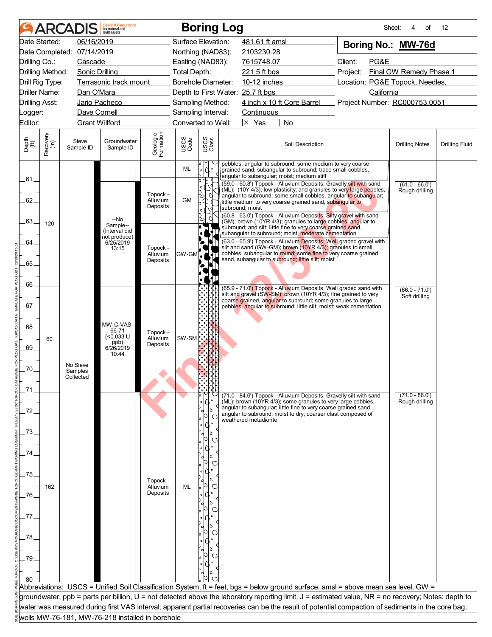|                             |                  | <b>ARCADIS</b>                   | <b>Design &amp; Consultancy</b><br>for natural and<br>huilt assets |                                  |                           |                                                   | <b>Boring Log</b>                                                                                                                                                                                                                                                                                                                                                                                                                              | Sheet:                          | of<br>4                            | 12                    |
|-----------------------------|------------------|----------------------------------|--------------------------------------------------------------------|----------------------------------|---------------------------|---------------------------------------------------|------------------------------------------------------------------------------------------------------------------------------------------------------------------------------------------------------------------------------------------------------------------------------------------------------------------------------------------------------------------------------------------------------------------------------------------------|---------------------------------|------------------------------------|-----------------------|
|                             | Date Started:    | 06/16/2019                       |                                                                    |                                  | Surface Elevation:        |                                                   | 481.61 ft amsl                                                                                                                                                                                                                                                                                                                                                                                                                                 | Boring No.: MW-76d              |                                    |                       |
|                             |                  | Date Completed: 07/14/2019       |                                                                    |                                  | Northing (NAD83):         |                                                   | 2103230.28                                                                                                                                                                                                                                                                                                                                                                                                                                     |                                 |                                    |                       |
| Drilling Co.:               |                  | Cascade                          |                                                                    |                                  | Easting (NAD83):          |                                                   | 7615748.07                                                                                                                                                                                                                                                                                                                                                                                                                                     | Client:<br>PG&E                 |                                    |                       |
| Drilling Method:            |                  | Sonic Drilling                   |                                                                    |                                  | <b>Total Depth:</b>       |                                                   | 221.5 ft bgs                                                                                                                                                                                                                                                                                                                                                                                                                                   | Project:                        | Final GW Remedy Phase 1            |                       |
| Drill Rig Type:             |                  |                                  | Terrasonic track mount                                             |                                  | <b>Borehole Diameter:</b> |                                                   | 10-12 inches                                                                                                                                                                                                                                                                                                                                                                                                                                   | Location: PG&E Topock, Needles, |                                    |                       |
| <b>Driller Name:</b>        |                  | Dan O'Mara                       |                                                                    |                                  |                           |                                                   | Depth to First Water: 25.7 ft bgs                                                                                                                                                                                                                                                                                                                                                                                                              | California                      |                                    |                       |
| <b>Drilling Asst:</b>       |                  |                                  | Jario Pacheco                                                      |                                  | Sampling Method:          |                                                   | 4 inch x 10 ft Core Barrel Project Number: RC000753.0051                                                                                                                                                                                                                                                                                                                                                                                       |                                 |                                    |                       |
| Logger:                     |                  | Dave Cornell                     |                                                                    |                                  | Sampling Interval:        |                                                   | Continuous                                                                                                                                                                                                                                                                                                                                                                                                                                     |                                 |                                    |                       |
| Editor:                     |                  | <b>Grant Willford</b>            |                                                                    |                                  | Converted to Well:        |                                                   | $\boxtimes$ Yes<br>No                                                                                                                                                                                                                                                                                                                                                                                                                          |                                 |                                    |                       |
| Depth<br>$\widetilde{f(t)}$ | Recovery<br>(in) | Sieve<br>Sample ID               | Groundwater<br>Sample ID                                           | Geologic<br>Formation            | USCS<br>Code              | USCS<br>Class                                     | Soil Description                                                                                                                                                                                                                                                                                                                                                                                                                               |                                 | <b>Drilling Notes</b>              | <b>Drilling Fluid</b> |
| .61_                        |                  |                                  |                                                                    |                                  | <b>ML</b>                 | q.                                                | pebbles, angular to subround; some medium to very coarse<br>grained sand, subangular to subround; trace small cobbles,<br>angular to subangular; moist; medium stiff                                                                                                                                                                                                                                                                           |                                 |                                    |                       |
| 62.                         |                  |                                  | --No                                                               | Topock -<br>Alluvium<br>Deposits | <b>GM</b>                 | $\circ$<br>Ø<br>ъ<br>$\Phi$<br>$\alpha$<br>q<br>Ο | (59.0 - 60.8') Topock - Alluvium Deposits; Gravelly silt with sand<br>(ML); (10Y 4/3); low plasticity; and granules to very large pebbles,<br>angular to subround; some small cobbles, angular to subangular;<br>little medium to very coarse grained sand, subangular to<br>subround; moist<br>(60.8 - 63.0') Topock - Alluvium Deposits; Silty gravel with sand                                                                              |                                 | $(61.0 - 66.0')$<br>Rough drilling |                       |
| .63.<br>64                  | 120              |                                  | Sample--<br>(Interval did<br>not produce)<br>6/25/2019<br>13:15    | Topock -<br>Alluvium<br>Deposits | GW-GM                     | $\bullet$ (                                       | (GM); brown (10YR 4/3); granules to large cobbles, angular to<br>subround; and silt; little fine to very coarse grained sand,<br>subangular to subround; moist; moderate cementation<br>(63.0 - 65.9') Topock - Alluvium Deposits; Well graded gravel with<br>silt and sand (GW-GM); brown (10YR 4/3); granules to small<br>cobbles, subangular to round; some fine to very coarse grained<br>sand, subangular to subround; little silt; moist |                                 |                                    |                       |
| 65.                         |                  |                                  |                                                                    |                                  |                           |                                                   |                                                                                                                                                                                                                                                                                                                                                                                                                                                |                                 |                                    |                       |
| 66.                         |                  |                                  |                                                                    |                                  |                           |                                                   | (65.9 - 71.0') Topock - Alluvium Deposits; Well graded sand with<br>silt and gravel (SW-SM); brown (10YR 4/3); fine grained to very                                                                                                                                                                                                                                                                                                            |                                 | $(66.0 - 71.0')$<br>Soft drilling  |                       |
| 67.                         |                  |                                  |                                                                    |                                  |                           |                                                   | coarse grained, angular to subround; some granules to large<br>pebbles, angular to subround; little silt; moist; weak cementation                                                                                                                                                                                                                                                                                                              |                                 |                                    |                       |
| .68                         |                  |                                  | MW-C-VAS-                                                          |                                  |                           |                                                   |                                                                                                                                                                                                                                                                                                                                                                                                                                                |                                 |                                    |                       |
| 69.                         | 60               |                                  | 66-71<br>$(0.033 \text{ U}$<br>ppb)<br>6/26/2019<br>10:44          | Topock -<br>Alluvium<br>Deposits | SW-SM                     |                                                   |                                                                                                                                                                                                                                                                                                                                                                                                                                                |                                 |                                    |                       |
| .70.                        |                  | No Sieve<br>Samples<br>Collected |                                                                    |                                  |                           |                                                   |                                                                                                                                                                                                                                                                                                                                                                                                                                                |                                 |                                    |                       |
|                             |                  |                                  |                                                                    |                                  |                           |                                                   | (71.0 - 84.6') Topock - Alluvium Deposits; Gravelly silt with sand                                                                                                                                                                                                                                                                                                                                                                             |                                 | $(71.0 - 86.0')$                   |                       |
| 72.                         |                  |                                  |                                                                    |                                  |                           |                                                   | (ML); brown (10YR 4/3); some granules to very large pebbles,<br>angular to subangular; little fine to very coarse grained sand,<br>angular to subround; moist to dry; coarser clast composed of<br>weathered metadiorite                                                                                                                                                                                                                       |                                 | Rough drilling                     |                       |
| 73                          |                  |                                  |                                                                    |                                  |                           |                                                   |                                                                                                                                                                                                                                                                                                                                                                                                                                                |                                 |                                    |                       |
| 74                          |                  |                                  |                                                                    |                                  |                           |                                                   |                                                                                                                                                                                                                                                                                                                                                                                                                                                |                                 |                                    |                       |
| 75.                         |                  |                                  |                                                                    |                                  |                           |                                                   |                                                                                                                                                                                                                                                                                                                                                                                                                                                |                                 |                                    |                       |
|                             | 162              |                                  |                                                                    | Topock -<br>Alluvium             | ML                        |                                                   |                                                                                                                                                                                                                                                                                                                                                                                                                                                |                                 |                                    |                       |
| .76.                        |                  |                                  |                                                                    | Deposits                         |                           |                                                   |                                                                                                                                                                                                                                                                                                                                                                                                                                                |                                 |                                    |                       |
| 77                          |                  |                                  |                                                                    |                                  |                           |                                                   |                                                                                                                                                                                                                                                                                                                                                                                                                                                |                                 |                                    |                       |
| 78.                         |                  |                                  |                                                                    |                                  |                           |                                                   |                                                                                                                                                                                                                                                                                                                                                                                                                                                |                                 |                                    |                       |
| -79                         |                  |                                  |                                                                    |                                  |                           |                                                   |                                                                                                                                                                                                                                                                                                                                                                                                                                                |                                 |                                    |                       |
|                             |                  |                                  |                                                                    |                                  |                           |                                                   |                                                                                                                                                                                                                                                                                                                                                                                                                                                |                                 |                                    |                       |
|                             |                  |                                  |                                                                    |                                  |                           |                                                   | Abbreviations: USCS = Unified Soil Classification System, ft = feet, bgs = below ground surface, amsl = above mean sea level, GW =                                                                                                                                                                                                                                                                                                             |                                 |                                    |                       |
|                             |                  |                                  |                                                                    |                                  |                           |                                                   | groundwater, ppb = parts per billion, U = not detected above the laboratory reporting limit, J = estimated value, NR = no recovery; Notes: depth to                                                                                                                                                                                                                                                                                            |                                 |                                    |                       |
|                             |                  |                                  |                                                                    |                                  |                           |                                                   | water was measured during first VAS interval; apparent partial recoveries can be the result of potential compaction of sediments in the core bag;                                                                                                                                                                                                                                                                                              |                                 |                                    |                       |
|                             |                  |                                  | wells MW-76-181, MW-76-218 installed in borehole                   |                                  |                           |                                                   |                                                                                                                                                                                                                                                                                                                                                                                                                                                |                                 |                                    |                       |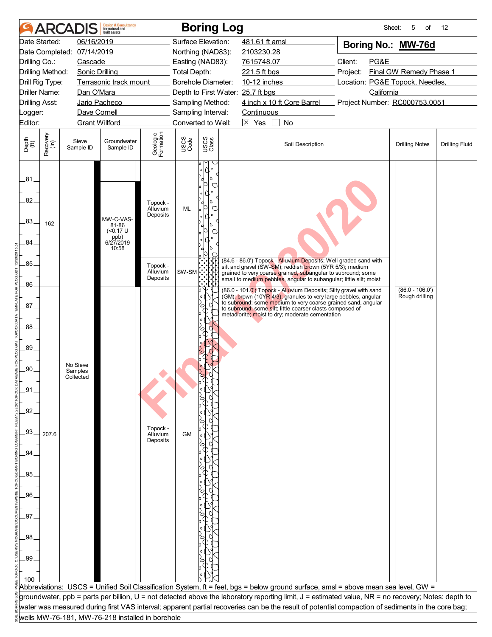|                         |                      | <b>ARCADIS</b>        | <b>Design &amp; Consultancy</b><br>for natural and<br>built assets |                                  |                     | <b>Boring Log</b>                            |                                                                                                                                                                                               | Sheet:                              | 5<br>of               | 12                    |
|-------------------------|----------------------|-----------------------|--------------------------------------------------------------------|----------------------------------|---------------------|----------------------------------------------|-----------------------------------------------------------------------------------------------------------------------------------------------------------------------------------------------|-------------------------------------|-----------------------|-----------------------|
|                         | Date Started:        | 06/16/2019            |                                                                    |                                  |                     | Surface Elevation:                           | 481.61 ft amsl                                                                                                                                                                                | Boring No.: MW-76d                  |                       |                       |
|                         | Date Completed:      | 07/14/2019            |                                                                    |                                  |                     | Northing (NAD83):                            | 2103230.28                                                                                                                                                                                    |                                     |                       |                       |
| Drilling Co.:           |                      | Cascade               |                                                                    |                                  |                     | Easting (NAD83):                             | 7615748.07                                                                                                                                                                                    | Client:<br>PG&E                     |                       |                       |
|                         | Drilling Method:     | Sonic Drilling        |                                                                    |                                  | <b>Total Depth:</b> |                                              | 221.5 ft bgs                                                                                                                                                                                  | Final GW Remedy Phase 1<br>Project: |                       |                       |
|                         | Drill Rig Type:      |                       | Terrasonic track mount                                             |                                  |                     | Borehole Diameter:                           | 10-12 inches                                                                                                                                                                                  | Location: PG&E Topock, Needles,     |                       |                       |
|                         | <b>Driller Name:</b> | Dan O'Mara            |                                                                    |                                  |                     | Depth to First Water: 25.7 ft bgs            |                                                                                                                                                                                               | California                          |                       |                       |
| <b>Drilling Asst:</b>   |                      |                       | Jario Pacheco                                                      |                                  |                     | Sampling Method:                             | 4 inch x 10 ft Core Barrel                                                                                                                                                                    | Project Number: RC000753.0051       |                       |                       |
| Logger:                 |                      | Dave Cornell          |                                                                    |                                  |                     | Sampling Interval:                           | <b>Continuous</b>                                                                                                                                                                             |                                     |                       |                       |
| Editor:                 |                      | <b>Grant Willford</b> |                                                                    |                                  |                     | Converted to Well:                           | $\boxtimes$ Yes<br>No                                                                                                                                                                         |                                     |                       |                       |
| Depth<br>(ft)           | Recovery<br>(in)     | Sieve<br>Sample ID    | Groundwater<br>Sample ID                                           | Geologic<br>Formation            | USCS<br>Code        | USCS<br>Class                                | Soil Description                                                                                                                                                                              |                                     | <b>Drilling Notes</b> | <b>Drilling Fluid</b> |
| .81<br>82.<br>83.<br>84 | 162                  |                       | MW-C-VAS-<br>81-86<br>$(0.17 \text{ U}$<br>ppb)<br>6/27/2019       | Topock -<br>Alluvium<br>Deposits | ML                  | ۵°<br>١ċ<br>d<br>Ю<br>Ω<br>Ю<br>ர<br>١d<br>൱ |                                                                                                                                                                                               |                                     |                       |                       |
|                         |                      |                       | 10:58                                                              |                                  |                     | d<br>Ю                                       |                                                                                                                                                                                               |                                     |                       |                       |
| .85.                    |                      |                       |                                                                    | Topock -                         |                     |                                              | (84.6 - 86.0') Topock - Alluvium Deposits; Well graded sand with<br>silt and gravel (SW-SM); reddish brown (5YR 5/3); medium                                                                  |                                     |                       |                       |
|                         |                      |                       |                                                                    | Alluvium<br>Deposits             | SW-SM               |                                              | grained to very coarse grained, subangular to subround; some<br>small to medium pebbles, angular to subangular; little silt; moist                                                            |                                     |                       |                       |
| .86.                    |                      |                       |                                                                    |                                  |                     |                                              | (86.0 - 101.0') Topock - Alluvium Deposits; Silty gravel with sand                                                                                                                            |                                     | $(86.0 - 106.0')$     |                       |
| 87 <sub>1</sub>         |                      |                       |                                                                    |                                  |                     | o<br>a<br>Ο<br>Œ                             | (GM); brown (10YR 4/3); granules to very large pebbles, angular<br>to subround; some medium to very coarse grained sand, angular<br>to subround; some silt; little coarser clasts composed of |                                     | Rough drilling        |                       |
| .88                     |                      |                       |                                                                    |                                  |                     | C                                            | metadiorite; moist to dry; moderate cementation                                                                                                                                               |                                     |                       |                       |
|                         |                      |                       |                                                                    |                                  |                     |                                              |                                                                                                                                                                                               |                                     |                       |                       |
| 89.                     |                      |                       |                                                                    |                                  |                     |                                              |                                                                                                                                                                                               |                                     |                       |                       |
| .90.                    |                      | No Sieve              |                                                                    |                                  |                     |                                              |                                                                                                                                                                                               |                                     |                       |                       |
|                         |                      | Samples<br>Collected  |                                                                    |                                  |                     |                                              |                                                                                                                                                                                               |                                     |                       |                       |
| _91                     |                      |                       |                                                                    |                                  |                     |                                              |                                                                                                                                                                                               |                                     |                       |                       |
|                         |                      |                       |                                                                    |                                  |                     |                                              |                                                                                                                                                                                               |                                     |                       |                       |
| .92.                    |                      |                       |                                                                    |                                  |                     |                                              |                                                                                                                                                                                               |                                     |                       |                       |
|                         |                      |                       |                                                                    |                                  |                     |                                              |                                                                                                                                                                                               |                                     |                       |                       |
| .93.                    | 207.6                |                       |                                                                    | Topock -<br>Alluvium             | <b>GM</b>           |                                              |                                                                                                                                                                                               |                                     |                       |                       |
|                         |                      |                       |                                                                    | Deposits                         |                     |                                              |                                                                                                                                                                                               |                                     |                       |                       |
| .94                     |                      |                       |                                                                    |                                  |                     |                                              |                                                                                                                                                                                               |                                     |                       |                       |
|                         |                      |                       |                                                                    |                                  |                     |                                              |                                                                                                                                                                                               |                                     |                       |                       |
| .95                     |                      |                       |                                                                    |                                  |                     |                                              |                                                                                                                                                                                               |                                     |                       |                       |
|                         |                      |                       |                                                                    |                                  |                     |                                              |                                                                                                                                                                                               |                                     |                       |                       |
| .96.                    |                      |                       |                                                                    |                                  |                     |                                              |                                                                                                                                                                                               |                                     |                       |                       |
|                         |                      |                       |                                                                    |                                  |                     |                                              |                                                                                                                                                                                               |                                     |                       |                       |
| 97                      |                      |                       |                                                                    |                                  |                     |                                              |                                                                                                                                                                                               |                                     |                       |                       |
| .98                     |                      |                       |                                                                    |                                  |                     |                                              |                                                                                                                                                                                               |                                     |                       |                       |
|                         |                      |                       |                                                                    |                                  |                     |                                              |                                                                                                                                                                                               |                                     |                       |                       |
| .99                     |                      |                       |                                                                    |                                  |                     |                                              |                                                                                                                                                                                               |                                     |                       |                       |
|                         |                      |                       |                                                                    |                                  |                     |                                              |                                                                                                                                                                                               |                                     |                       |                       |
|                         |                      |                       |                                                                    |                                  |                     |                                              |                                                                                                                                                                                               |                                     |                       |                       |
|                         |                      |                       |                                                                    |                                  |                     |                                              | Abbreviations: USCS = Unified Soil Classification System, ft = feet, bgs = below ground surface, amsl = above mean sea level, GW =                                                            |                                     |                       |                       |
|                         |                      |                       |                                                                    |                                  |                     |                                              | groundwater, ppb = parts per billion, U = not detected above the laboratory reporting limit, J = estimated value, NR = no recovery; Notes: depth to                                           |                                     |                       |                       |
|                         |                      |                       |                                                                    |                                  |                     |                                              | water was measured during first VAS interval; apparent partial recoveries can be the result of potential compaction of sediments in the core bag;                                             |                                     |                       |                       |
|                         |                      |                       | wells MW-76-181, MW-76-218 installed in borehole                   |                                  |                     |                                              |                                                                                                                                                                                               |                                     |                       |                       |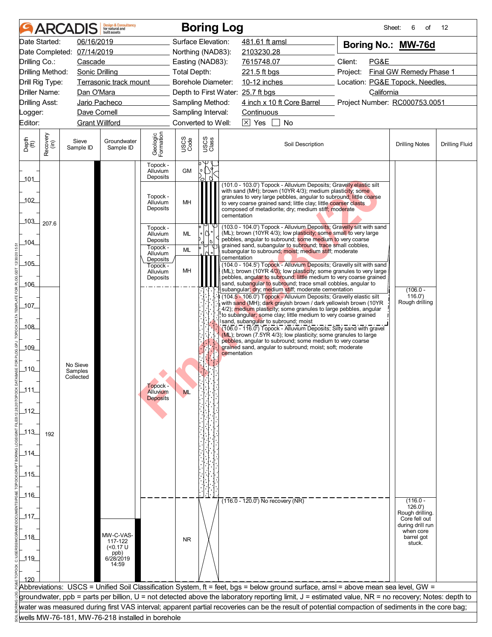|                             |                      | <b>ARCADIS</b>                   | <b>Design &amp; Consultancy</b><br>for natural and<br>huilt assets |                                              |                           |                         | <b>Boring Log</b>                                                                                                                                                                                                                                                                                                                               | Sheet:                          | 6<br>of                          | 12                    |
|-----------------------------|----------------------|----------------------------------|--------------------------------------------------------------------|----------------------------------------------|---------------------------|-------------------------|-------------------------------------------------------------------------------------------------------------------------------------------------------------------------------------------------------------------------------------------------------------------------------------------------------------------------------------------------|---------------------------------|----------------------------------|-----------------------|
|                             | Date Started:        | 06/16/2019                       |                                                                    |                                              | Surface Elevation:        |                         | 481.61 ft amsl                                                                                                                                                                                                                                                                                                                                  | Boring No.: MW-76d              |                                  |                       |
|                             |                      | Date Completed: 07/14/2019       |                                                                    |                                              | Northing (NAD83):         |                         | 2103230.28                                                                                                                                                                                                                                                                                                                                      |                                 |                                  |                       |
| Drilling Co.:               |                      | Cascade                          |                                                                    |                                              | Easting (NAD83):          |                         | 7615748.07                                                                                                                                                                                                                                                                                                                                      | Client:<br>PG&E                 |                                  |                       |
|                             | Drilling Method:     | Sonic Drilling                   |                                                                    |                                              | <b>Total Depth:</b>       |                         | 221.5 ft bgs                                                                                                                                                                                                                                                                                                                                    | Project:                        | Final GW Remedy Phase 1          |                       |
|                             | Drill Rig Type:      |                                  | Terrasonic track mount                                             |                                              | <b>Borehole Diameter:</b> |                         | 10-12 inches                                                                                                                                                                                                                                                                                                                                    | Location: PG&E Topock, Needles, |                                  |                       |
|                             | <b>Driller Name:</b> | Dan O'Mara                       |                                                                    |                                              |                           |                         | Depth to First Water: 25.7 ft bgs                                                                                                                                                                                                                                                                                                               | California                      |                                  |                       |
| <b>Drilling Asst:</b>       |                      |                                  | Jario Pacheco                                                      |                                              | Sampling Method:          |                         | 4 inch x 10 ft Core Barrel Project Number: RC000753.0051                                                                                                                                                                                                                                                                                        |                                 |                                  |                       |
| Logger:                     |                      | Dave Cornell                     |                                                                    |                                              | Sampling Interval:        |                         | Continuous                                                                                                                                                                                                                                                                                                                                      |                                 |                                  |                       |
| Editor:                     |                      | <b>Grant Willford</b>            |                                                                    |                                              | Converted to Well:        |                         | $\boxtimes$ Yes<br>No                                                                                                                                                                                                                                                                                                                           |                                 |                                  |                       |
| Depth<br>$\widetilde{f(t)}$ | Recovery<br>(in)     | Sieve<br>Sample ID               | Groundwater<br>Sample ID                                           | Geologic<br>Formation                        | USCS<br>Code              | USCS<br>Class           | Soil Description                                                                                                                                                                                                                                                                                                                                |                                 | <b>Drilling Notes</b>            | <b>Drilling Fluid</b> |
| $-101$                      |                      |                                  |                                                                    | Topock -<br>Alluvium<br>Deposits             | <b>GM</b>                 | $\mathsf{o}$<br>U<br>้ค |                                                                                                                                                                                                                                                                                                                                                 |                                 |                                  |                       |
| 102<br>103                  |                      |                                  |                                                                    | Topock -<br>Alluvium<br>Deposits             | MH                        |                         | (101.0 - 103.0') Topock - Alluvium Deposits; Gravelly elastic silt<br>with sand (MH); brown (10YR 4/3); medium plasticity; some<br>granules to very large pebbles, angular to subround; little coarse<br>to very coarse grained sand; little clay; little coarser clasts<br>composed of metadiorite; dry; medium stiff; moderate<br>cementation |                                 |                                  |                       |
| 104_                        | 207.6                |                                  |                                                                    | Topock -<br>Alluvium<br>Deposits<br>Topock - | <b>ML</b>                 |                         | (103.0 - 104.0') Topock - Alluvium Deposits; Gravelly silt with sand<br>(ML); brown (10YR 4/3); low plasticity; some small to very large<br>pebbles, angular to subround; some medium to very coarse<br>grained sand, subangular to subround; trace small cobbles,                                                                              |                                 |                                  |                       |
|                             |                      |                                  |                                                                    | Alluvium<br>Deposits                         | ML                        |                         | subangular to subround; moist; medium stiff; moderate<br>cementation                                                                                                                                                                                                                                                                            |                                 |                                  |                       |
| $-105$                      |                      |                                  |                                                                    | Topock -                                     | MH                        |                         | (104.0 - 104.5') Topock - Alluvium Deposits; Gravelly silt with sand<br>$(ML)$ ; brown (10YR 4/3); low plasticity; some granules to very large                                                                                                                                                                                                  |                                 |                                  |                       |
| _106_                       |                      |                                  |                                                                    | Alluvium<br>Deposits                         |                           |                         | pebbles, angular to subround; little medium to very coarse grained<br>sand, subangular to subround; trace small cobbles, angular to<br>subangular; dry; medium stiff; moderate cementation                                                                                                                                                      |                                 | $(106.0 -$                       |                       |
| $-107$                      |                      |                                  |                                                                    |                                              |                           |                         | (104.5 - 106.0') Topock - Alluvium Deposits; Gravelly elastic silt<br>with sand (MH); dark grayish brown / dark yellowish brown (10YR<br>4/2); medium plasticity; some granules to large pebbles, angular                                                                                                                                       |                                 | 116.0'<br>Rough drilling         |                       |
| _108_                       |                      |                                  |                                                                    |                                              |                           |                         | to subangular; some clay; little medium to very coarse grained<br>sand, subangular to subround; moist<br>(106.0 - 116.0") Topock - Alluvium Deposits; Silty sand with gravel                                                                                                                                                                    |                                 |                                  |                       |
| _109_                       |                      |                                  |                                                                    |                                              |                           |                         | (ML); brown (7.5YR 4/3); low plasticity; some granules to large<br>pebbles, angular to subround; some medium to very coarse<br>grained sand, angular to subround: moist: soft: moderate<br>cementation                                                                                                                                          |                                 |                                  |                       |
| $-110$                      |                      | No Sieve<br>Samples<br>Collected |                                                                    |                                              |                           |                         |                                                                                                                                                                                                                                                                                                                                                 |                                 |                                  |                       |
| $-111$                      |                      |                                  |                                                                    | Topock -                                     |                           |                         |                                                                                                                                                                                                                                                                                                                                                 |                                 |                                  |                       |
|                             |                      |                                  |                                                                    | Alluvium<br><b>Deposits</b>                  | <b>ML</b>                 |                         |                                                                                                                                                                                                                                                                                                                                                 |                                 |                                  |                       |
| $112$                       |                      |                                  |                                                                    |                                              |                           |                         |                                                                                                                                                                                                                                                                                                                                                 |                                 |                                  |                       |
| $\_113\_$                   | 192                  |                                  |                                                                    |                                              |                           |                         |                                                                                                                                                                                                                                                                                                                                                 |                                 |                                  |                       |
| $-114$                      |                      |                                  |                                                                    |                                              |                           |                         |                                                                                                                                                                                                                                                                                                                                                 |                                 |                                  |                       |
|                             |                      |                                  |                                                                    |                                              |                           |                         |                                                                                                                                                                                                                                                                                                                                                 |                                 |                                  |                       |
| $-115$                      |                      |                                  |                                                                    |                                              |                           |                         |                                                                                                                                                                                                                                                                                                                                                 |                                 |                                  |                       |
|                             |                      |                                  |                                                                    |                                              |                           |                         |                                                                                                                                                                                                                                                                                                                                                 |                                 |                                  |                       |
| $\_116$                     |                      |                                  |                                                                    |                                              |                           |                         |                                                                                                                                                                                                                                                                                                                                                 |                                 |                                  |                       |
|                             |                      |                                  |                                                                    |                                              |                           |                         | $(116.0 - 120.0)$ No recovery (NR)                                                                                                                                                                                                                                                                                                              |                                 | $(116.0 -$<br>126.0'             |                       |
| _117_                       |                      |                                  |                                                                    |                                              |                           |                         |                                                                                                                                                                                                                                                                                                                                                 |                                 | Rough drilling.<br>Core fell out |                       |
|                             |                      |                                  |                                                                    |                                              |                           |                         |                                                                                                                                                                                                                                                                                                                                                 |                                 | during drill run<br>when core    |                       |
| _118_                       |                      |                                  | MW-C-VAS-<br>117-122                                               |                                              | <b>NR</b>                 |                         |                                                                                                                                                                                                                                                                                                                                                 |                                 | barrel got<br>stuck.             |                       |
|                             |                      |                                  | $(0.17 \text{ U}$                                                  |                                              |                           |                         |                                                                                                                                                                                                                                                                                                                                                 |                                 |                                  |                       |
| $-119$                      |                      |                                  | ppb)<br>6/28/2019<br>14:59                                         |                                              |                           |                         |                                                                                                                                                                                                                                                                                                                                                 |                                 |                                  |                       |
|                             |                      |                                  |                                                                    |                                              |                           |                         |                                                                                                                                                                                                                                                                                                                                                 |                                 |                                  |                       |
| 120                         |                      |                                  |                                                                    |                                              |                           |                         | Abbreviations: USCS = Unified Soil Classification System, ft = feet, bgs = below ground surface, amsl = above mean sea level, GW =                                                                                                                                                                                                              |                                 |                                  |                       |
|                             |                      |                                  |                                                                    |                                              |                           |                         | groundwater, ppb = parts per billion, U = not detected above the laboratory reporting limit, J = estimated value, NR = no recovery; Notes: depth to                                                                                                                                                                                             |                                 |                                  |                       |
|                             |                      |                                  |                                                                    |                                              |                           |                         | water was measured during first VAS interval; apparent partial recoveries can be the result of potential compaction of sediments in the core bag;                                                                                                                                                                                               |                                 |                                  |                       |
|                             |                      |                                  | wells MW-76-181, MW-76-218 installed in borehole                   |                                              |                           |                         |                                                                                                                                                                                                                                                                                                                                                 |                                 |                                  |                       |
|                             |                      |                                  |                                                                    |                                              |                           |                         |                                                                                                                                                                                                                                                                                                                                                 |                                 |                                  |                       |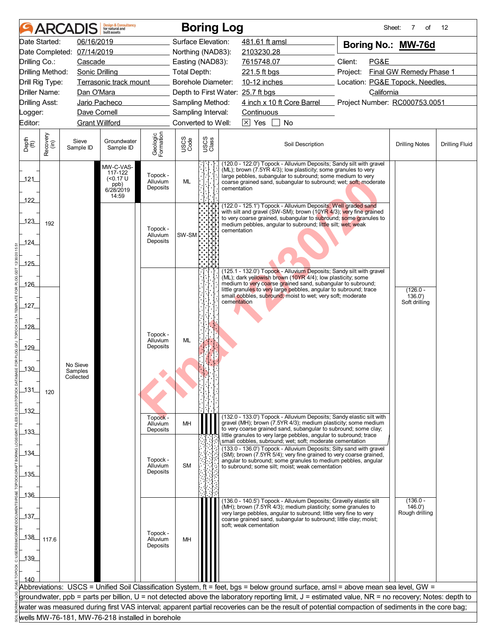|                             |                  | <b>ARCADIS</b>             | <b>Design &amp; Consultancy</b><br>for natural and<br>huilt assets |                                  |                           |               | <b>Boring Log</b>                                                                                                                                                                                                                                                                      | Sheet:                          | 7<br>of                 | 12                    |
|-----------------------------|------------------|----------------------------|--------------------------------------------------------------------|----------------------------------|---------------------------|---------------|----------------------------------------------------------------------------------------------------------------------------------------------------------------------------------------------------------------------------------------------------------------------------------------|---------------------------------|-------------------------|-----------------------|
| Date Started:               |                  | 06/16/2019                 |                                                                    |                                  | Surface Elevation:        |               | 481.61 ft amsl                                                                                                                                                                                                                                                                         | Boring No.: MW-76d              |                         |                       |
|                             |                  | Date Completed: 07/14/2019 |                                                                    |                                  | Northing (NAD83):         |               | 2103230.28                                                                                                                                                                                                                                                                             |                                 |                         |                       |
| Drilling Co.:               |                  | Cascade                    |                                                                    |                                  | Easting (NAD83):          |               | 7615748.07                                                                                                                                                                                                                                                                             | Client:<br>PG&E                 |                         |                       |
| Drilling Method:            |                  | <b>Sonic Drilling</b>      |                                                                    |                                  | <b>Total Depth:</b>       |               | 221.5 ft bgs                                                                                                                                                                                                                                                                           | Project:                        | Final GW Remedy Phase 1 |                       |
| Drill Rig Type:             |                  |                            | Terrasonic track mount                                             |                                  | <b>Borehole Diameter:</b> |               | 10-12 inches                                                                                                                                                                                                                                                                           | Location: PG&E Topock, Needles, |                         |                       |
| <b>Driller Name:</b>        |                  | Dan O'Mara                 |                                                                    |                                  |                           |               | Depth to First Water: 25.7 ft bgs                                                                                                                                                                                                                                                      | California                      |                         |                       |
| <b>Drilling Asst:</b>       |                  |                            | Jario Pacheco                                                      |                                  | Sampling Method:          |               | 4 inch x 10 ft Core Barrel Project Number: RC000753.0051                                                                                                                                                                                                                               |                                 |                         |                       |
| Logger:                     |                  | Dave Cornell               |                                                                    |                                  | Sampling Interval:        |               | <b>Continuous</b>                                                                                                                                                                                                                                                                      |                                 |                         |                       |
| Editor:                     |                  | <b>Grant Willford</b>      |                                                                    |                                  | Converted to Well:        |               | $\boxtimes$ Yes<br>No                                                                                                                                                                                                                                                                  |                                 |                         |                       |
|                             |                  |                            |                                                                    |                                  |                           |               |                                                                                                                                                                                                                                                                                        |                                 |                         |                       |
| Depth<br>$\widetilde{f(t)}$ | Recovery<br>(in) | Sieve<br>Sample ID         | Groundwater<br>Sample ID                                           | Geologic<br>Formation            | USCS<br>Code              | USCS<br>Class | Soil Description                                                                                                                                                                                                                                                                       |                                 | <b>Drilling Notes</b>   | <b>Drilling Fluid</b> |
| 121                         |                  |                            | MW-C-VAS-<br>117-122<br>(50.17)<br>ppb)<br>6/28/2019<br>14:59      | Topock -<br>Alluvium<br>Deposits | ML                        |               | (120.0 - 122.0') Topock - Alluvium Deposits; Sandy silt with gravel<br>(ML); brown (7.5YR 4/3); low plasticity; some granules to very<br>large pebbles, subangular to subround; some medium to very<br>coarse grained sand, subangular to subround; wet; soft; moderate<br>cementation |                                 |                         |                       |
| 122                         |                  |                            |                                                                    |                                  |                           |               | (122.0 - 125.1') Topock - Alluvium Deposits; Well graded sand<br>with silt and gravel (SW-SM); brown (10YR 4/3); very fine grained                                                                                                                                                     |                                 |                         |                       |
| 123                         | 192              |                            |                                                                    | Topock -                         |                           |               | to very coarse grained, subangular to subround; some granules to<br>medium pebbles, angular to subround; little silt; wet; weak<br>cementation                                                                                                                                         |                                 |                         |                       |
| 124_                        |                  |                            |                                                                    | Alluvium<br>Deposits             | SW-SM                     |               |                                                                                                                                                                                                                                                                                        |                                 |                         |                       |
|                             |                  |                            |                                                                    |                                  |                           |               |                                                                                                                                                                                                                                                                                        |                                 |                         |                       |
| $-125$                      |                  |                            |                                                                    |                                  |                           |               |                                                                                                                                                                                                                                                                                        |                                 |                         |                       |
|                             |                  |                            |                                                                    |                                  |                           |               | (125.1 - 132.0') Topock - Alluvium Deposits; Sandy silt with gravel<br>(ML); dark yellowish brown (10YR 4/4); low plasticity; some                                                                                                                                                     |                                 |                         |                       |
| 126                         |                  |                            |                                                                    |                                  |                           |               | medium to very coarse grained sand, subangular to subround;<br>little granules to very large pebbles, angular to subround; trace<br>small cobbles, subround; moist to wet; very soft; moderate                                                                                         |                                 | $(126.0 -$<br>136.0'    |                       |
| 127                         |                  |                            |                                                                    |                                  |                           |               | cementation                                                                                                                                                                                                                                                                            |                                 | Soft drilling           |                       |
| _128_                       |                  |                            |                                                                    |                                  |                           |               |                                                                                                                                                                                                                                                                                        |                                 |                         |                       |
|                             |                  |                            |                                                                    | Topock -<br>Alluvium             | ML                        |               |                                                                                                                                                                                                                                                                                        |                                 |                         |                       |
| 129                         |                  |                            |                                                                    | Deposits                         |                           |               |                                                                                                                                                                                                                                                                                        |                                 |                         |                       |
| $\overline{130}$            |                  | No Sieve<br>Samples        |                                                                    |                                  |                           |               |                                                                                                                                                                                                                                                                                        |                                 |                         |                       |
|                             |                  | Collected                  |                                                                    |                                  |                           |               |                                                                                                                                                                                                                                                                                        |                                 |                         |                       |
| $-131$                      | 120              |                            |                                                                    |                                  |                           |               |                                                                                                                                                                                                                                                                                        |                                 |                         |                       |
|                             |                  |                            |                                                                    |                                  |                           |               |                                                                                                                                                                                                                                                                                        |                                 |                         |                       |
| _132_                       |                  |                            |                                                                    | Topock -                         |                           |               | (132.0 - 133.0') Topock - Alluvium Deposits; Sandy elastic silt with                                                                                                                                                                                                                   |                                 |                         |                       |
| $-133$                      |                  |                            |                                                                    | Alluvium<br>Deposits             | MH                        |               | gravel (MH); brown (7.5YR 4/3); medium plasticity; some medium<br>to very coarse grained sand, subangular to subround; some clay;<br>little granules to very large pebbles, angular to subround; trace<br>small cobbles, subround; wet; soft; moderate cementation                     |                                 |                         |                       |
| _134_                       |                  |                            |                                                                    |                                  |                           |               | (133.0 - 136.0') Topock - Alluvium Deposits; Silty sand with gravel                                                                                                                                                                                                                    |                                 |                         |                       |
|                             |                  |                            |                                                                    | Topock -<br>Alluvium             | <b>SM</b>                 |               | (SM); brown (7.5YR 5/4); very fine grained to very coarse grained,<br>angular to subround; some granules to medium pebbles, angular                                                                                                                                                    |                                 |                         |                       |
| _135_                       |                  |                            |                                                                    | Deposits                         |                           |               | to subround; some silt; moist; weak cementation                                                                                                                                                                                                                                        |                                 |                         |                       |
|                             |                  |                            |                                                                    |                                  |                           |               |                                                                                                                                                                                                                                                                                        |                                 |                         |                       |
| $-136$                      |                  |                            |                                                                    |                                  |                           |               |                                                                                                                                                                                                                                                                                        |                                 |                         |                       |
|                             |                  |                            |                                                                    |                                  |                           |               | (136.0 - 140.5') Topock - Alluvium Deposits; Gravelly elastic silt<br>$(MH)$ ; brown (7.5YR 4/3); medium plasticity; some granules to                                                                                                                                                  |                                 | $(136.0 -$<br>146.0'    |                       |
| 137                         |                  |                            |                                                                    |                                  |                           |               | very large pebbles, angular to subround; little very fine to very<br>coarse grained sand, subangular to subround; little clay; moist;                                                                                                                                                  |                                 | Rough drilling          |                       |
|                             |                  |                            |                                                                    |                                  |                           |               | soft; weak cementation                                                                                                                                                                                                                                                                 |                                 |                         |                       |
| $138$                       | 117.6            |                            |                                                                    | Topock -<br>Alluvium             | MH                        |               |                                                                                                                                                                                                                                                                                        |                                 |                         |                       |
|                             |                  |                            |                                                                    | Deposits                         |                           |               |                                                                                                                                                                                                                                                                                        |                                 |                         |                       |
| $-139$                      |                  |                            |                                                                    |                                  |                           |               |                                                                                                                                                                                                                                                                                        |                                 |                         |                       |
|                             |                  |                            |                                                                    |                                  |                           |               |                                                                                                                                                                                                                                                                                        |                                 |                         |                       |
| 140                         |                  |                            |                                                                    |                                  |                           |               | Abbreviations: USCS = Unified Soil Classification System, ft = feet, bgs = below ground surface, amsl = above mean sea level, GW =                                                                                                                                                     |                                 |                         |                       |
|                             |                  |                            |                                                                    |                                  |                           |               | groundwater, ppb = parts per billion, U = not detected above the laboratory reporting limit, J = estimated value, NR = no recovery; Notes: depth to                                                                                                                                    |                                 |                         |                       |
|                             |                  |                            |                                                                    |                                  |                           |               | water was measured during first VAS interval; apparent partial recoveries can be the result of potential compaction of sediments in the core bag;                                                                                                                                      |                                 |                         |                       |
|                             |                  |                            | wells MW-76-181, MW-76-218 installed in borehole                   |                                  |                           |               |                                                                                                                                                                                                                                                                                        |                                 |                         |                       |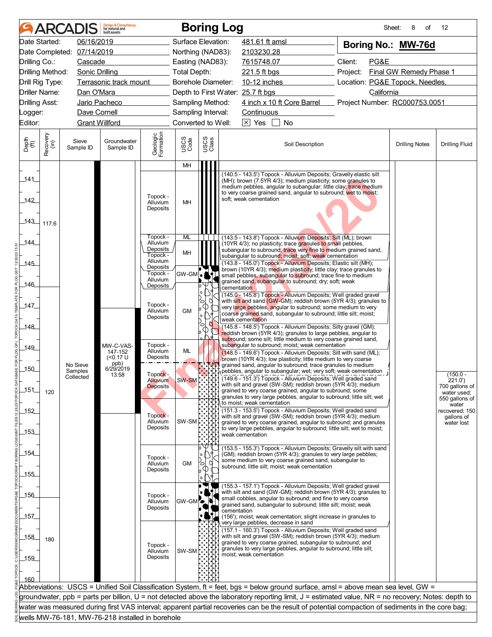|                       |                  | <b>ARCADIS</b>             | <b>Design &amp; Consultancy</b><br>for natural and<br>huilt assets |                                              |                           |               | <b>Boring Log</b>                                                                                                                                                                                                                                                                                   | Sheet:                                          | 8<br>of               | 12                            |
|-----------------------|------------------|----------------------------|--------------------------------------------------------------------|----------------------------------------------|---------------------------|---------------|-----------------------------------------------------------------------------------------------------------------------------------------------------------------------------------------------------------------------------------------------------------------------------------------------------|-------------------------------------------------|-----------------------|-------------------------------|
|                       | Date Started:    | 06/16/2019                 |                                                                    |                                              | Surface Elevation:        |               | 481.61 ft amsl                                                                                                                                                                                                                                                                                      | Boring No.: MW-76d                              |                       |                               |
|                       |                  | Date Completed: 07/14/2019 |                                                                    |                                              | Northing (NAD83):         |               | 2103230.28                                                                                                                                                                                                                                                                                          |                                                 |                       |                               |
| Drilling Co.:         |                  | Cascade                    |                                                                    |                                              | Easting (NAD83):          |               | 7615748.07                                                                                                                                                                                                                                                                                          | Client:<br>PG&E                                 |                       |                               |
|                       | Drilling Method: | <b>Sonic Drilling</b>      |                                                                    |                                              | <b>Total Depth:</b>       |               | 221.5 ft bgs                                                                                                                                                                                                                                                                                        | Final GW Remedy Phase 1<br>Project:             |                       |                               |
|                       | Drill Rig Type:  |                            | Terrasonic track mount                                             |                                              | <b>Borehole Diameter:</b> |               |                                                                                                                                                                                                                                                                                                     | Location: PG&E Topock, Needles,<br>10-12 inches |                       |                               |
|                       | Driller Name:    | Dan O'Mara                 |                                                                    |                                              |                           |               | Depth to First Water: 25.7 ft bgs                                                                                                                                                                                                                                                                   | California                                      |                       |                               |
| <b>Drilling Asst:</b> |                  |                            | Jario Pacheco                                                      |                                              | Sampling Method:          |               | 4 inch x 10 ft Core Barrel                                                                                                                                                                                                                                                                          | Project Number: RC000753.0051                   |                       |                               |
| Logger:               |                  | Dave Cornell               |                                                                    |                                              | Sampling Interval:        |               | Continuous                                                                                                                                                                                                                                                                                          |                                                 |                       |                               |
| Editor:               |                  | <b>Grant Willford</b>      |                                                                    |                                              | Converted to Well:        |               | $\overline{\times}$ Yes<br>$\sim 10$<br><b>No</b>                                                                                                                                                                                                                                                   |                                                 |                       |                               |
| Depth<br>(ft)         | Recovery<br>(in) | Sieve<br>Sample ID         | Groundwater<br>Sample ID                                           | Geologic<br>Formation                        | USCS<br>Code              | USCS<br>Class | Soil Description                                                                                                                                                                                                                                                                                    |                                                 | <b>Drilling Notes</b> | <b>Drilling Fluid</b>         |
|                       |                  |                            |                                                                    |                                              | MH                        |               |                                                                                                                                                                                                                                                                                                     |                                                 |                       |                               |
| _141_<br>142<br>_143_ | 117.6            |                            |                                                                    | Topock -<br>Alluvium<br>Deposits             | MH                        |               | (140.5 - 143.5') Topock - Alluvium Deposits; Gravelly elastic silt<br>(MH); brown (7.5YR 4/3); medium plasticity; some granules to<br>medium pebbles, angular to subangular; little clay; trace medium<br>to very coarse grained sand, angular to subround; wet to moist;<br>soft; weak cementation |                                                 |                       |                               |
| 144_                  |                  |                            |                                                                    | Topock -<br>Alluvium<br>Deposits<br>Topock - | ML<br>MH                  |               | (143.5 - 143.8') Topock - Alluvium Deposits; Silt (ML); brown<br>(10YR 4/3); no plasticity; trace granules to small pebbles,<br>subangular to subround; trace very fine to medium grained sand,                                                                                                     |                                                 |                       |                               |
| _145_                 |                  |                            |                                                                    | Alluvium                                     |                           |               | subangular to subround; moist; soft; weak cementation<br>(143.8 - 145.0') Topock - Alluvium Deposits; Elastic silt (MH);                                                                                                                                                                            |                                                 |                       |                               |
|                       |                  |                            |                                                                    | Deposits<br>Topock -                         | GW-GM                     |               | brown (10YR 4/3); medium plasticity; little clay; trace granules to<br>small pebbles, subangular to subround; trace fine to medium                                                                                                                                                                  |                                                 |                       |                               |
| 146                   |                  |                            |                                                                    | Alluvium<br>Deposits                         |                           |               | grained sand, subangular to subround; dry; soft; weak<br>cementation                                                                                                                                                                                                                                |                                                 |                       |                               |
|                       |                  |                            |                                                                    |                                              |                           | $\circ$       | (145.0 - 145.8') Topock - Alluvium Deposits; Well graded gravel                                                                                                                                                                                                                                     |                                                 |                       |                               |
| 147                   |                  |                            |                                                                    | Topock -                                     |                           | Ø<br>ъ<br>O   | with silt and sand (GW-GM); reddish brown (5YR 4/3); granules to<br>very large pebbles, angular to subround; some medium to very                                                                                                                                                                    |                                                 |                       |                               |
|                       |                  |                            |                                                                    | Alluvium<br>Deposits                         | <b>GM</b>                 | $\circ$       | coarse grained sand, subangular to subround; little silt; moist;<br>weak cementation                                                                                                                                                                                                                |                                                 |                       |                               |
| _148_                 |                  |                            |                                                                    |                                              |                           | O<br>$\circ$  | (145.8 - 148.5') Topock - Alluvium Deposits; Silty gravel (GM);                                                                                                                                                                                                                                     |                                                 |                       |                               |
|                       |                  |                            |                                                                    |                                              |                           |               | reddish brown (5YR 4/3); granules to large pebbles, angular to<br>subround; some silt; little medium to very coarse grained sand,                                                                                                                                                                   |                                                 |                       |                               |
| 149_                  |                  |                            | MW-C-VAS-<br>147-152                                               | Topock -<br>Alluvium                         | ML                        |               | subangular to subround; moist; weak cementation                                                                                                                                                                                                                                                     |                                                 |                       |                               |
|                       |                  |                            | $(0.17 \text{ U}$                                                  | Deposits                                     |                           |               | (148.5 - 149.6') Topock - Alluvium Deposits; Silt with sand (ML);<br>brown (10YR 4/3); low plasticity; little medium to very coarse                                                                                                                                                                 |                                                 |                       |                               |
| $-150$                |                  | No Sieve<br>Samples        | ppb)<br>6/29/2019                                                  |                                              |                           |               | grained sand, angular to subround; trace granules to medium<br>pebbles, angular to subangular; wet; very soft; weak cementation                                                                                                                                                                     |                                                 |                       |                               |
|                       |                  | Collected                  | 13:58                                                              | Topock -<br><b>Alluvium</b>                  | SW-SM                     |               | (149.6 - 151.3') Topock - Alluvium Deposits; Well graded sand                                                                                                                                                                                                                                       |                                                 |                       | $(150.0 -$<br>221.0'          |
| 151                   | 120              |                            |                                                                    | <b>Deposits</b>                              |                           |               | with silt and gravel (SW-SM); reddish brown (5YR 4/3); medium<br>grained to very coarse grained, angular to subround; some                                                                                                                                                                          |                                                 |                       | 700 gallons of<br>water used; |
|                       |                  |                            |                                                                    |                                              |                           |               | granules to very large pebbles, angular to subround; little silt; wet<br>to moist; weak cementation                                                                                                                                                                                                 |                                                 |                       | 550 gallons of                |
| $-152$                |                  |                            |                                                                    |                                              |                           |               | (151.3 - 153.5') Topock - Alluvium Deposits; Well graded sand                                                                                                                                                                                                                                       |                                                 |                       | water<br>recovered; 150       |
|                       |                  |                            |                                                                    | Topock -<br>Alluvium                         | SW-SM                     |               | with silt and gravel (SW-SM); reddish brown (5YR 4/3); medium<br>grained to very coarse grained, angular to subround; and granules                                                                                                                                                                  |                                                 |                       | gallons of<br>water lost      |
| $-153$                |                  |                            |                                                                    | Deposits                                     |                           |               | to very large pebbles, angular to subround; little silt; wet to moist;<br>weak cementation                                                                                                                                                                                                          |                                                 |                       |                               |
|                       |                  |                            |                                                                    |                                              |                           |               |                                                                                                                                                                                                                                                                                                     |                                                 |                       |                               |
| _154_                 |                  |                            |                                                                    |                                              |                           |               | (153.5 - 155.3') Topock - Alluvium Deposits; Gravelly silt with sand<br>(GM); reddish brown (5YR 4/3); granules to very large pebbles;                                                                                                                                                              |                                                 |                       |                               |
|                       |                  |                            |                                                                    | Topock -<br>Alluvium                         | <b>GM</b>                 | ้0            | some medium to very coarse grained sand, subangular to<br>subround; little silt; moist; weak cementation                                                                                                                                                                                            |                                                 |                       |                               |
| 155                   |                  |                            |                                                                    | Deposits                                     |                           |               |                                                                                                                                                                                                                                                                                                     |                                                 |                       |                               |
|                       |                  |                            |                                                                    |                                              |                           |               | (155.3 - 157.1') Topock - Alluvium Deposits; Well graded gravel                                                                                                                                                                                                                                     |                                                 |                       |                               |
| $-156$                |                  |                            |                                                                    | Topock -                                     |                           |               | with silt and sand (GW-GM); reddish brown (5YR 4/3); granules to<br>small cobbles, angular to subround; and fine to very coarse                                                                                                                                                                     |                                                 |                       |                               |
|                       |                  |                            |                                                                    | Alluvium<br>Deposits                         | GW-GM <sup>7</sup>        |               | grained sand, subangular to subround; little silt; moist; weak                                                                                                                                                                                                                                      |                                                 |                       |                               |
| _157_                 |                  |                            |                                                                    |                                              |                           |               | cementation<br>(156'); moist; weak cementation; slight increase in granules to                                                                                                                                                                                                                      |                                                 |                       |                               |
|                       |                  |                            |                                                                    |                                              |                           |               | very large pebbles, decrease in sand<br>(157.1 - 160.3') Topock - Alluvium Deposits; Well graded sand                                                                                                                                                                                               |                                                 |                       |                               |
| _158_<br>$-159$       | 180              |                            |                                                                    | Topock -<br>Alluvium<br>Deposits             | SW-SM                     |               | with silt and gravel (SW-SM); reddish brown (5YR 4/3); medium<br>grained to very coarse grained, subangular to subround; and<br>granules to very large pebbles, angular to subround; little silt;<br>moist; weak cementation                                                                        |                                                 |                       |                               |
| 160                   |                  |                            |                                                                    |                                              |                           |               |                                                                                                                                                                                                                                                                                                     |                                                 |                       |                               |
|                       |                  |                            |                                                                    |                                              |                           |               | Abbreviations: USCS = Unified Soil Classification System, ft = feet, bgs = below ground surface, amsl = above mean sea level, GW =                                                                                                                                                                  |                                                 |                       |                               |
|                       |                  |                            |                                                                    |                                              |                           |               | groundwater, ppb = parts per billion, U = not detected above the laboratory reporting limit, J = estimated value, NR = no recovery; Notes: depth to                                                                                                                                                 |                                                 |                       |                               |
|                       |                  |                            |                                                                    |                                              |                           |               | water was measured during first VAS interval; apparent partial recoveries can be the result of potential compaction of sediments in the core bag;                                                                                                                                                   |                                                 |                       |                               |
|                       |                  |                            | wells MW-76-181, MW-76-218 installed in borehole                   |                                              |                           |               |                                                                                                                                                                                                                                                                                                     |                                                 |                       |                               |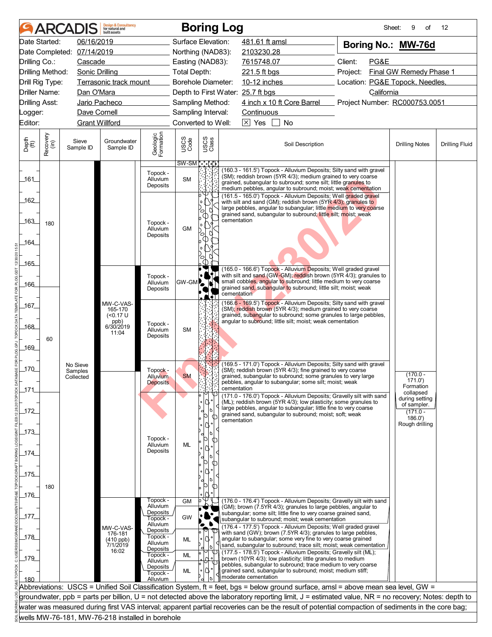|                                   | ARCADIS               | <b>Design &amp; Consultancy</b><br>for natural and<br>built assets |                                  |                                       |               | <b>Boring Log</b>                                                                                                                                                                                                                                                                       | Sheet:                          | 9<br>of                             | 12                    |
|-----------------------------------|-----------------------|--------------------------------------------------------------------|----------------------------------|---------------------------------------|---------------|-----------------------------------------------------------------------------------------------------------------------------------------------------------------------------------------------------------------------------------------------------------------------------------------|---------------------------------|-------------------------------------|-----------------------|
| Date Started:                     | 06/16/2019            |                                                                    |                                  | Surface Elevation:                    |               | 481.61 ft amsl                                                                                                                                                                                                                                                                          | Boring No.: MW-76d              |                                     |                       |
| Date Completed:                   | 07/14/2019            |                                                                    |                                  | Northing (NAD83):                     |               | 2103230.28                                                                                                                                                                                                                                                                              |                                 |                                     |                       |
| Drilling Co.:                     | Cascade               |                                                                    |                                  | Easting (NAD83):                      |               | 7615748.07                                                                                                                                                                                                                                                                              | Client:<br>PG&E                 |                                     |                       |
| Drilling Method:                  | <b>Sonic Drilling</b> |                                                                    |                                  | <b>Total Depth:</b>                   |               | 221.5 ft bgs                                                                                                                                                                                                                                                                            | Project:                        | Final GW Remedy Phase 1             |                       |
| Drill Rig Type:                   |                       | Terrasonic track mount                                             |                                  | Borehole Diameter:                    |               | 10-12 inches                                                                                                                                                                                                                                                                            | Location: PG&E Topock, Needles, |                                     |                       |
| Driller Name:                     | Dan O'Mara            |                                                                    |                                  |                                       |               | Depth to First Water: 25.7 ft bgs                                                                                                                                                                                                                                                       | California                      |                                     |                       |
| <b>Drilling Asst:</b>             | Jario Pacheco         |                                                                    |                                  | Sampling Method:                      |               | 4 inch x 10 ft Core Barrel                                                                                                                                                                                                                                                              | Project Number: RC000753.0051   |                                     |                       |
| _ogger:                           | Dave Cornell          |                                                                    |                                  | Sampling Interval:                    |               | Continuous                                                                                                                                                                                                                                                                              |                                 |                                     |                       |
| Editor:                           | <b>Grant Willford</b> |                                                                    |                                  | Converted to Well:                    |               | $\boxtimes$ Yes<br>No                                                                                                                                                                                                                                                                   |                                 |                                     |                       |
|                                   |                       |                                                                    |                                  |                                       |               |                                                                                                                                                                                                                                                                                         |                                 |                                     |                       |
| Recovery<br>(in)<br>Depth<br>(ft) | Sieve<br>Sample ID    | Groundwater<br>Sample ID                                           | Geologic<br>Formation            | USCS<br>Code<br><del>SW-SM ៃ</del> ៅ្ | USCS<br>Class | Soil Description                                                                                                                                                                                                                                                                        |                                 | <b>Drilling Notes</b>               | <b>Drilling Fluid</b> |
| 161                               |                       |                                                                    | Topock -<br>Alluvium<br>Deposits | <b>SM</b>                             |               | (160.3 - 161.5') Topock - Alluvium Deposits; Silty sand with gravel<br>(SM); reddish brown (5YR 4/3); medium grained to very coarse<br>grained, subangular to subround; some silt; little granules to<br>medium pebbles, angular to subround; moist; weak cementation                   |                                 |                                     |                       |
| 162<br>_163_<br>180<br>164_       |                       |                                                                    | Topock -<br>Alluvium<br>Deposits | GМ                                    | U<br>οΙ<br>Œ. | (161.5 - 165.0') Topock - Alluvium Deposits; Well graded gravel<br>with silt and sand (GM); reddish brown (5YR 4/3); granules to<br>large pebbles, angular to subangular; little medium to very coarse<br>grained sand, subangular to subround; little silt; moist; weak<br>cementation |                                 |                                     |                       |
| $-165$                            |                       |                                                                    |                                  |                                       |               | (165.0 - 166.6') Topock - Alluvium Deposits; Well graded gravel                                                                                                                                                                                                                         |                                 |                                     |                       |
| 166                               |                       |                                                                    | Topock -<br>Alluvium             | GW-GM                                 |               | with silt and sand (GW-GM); reddish brown (5YR 4/3); granules to<br>small cobbles, angular to subround; little medium to very coarse                                                                                                                                                    |                                 |                                     |                       |
| $-167$                            |                       | MW-C-VAS-                                                          | Deposits                         |                                       |               | grained sand, subangular to subround; little silt; moist; weak<br>cementation<br>(166.6 - 169.5') Topock - Alluvium Deposits; Silty sand with gravel                                                                                                                                    |                                 |                                     |                       |
| _168_                             |                       | 165-170<br>$(0.17 \text{ U}$<br>ppb)<br>6/30/2019<br>11:04         | Topock -<br>Alluvium<br>Deposits | <b>SM</b>                             |               | (SM); reddish brown (5YR 4/3); medium grained to very coarse<br>grained, subangular to subround; some granules to large pebbles,<br>angular to subround; little silt; moist; weak cementation                                                                                           |                                 |                                     |                       |
| 60<br>_169_<br>$170$              | No Sieve              |                                                                    | Topock -                         |                                       |               | (169.5 - 171.0') Topock - Alluvium Deposits; Silty sand with gravel<br>(SM); reddish brown (5YR 4/3); fine grained to very coarse                                                                                                                                                       |                                 |                                     |                       |
|                                   | Samples<br>Collected  |                                                                    | Alluvium                         | <b>SM</b>                             |               | grained, subangular to subround; some granules to very large                                                                                                                                                                                                                            |                                 | $(170.0 -$<br>171.0')               |                       |
| 171                               |                       |                                                                    | <b>Deposits</b>                  |                                       |               | pebbles, angular to subangular; some silt; moist; weak<br>cementation                                                                                                                                                                                                                   |                                 | Formation                           |                       |
|                                   |                       |                                                                    |                                  |                                       | IQ.           | (171.0 - 176.0') Topock - Alluvium Deposits; Gravelly silt with sand<br>(ML); reddish brown (5YR 4/3); low plasticity; some granules to                                                                                                                                                 |                                 | collapsed<br>during setting         |                       |
| $172$                             |                       |                                                                    |                                  |                                       |               | large pebbles, angular to subangular; little fine to very coarse<br>grained sand, subangular to subround; moist; soft; weak<br>cementation                                                                                                                                              |                                 | of sampler.<br>$(171.0 -$<br>186.0' |                       |
| $-173$                            |                       |                                                                    | Topock -                         |                                       |               |                                                                                                                                                                                                                                                                                         |                                 | Rough drilling                      |                       |
| $174$                             |                       |                                                                    | Alluvium<br>Deposits             | ML                                    |               |                                                                                                                                                                                                                                                                                         |                                 |                                     |                       |
|                                   |                       |                                                                    |                                  |                                       |               |                                                                                                                                                                                                                                                                                         |                                 |                                     |                       |
| $175$                             |                       |                                                                    |                                  |                                       |               |                                                                                                                                                                                                                                                                                         |                                 |                                     |                       |
| 180                               |                       |                                                                    |                                  |                                       |               |                                                                                                                                                                                                                                                                                         |                                 |                                     |                       |
| $-176$                            |                       |                                                                    |                                  |                                       |               |                                                                                                                                                                                                                                                                                         |                                 |                                     |                       |
|                                   |                       |                                                                    | Topock -<br>Alluvium             | <b>GM</b>                             |               | (176.0 - 176.4') Topock - Alluvium Deposits; Gravelly silt with sand<br>(GM); brown (7.5YR 4/3); granules to large pebbles, angular to                                                                                                                                                  |                                 |                                     |                       |
| _177_                             |                       |                                                                    | Deposits<br>Topock -             | GW                                    |               | subangular; some silt; little fine to very coarse grained sand,<br>subangular to subround; moist; weak cementation                                                                                                                                                                      |                                 |                                     |                       |
|                                   |                       | MW-C-VAS-                                                          | Alluvium                         |                                       | ۰             | (176.4 - 177.5') Topock - Alluvium Deposits; Well graded gravel                                                                                                                                                                                                                         |                                 |                                     |                       |
| _178_                             |                       | 176-181                                                            | Deposits<br>Topock -             | ML                                    |               | with sand (GW); brown (7.5YR 4/3); granules to large pebbles,<br>angular to subangular; some very fine to very coarse grained                                                                                                                                                           |                                 |                                     |                       |
|                                   |                       | (410 ppb)<br>7/1/2019                                              | Alluvium<br>Deposits             |                                       |               | sand, subangular to subround; trace silt; moist; weak cementation                                                                                                                                                                                                                       |                                 |                                     |                       |
| $-179$                            |                       | 16:02                                                              | Topock -                         | ML                                    |               | (177.5 - 178.5') Topock - Alluvium Deposits; Gravelly silt (ML);<br>brown (10YR 4/3); low plasticity; little granules to medium                                                                                                                                                         |                                 |                                     |                       |
|                                   |                       |                                                                    | Alluvium<br>Deposits             |                                       |               | pebbles, subangular to subround; trace medium to very coarse                                                                                                                                                                                                                            |                                 |                                     |                       |
| 180                               |                       |                                                                    | Topock -<br>Alluvium             | ML                                    |               | grained sand, subangular to subround; moist; medium stiff;<br>moderate cementation                                                                                                                                                                                                      |                                 |                                     |                       |
|                                   |                       |                                                                    |                                  |                                       |               | Abbreviations: USCS = Unified Soil Classification System, ft = feet, bgs = below ground surface, amsl = above mean sea level, GW =                                                                                                                                                      |                                 |                                     |                       |
|                                   |                       |                                                                    |                                  |                                       |               | groundwater, ppb = parts per billion, U = not detected above the laboratory reporting limit, J = estimated value, NR = no recovery; Notes: depth to                                                                                                                                     |                                 |                                     |                       |
|                                   |                       |                                                                    |                                  |                                       |               | water was measured during first VAS interval; apparent partial recoveries can be the result of potential compaction of sediments in the core bag;                                                                                                                                       |                                 |                                     |                       |
|                                   |                       | wells MW-76-181, MW-76-218 installed in borehole                   |                                  |                                       |               |                                                                                                                                                                                                                                                                                         |                                 |                                     |                       |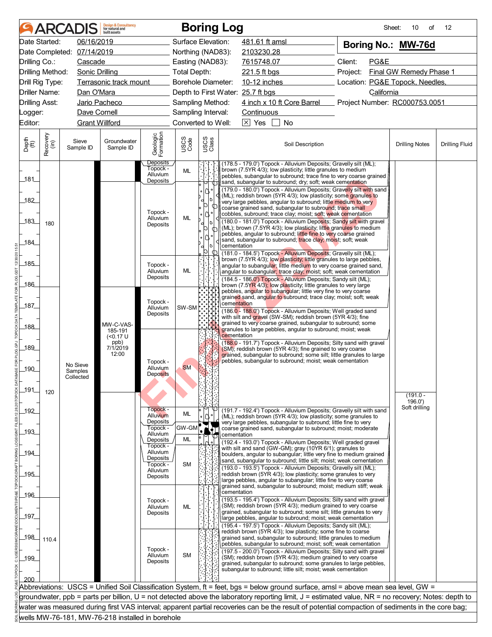|                       |                  | <b>ARCADIS</b>                   | <b>Design &amp; Consultancy</b><br>for natural and<br>huilt assets |                                         |                           |                                                                                          | <b>Boring Log</b>                                                                                                                                                                                                                                                                                                                                                                                                                                                                                                                                                                                                                    | Sheet:                          | 10<br>of                | $12 \overline{ }$     |
|-----------------------|------------------|----------------------------------|--------------------------------------------------------------------|-----------------------------------------|---------------------------|------------------------------------------------------------------------------------------|--------------------------------------------------------------------------------------------------------------------------------------------------------------------------------------------------------------------------------------------------------------------------------------------------------------------------------------------------------------------------------------------------------------------------------------------------------------------------------------------------------------------------------------------------------------------------------------------------------------------------------------|---------------------------------|-------------------------|-----------------------|
|                       | Date Started:    | 06/16/2019                       |                                                                    |                                         | Surface Elevation:        |                                                                                          | 481.61 ft amsl                                                                                                                                                                                                                                                                                                                                                                                                                                                                                                                                                                                                                       | Boring No.: MW-76d              |                         |                       |
|                       |                  | Date Completed: 07/14/2019       |                                                                    |                                         | Northing (NAD83):         |                                                                                          | 2103230.28                                                                                                                                                                                                                                                                                                                                                                                                                                                                                                                                                                                                                           |                                 |                         |                       |
| Drilling Co.:         |                  | Cascade                          |                                                                    |                                         | Easting (NAD83):          |                                                                                          | 7615748.07                                                                                                                                                                                                                                                                                                                                                                                                                                                                                                                                                                                                                           | Client:<br>PG&E                 |                         |                       |
|                       | Drilling Method: | <b>Sonic Drilling</b>            |                                                                    |                                         | <b>Total Depth:</b>       |                                                                                          | 221.5 ft bgs                                                                                                                                                                                                                                                                                                                                                                                                                                                                                                                                                                                                                         | Project:                        | Final GW Remedy Phase 1 |                       |
|                       | Drill Rig Type:  |                                  | Terrasonic track mount                                             |                                         | <b>Borehole Diameter:</b> |                                                                                          | 10-12 inches                                                                                                                                                                                                                                                                                                                                                                                                                                                                                                                                                                                                                         | Location: PG&E Topock, Needles, |                         |                       |
|                       | Driller Name:    | Dan O'Mara                       |                                                                    |                                         |                           |                                                                                          | Depth to First Water: 25.7 ft bgs                                                                                                                                                                                                                                                                                                                                                                                                                                                                                                                                                                                                    | California                      |                         |                       |
| <b>Drilling Asst:</b> |                  |                                  | Jario Pacheco                                                      |                                         | Sampling Method:          |                                                                                          | 4 inch x 10 ft Core Barrel                                                                                                                                                                                                                                                                                                                                                                                                                                                                                                                                                                                                           | Project Number: RC000753.0051   |                         |                       |
| Logger:               |                  | Dave Cornell                     |                                                                    |                                         | Sampling Interval:        |                                                                                          | Continuous                                                                                                                                                                                                                                                                                                                                                                                                                                                                                                                                                                                                                           |                                 |                         |                       |
| Editor:               |                  | <b>Grant Willford</b>            |                                                                    |                                         | Converted to Well:        |                                                                                          | $\boxtimes$ Yes<br>No                                                                                                                                                                                                                                                                                                                                                                                                                                                                                                                                                                                                                |                                 |                         |                       |
| Depth<br>(ft)         | Recovery<br>(in) | Sieve<br>Sample ID               | Groundwater<br>Sample ID                                           | Geologic<br>Formation                   | USCS<br>Code              | USCS<br>Class                                                                            | Soil Description                                                                                                                                                                                                                                                                                                                                                                                                                                                                                                                                                                                                                     |                                 | <b>Drilling Notes</b>   | <b>Drilling Fluid</b> |
|                       |                  |                                  |                                                                    | Deposits<br>Topock -<br>Alluvium        | ML                        |                                                                                          | (178.5 - 179.0') Topock - Alluvium Deposits; Gravelly silt (ML);<br>brown (7.5YR 4/3); low plasticity; little granules to medium                                                                                                                                                                                                                                                                                                                                                                                                                                                                                                     |                                 |                         |                       |
| _181_                 |                  |                                  |                                                                    | Deposits                                |                           |                                                                                          | pebbles, subangular to subround; trace fine to very coarse grained  <br>sand, subangular to subround; dry; soft; weak cementation                                                                                                                                                                                                                                                                                                                                                                                                                                                                                                    |                                 |                         |                       |
| 182<br>_183_<br>184   | 180              |                                  |                                                                    | Topock -<br>Alluvium<br>Deposits        | ML                        | Π,<br>10<br>ΩI<br>¢<br>۱۷.<br>$\bullet$<br>١o<br>d<br><sub>10</sub><br>T<br>10<br>d<br>p | (179.0 - 180.0') Topock - Alluvium Deposits; Gravelly silt with sand<br>(ML); reddish brown (5YR 4/3); low plasticity; some granules to<br>very large pebbles, angular to subround; little medium to very<br>coarse grained sand, subangular to subround; trace small<br>cobbles, subround; trace clay; moist; soft; weak cementation<br>(180.0 - 181.0') Topock - Alluvium Deposits; Sandy silt with gravel<br>(ML); brown (7.5YR 4/3); low plasticity; little granules to medium<br>pebbles, angular to subround; little fine to very coarse grained<br>sand, subangular to subround; trace clay; moist; soft; weak<br>cementation |                                 |                         |                       |
|                       |                  |                                  |                                                                    |                                         |                           |                                                                                          | (181.0 - 184.5') Topock - Alluvium Deposits; Gravelly silt (ML);<br>brown (7.5YR 4/3); low plasticity; little granules to large pebbles,                                                                                                                                                                                                                                                                                                                                                                                                                                                                                             |                                 |                         |                       |
| $-185$                |                  |                                  |                                                                    | Topock -<br>Alluvium                    | ML                        |                                                                                          | angular to subangular; little medium to very coarse grained sand,<br>angular to subangular; trace clay; moist; soft; weak cementation                                                                                                                                                                                                                                                                                                                                                                                                                                                                                                |                                 |                         |                       |
|                       |                  |                                  |                                                                    | Deposits                                |                           |                                                                                          | (184.5 - 186.0') Topock - Alluvium Deposits; Sandy silt (ML);                                                                                                                                                                                                                                                                                                                                                                                                                                                                                                                                                                        |                                 |                         |                       |
| 186                   |                  |                                  |                                                                    |                                         |                           |                                                                                          | brown (7.5YR 4/3); low plasticity; little granules to very large<br>pebbles, angular to subangular; little very fine to very coarse                                                                                                                                                                                                                                                                                                                                                                                                                                                                                                  |                                 |                         |                       |
|                       |                  |                                  |                                                                    | Topock -                                |                           |                                                                                          | grained sand, angular to subround; trace clay; moist; soft; weak                                                                                                                                                                                                                                                                                                                                                                                                                                                                                                                                                                     |                                 |                         |                       |
| 187                   |                  |                                  |                                                                    | Alluvium                                | SW-SM                     |                                                                                          | cementation<br>(186.0 - 188.0') Topock - Alluvium Deposits; Well graded sand                                                                                                                                                                                                                                                                                                                                                                                                                                                                                                                                                         |                                 |                         |                       |
|                       |                  |                                  |                                                                    | Deposits                                |                           |                                                                                          | with silt and gravel (SW-SM); reddish brown (5YR 4/3); fine                                                                                                                                                                                                                                                                                                                                                                                                                                                                                                                                                                          |                                 |                         |                       |
| _188_                 |                  |                                  | MW-C-VAS-<br>185-191                                               |                                         |                           |                                                                                          | grained to very coarse grained, subangular to subround; some<br>granules to large pebbles, angular to subround; moist; weak                                                                                                                                                                                                                                                                                                                                                                                                                                                                                                          |                                 |                         |                       |
| 189_<br>$-190$<br>191 | 120              | No Sieve<br>Samples<br>Collected | $(0.17 \text{ U}$<br>ppb)<br>7/1/2019<br>12:00                     | Topock -<br>Alluvium<br><b>Deposits</b> | <b>SM</b>                 |                                                                                          | cementation<br>(188.0 - 191.7') Topock - Alluvium Deposits; Silty sand with gravel<br>(SM); reddish brown (5YR 4/3); fine grained to very coarse<br>grained, subangular to subround; some silt; little granules to large<br>pebbles, subangular to subround; moist; weak cementation                                                                                                                                                                                                                                                                                                                                                 |                                 |                         |                       |
|                       |                  |                                  |                                                                    |                                         |                           |                                                                                          |                                                                                                                                                                                                                                                                                                                                                                                                                                                                                                                                                                                                                                      |                                 | $(191.0 -$<br>196.0'    |                       |
| _192_                 |                  |                                  |                                                                    | Topock -<br><b>Alluvium</b><br>Deposits | ML                        |                                                                                          | (191.7 - 192.4') Topock - Alluvium Deposits; Gravelly silt with sand<br>(ML); reddish brown (5YR 4/3); low plasticity; some granules to<br>very large pebbles, subangular to subround; little fine to very                                                                                                                                                                                                                                                                                                                                                                                                                           |                                 | Soft drilling           |                       |
| $-193$                |                  |                                  |                                                                    | Topock -                                | GW-GM                     |                                                                                          | coarse grained sand, subangular to subround; moist; moderate                                                                                                                                                                                                                                                                                                                                                                                                                                                                                                                                                                         |                                 |                         |                       |
|                       |                  |                                  |                                                                    | Alluvium<br>Deposits                    | ML                        |                                                                                          | cementation<br>(192.4 - 193.0') Topock - Alluvium Deposits; Well graded gravel                                                                                                                                                                                                                                                                                                                                                                                                                                                                                                                                                       |                                 |                         |                       |
| _194_                 |                  |                                  |                                                                    | Topock -<br>Alluvium                    |                           |                                                                                          | with silt and sand (GW-GM); gray (10YR 6/1); granules to                                                                                                                                                                                                                                                                                                                                                                                                                                                                                                                                                                             |                                 |                         |                       |
|                       |                  |                                  |                                                                    | Deposits<br>Topock -                    | <b>SM</b>                 |                                                                                          | boulders, angular to subangular; little very fine to medium grained<br>sand, subangular to subround; little silt; moist; weak cementation                                                                                                                                                                                                                                                                                                                                                                                                                                                                                            |                                 |                         |                       |
| 195                   |                  |                                  |                                                                    | Alluvium                                |                           |                                                                                          | (193.0 - 193.5') Topock - Alluvium Deposits; Gravelly silt (ML);<br>reddish brown (5YR 4/3); low plasticity; some granules to very                                                                                                                                                                                                                                                                                                                                                                                                                                                                                                   |                                 |                         |                       |
|                       |                  |                                  |                                                                    | Deposits                                |                           |                                                                                          | large pebbles, angular to subangular; little fine to very coarse                                                                                                                                                                                                                                                                                                                                                                                                                                                                                                                                                                     |                                 |                         |                       |
|                       |                  |                                  |                                                                    |                                         |                           |                                                                                          | grained sand, subangular to subround; moist; medium stiff; weak<br>cementation                                                                                                                                                                                                                                                                                                                                                                                                                                                                                                                                                       |                                 |                         |                       |
| _196_                 |                  |                                  |                                                                    | Topock -                                |                           |                                                                                          | (193.5 - 195.4') Topock - Alluvium Deposits; Silty sand with gravel                                                                                                                                                                                                                                                                                                                                                                                                                                                                                                                                                                  |                                 |                         |                       |
|                       |                  |                                  |                                                                    | Alluvium<br>Deposits                    | ML                        |                                                                                          | (SM); reddish brown (5YR 4/3); medium grained to very coarse<br>grained, subangular to subround; some silt; little granules to very                                                                                                                                                                                                                                                                                                                                                                                                                                                                                                  |                                 |                         |                       |
| _197_                 |                  |                                  |                                                                    |                                         |                           |                                                                                          | large pebbles, angular to subround; moist; weak cementation<br>(195.4 - 197.5') Topock - Alluvium Deposits; Sandy silt (ML);                                                                                                                                                                                                                                                                                                                                                                                                                                                                                                         |                                 |                         |                       |
| 198                   | 110.4            |                                  |                                                                    |                                         |                           |                                                                                          | reddish brown (5YR 4/3); low plasticity; some fine to coarse<br>grained sand, subangular to subround; little granules to medium                                                                                                                                                                                                                                                                                                                                                                                                                                                                                                      |                                 |                         |                       |
|                       |                  |                                  |                                                                    | Topock -                                |                           |                                                                                          | pebbles, subangular to subround; moist; soft; weak cementation                                                                                                                                                                                                                                                                                                                                                                                                                                                                                                                                                                       |                                 |                         |                       |
| 199                   |                  |                                  |                                                                    | Alluvium                                | <b>SM</b>                 |                                                                                          | (197.5 - 200.0') Topock - Alluvium Deposits; Silty sand with gravel<br>(SM); reddish brown (5YR 4/3); medium grained to very coarse                                                                                                                                                                                                                                                                                                                                                                                                                                                                                                  |                                 |                         |                       |
|                       |                  |                                  |                                                                    | Deposits                                |                           |                                                                                          | grained, subangular to subround; some granules to large pebbles,<br>subangular to subround; little silt; moist; weak cementation                                                                                                                                                                                                                                                                                                                                                                                                                                                                                                     |                                 |                         |                       |
| 200                   |                  |                                  |                                                                    |                                         |                           |                                                                                          |                                                                                                                                                                                                                                                                                                                                                                                                                                                                                                                                                                                                                                      |                                 |                         |                       |
|                       |                  |                                  |                                                                    |                                         |                           |                                                                                          | Abbreviations: USCS = Unified Soil Classification System, ft = feet, bgs = below ground surface, amsl = above mean sea level, GW =                                                                                                                                                                                                                                                                                                                                                                                                                                                                                                   |                                 |                         |                       |
|                       |                  |                                  |                                                                    |                                         |                           |                                                                                          | groundwater, ppb = parts per billion, U = not detected above the laboratory reporting limit, J = estimated value, NR = no recovery; Notes: depth to                                                                                                                                                                                                                                                                                                                                                                                                                                                                                  |                                 |                         |                       |
|                       |                  |                                  |                                                                    |                                         |                           |                                                                                          | water was measured during first VAS interval; apparent partial recoveries can be the result of potential compaction of sediments in the core bag;                                                                                                                                                                                                                                                                                                                                                                                                                                                                                    |                                 |                         |                       |
|                       |                  |                                  | wells MW-76-181, MW-76-218 installed in borehole                   |                                         |                           |                                                                                          |                                                                                                                                                                                                                                                                                                                                                                                                                                                                                                                                                                                                                                      |                                 |                         |                       |
|                       |                  |                                  |                                                                    |                                         |                           |                                                                                          |                                                                                                                                                                                                                                                                                                                                                                                                                                                                                                                                                                                                                                      |                                 |                         |                       |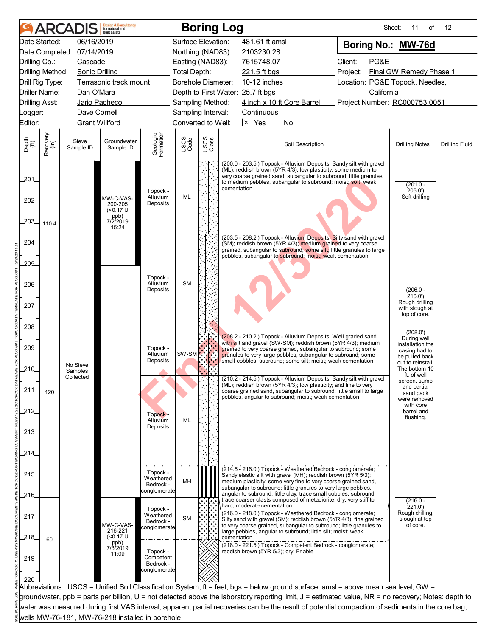|                       |                      | <b>ARCADIS</b>             | <b>Design &amp; Consultancy</b><br>for natural and<br>built assets                        |                                                    |                           |               | <b>Boring Log</b>                                                                                                                                                                                                                                                                        | Sheet:                          | 11<br>of                                                                                  | $12 \overline{ }$     |
|-----------------------|----------------------|----------------------------|-------------------------------------------------------------------------------------------|----------------------------------------------------|---------------------------|---------------|------------------------------------------------------------------------------------------------------------------------------------------------------------------------------------------------------------------------------------------------------------------------------------------|---------------------------------|-------------------------------------------------------------------------------------------|-----------------------|
|                       | Date Started:        | 06/16/2019                 |                                                                                           |                                                    | Surface Elevation:        |               | 481.61 ft amsl                                                                                                                                                                                                                                                                           | Boring No.: MW-76d              |                                                                                           |                       |
|                       |                      | Date Completed: 07/14/2019 |                                                                                           |                                                    | Northing (NAD83):         |               | 2103230.28                                                                                                                                                                                                                                                                               |                                 |                                                                                           |                       |
| Drilling Co.:         |                      | Cascade                    |                                                                                           |                                                    | Easting (NAD83):          |               | 7615748.07                                                                                                                                                                                                                                                                               | Client:<br>PG&E                 |                                                                                           |                       |
| Drilling Method:      |                      | <b>Sonic Drilling</b>      |                                                                                           |                                                    | <b>Total Depth:</b>       |               | 221.5 ft bgs                                                                                                                                                                                                                                                                             | Project:                        | Final GW Remedy Phase 1                                                                   |                       |
| Drill Rig Type:       |                      |                            | Terrasonic track mount                                                                    |                                                    | <b>Borehole Diameter:</b> |               | 10-12 inches                                                                                                                                                                                                                                                                             | Location: PG&E Topock, Needles, |                                                                                           |                       |
|                       | <b>Driller Name:</b> | Dan O'Mara                 |                                                                                           |                                                    |                           |               | Depth to First Water: 25.7 ft bgs                                                                                                                                                                                                                                                        | California                      |                                                                                           |                       |
| <b>Drilling Asst:</b> |                      |                            | Jario Pacheco                                                                             |                                                    | Sampling Method:          |               | 4 inch x 10 ft Core Barrel Project Number: RC000753.0051                                                                                                                                                                                                                                 |                                 |                                                                                           |                       |
| Logger:               |                      | Dave Cornell               |                                                                                           |                                                    | Sampling Interval:        |               | <b>Continuous</b>                                                                                                                                                                                                                                                                        |                                 |                                                                                           |                       |
| Editor:               |                      |                            | <b>Grant Willford</b>                                                                     |                                                    | Converted to Well:        |               | $\boxtimes$ Yes<br>No                                                                                                                                                                                                                                                                    |                                 |                                                                                           |                       |
| Depth<br>(ft)         | Recovery<br>(in)     | Sieve<br>Sample ID         | Groundwater<br>Sample ID                                                                  | Geologic<br>Formation                              | USCS<br>Code              | USCS<br>Class | Soil Description                                                                                                                                                                                                                                                                         |                                 | <b>Drilling Notes</b>                                                                     | <b>Drilling Fluid</b> |
| 201                   |                      |                            |                                                                                           | Topock -                                           |                           |               | (200.0 - 203.5') Topock - Alluvium Deposits; Sandy silt with gravel<br>(ML); reddish brown (5YR 4/3); low plasticity; some medium to<br>very coarse grained sand, subangular to subround; little granules<br>to medium pebbles, subangular to subround; moist; soft; weak<br>cementation |                                 | $(201.0 -$<br>206.0'                                                                      |                       |
| 202<br>203_           | 110.4                |                            | Alluvium<br>MW-C-VAS-<br>Deposits<br>200-205<br>$($ < 0.17 U<br>ppb)<br>7/2/2019<br>15:24 |                                                    | ML                        |               |                                                                                                                                                                                                                                                                                          |                                 | Soft drilling                                                                             |                       |
| 204_                  |                      |                            |                                                                                           |                                                    |                           |               | (203.5 - 208.2') Topock - Alluvium Deposits; Silty sand with gravel<br>(SM); reddish brown (5YR 4/3); medium grained to very coarse<br>grained, subangular to subround; some silt; little granules to large<br>pebbles, subangular to subround; moist; weak cementation                  |                                 |                                                                                           |                       |
| 205<br>$-206$         |                      |                            |                                                                                           | Topock -<br>Alluvium<br>Deposits                   | <b>SM</b>                 |               |                                                                                                                                                                                                                                                                                          |                                 | $(206.0 -$                                                                                |                       |
| 207                   |                      |                            |                                                                                           |                                                    |                           |               |                                                                                                                                                                                                                                                                                          |                                 | 216.0'<br>Rough drilling<br>with slough at<br>top of core.                                |                       |
| .208                  |                      |                            |                                                                                           |                                                    |                           |               | (208.2 - 210.2') Topock - Alluvium Deposits; Well graded sand<br>with silt and gravel (SW-SM); reddish brown (5YR 4/3); medium                                                                                                                                                           |                                 | (208.0')<br>During well                                                                   |                       |
| 209<br>210            |                      | No Sieve<br>Samples        |                                                                                           | Topock -<br>Alluvium<br>Deposits                   | SW-SM                     |               | grained to very coarse grained, subangular to subround; some<br>granules to very large pebbles, subangular to subround; some<br>small cobbles, subround; some silt; moist; weak cementation                                                                                              |                                 | installation the<br>casing had to<br>be pulled back<br>out to reinstall.<br>The bottom 10 |                       |
| 211                   | 120                  | Collected                  |                                                                                           |                                                    |                           |               | (210.2 - 214.5') Topock - Alluvium Deposits; Sandy silt with gravel<br>(ML); reddish brown (5YR 4/3); low plasticity; and fine to very<br>coarse grained sand, subangular to subround; little small to large<br>pebbles, angular to subround; moist; weak cementation                    |                                 | ft. of well<br>screen, sump<br>and partial<br>sand pack<br>were removed                   |                       |
| 212                   |                      |                            |                                                                                           | Topock -<br>Alluvium<br>Deposits                   | ML                        |               |                                                                                                                                                                                                                                                                                          |                                 | with core<br>barrel and<br>flushing.                                                      |                       |
| 213<br>214            |                      |                            |                                                                                           |                                                    |                           |               |                                                                                                                                                                                                                                                                                          |                                 |                                                                                           |                       |
| 215                   |                      |                            |                                                                                           | Topock -<br>Weathered<br>Bedrock -                 | MH                        |               | (214.5 - 216.0') Topock - Weathered Bedrock - conglomerate;<br>Sandy elastic silt with gravel (MH); reddish brown (5YR 5/3);<br>medium plasticity; some very fine to very coarse grained sand,                                                                                           |                                 |                                                                                           |                       |
| -216                  |                      |                            |                                                                                           | conglomerate<br>Topock -                           |                           |               | subangular to subround; little granules to very large pebbles,<br>angular to subround; little clay; trace small cobbles, subround;<br>trace coarser clasts composed of metadiorite; dry; very stiff to<br>hard; moderate cementation                                                     |                                 | $(216.0 -$<br>221.0')                                                                     |                       |
| 217.<br>218           | 60                   |                            | MW-C-VAS-<br>216-221<br>( <sub>0.17</sub> U)                                              | Weathered<br>Bedrock -<br>conglomerate             | <b>SM</b>                 |               | (216.0 - 218.0') Topock - Weathered Bedrock - conglomerate;<br>Silty sand with gravel (SM); reddish brown (5YR 4/3); fine grained<br>to very coarse grained, subangular to subround; little granules to<br>large pebbles, angular to subround; little silt; moist; weak<br>cementation   |                                 | Rough drilling,<br>slough at top<br>of core.                                              |                       |
| 219                   |                      |                            | ppb)<br>7/3/2019<br>11:09                                                                 | Topock -<br>Competent<br>Bedrock -<br>conglomerate |                           |               | (218.0 - 221.5') Topock - Competent Bedrock - conglomerate;<br>reddish brown (5YR 5/3); dry; Friable                                                                                                                                                                                     |                                 |                                                                                           |                       |
| 220                   |                      |                            |                                                                                           |                                                    |                           |               |                                                                                                                                                                                                                                                                                          |                                 |                                                                                           |                       |
|                       |                      |                            |                                                                                           |                                                    |                           |               | Abbreviations: USCS = Unified Soil Classification System, ft = feet, bgs = below ground surface, amsl = above mean sea level, GW =                                                                                                                                                       |                                 |                                                                                           |                       |
|                       |                      |                            |                                                                                           |                                                    |                           |               | groundwater, ppb = parts per billion, U = not detected above the laboratory reporting limit, J = estimated value, NR = no recovery; Notes: depth to                                                                                                                                      |                                 |                                                                                           |                       |
|                       |                      |                            | wells MW-76-181, MW-76-218 installed in borehole                                          |                                                    |                           |               | water was measured during first VAS interval; apparent partial recoveries can be the result of potential compaction of sediments in the core bag;                                                                                                                                        |                                 |                                                                                           |                       |
|                       |                      |                            |                                                                                           |                                                    |                           |               |                                                                                                                                                                                                                                                                                          |                                 |                                                                                           |                       |